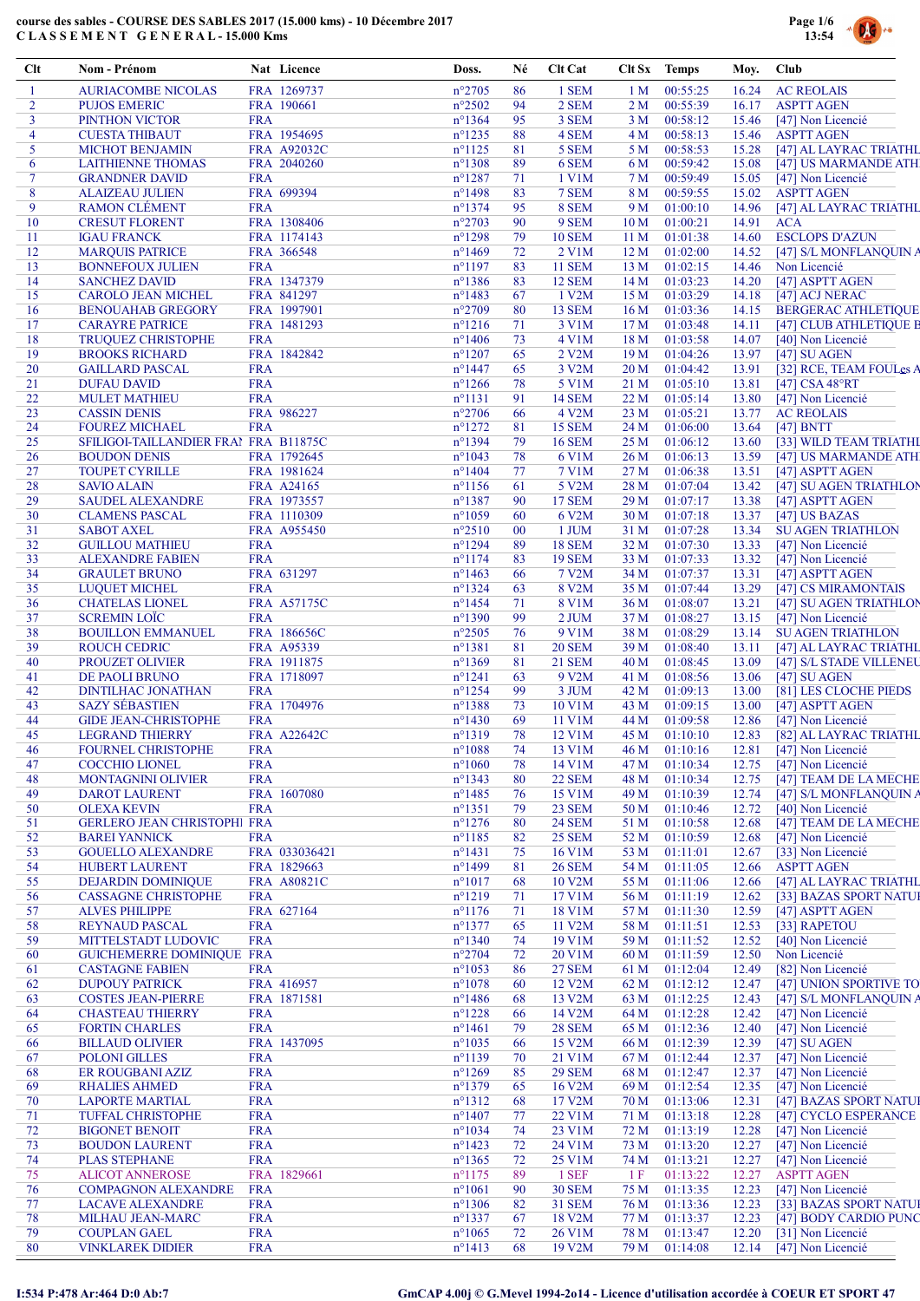

| Clt            | Nom - Prénom                                                 |                          | Nat Licence                | Doss.                                | Né       | <b>Clt Cat</b>                      | Clt Sx Temps            |                      | Moy.           | Club                                           |
|----------------|--------------------------------------------------------------|--------------------------|----------------------------|--------------------------------------|----------|-------------------------------------|-------------------------|----------------------|----------------|------------------------------------------------|
| -1             | <b>AURIACOMBE NICOLAS</b>                                    |                          | FRA 1269737                | $n^{\circ}2705$                      | 86       | 1 SEM                               | 1 <sub>M</sub>          | 00:55:25             | 16.24          | <b>AC REOLAIS</b>                              |
| $\overline{2}$ | <b>PUJOS EMERIC</b>                                          |                          | FRA 190661                 | $n^{\circ}2502$                      | 94       | 2 SEM                               | 2 M                     | 00:55:39             | 16.17          | <b>ASPTT AGEN</b>                              |
| 3<br>4         | PINTHON VICTOR                                               | <b>FRA</b>               |                            | $n^{\circ}$ 1364                     | 95       | 3 SEM                               | 3 M                     | 00:58:12             | 15.46          | [47] Non Licencié                              |
| 5              | <b>CUESTA THIBAUT</b><br><b>MICHOT BENJAMIN</b>              |                          | FRA 1954695<br>FRA A92032C | $n^{\circ}$ 1235<br>$n^{\circ}1125$  | 88<br>81 | 4 SEM<br>5 SEM                      | 4 M<br>5 M              | 00:58:13<br>00:58:53 | 15.46<br>15.28 | <b>ASPTT AGEN</b><br>[47] AL LAYRAC TRIATHL    |
| 6              | <b>LAITHIENNE THOMAS</b>                                     |                          | FRA 2040260                | $n^{\circ}$ 1308                     | 89       | 6 SEM                               | 6 M                     | 00:59:42             | 15.08          | [47] US MARMANDE ATH                           |
| $\tau$         | <b>GRANDNER DAVID</b>                                        | <b>FRA</b>               |                            | $n^{\circ}1287$                      | 71       | 1 V1M                               | 7 M                     | 00:59:49             | 15.05          | [47] Non Licencié                              |
| 8              | <b>ALAIZEAU JULIEN</b>                                       |                          | FRA 699394                 | $n^{\circ}$ 1498                     | 83       | 7 SEM                               | 8 M                     | 00:59:55             | 15.02          | <b>ASPTT AGEN</b>                              |
| 9              | <b>RAMON CLEMENT</b>                                         | <b>FRA</b>               |                            | $n^{\circ}1374$                      | 95       | 8 SEM                               | 9 M                     | 01:00:10             | 14.96          | [47] AL LAYRAC TRIATHL                         |
| 10<br>11       | <b>CRESUT FLORENT</b>                                        |                          | FRA 1308406                | $n^{\circ}2703$<br>$n^{\circ}1298$   | 90<br>79 | 9 SEM<br><b>10 SEM</b>              | 10 <sub>M</sub><br>11 M | 01:00:21<br>01:01:38 | 14.91<br>14.60 | <b>ACA</b><br><b>ESCLOPS D'AZUN</b>            |
| 12             | <b>IGAU FRANCK</b><br><b>MARQUIS PATRICE</b>                 |                          | FRA 1174143<br>FRA 366548  | $n^{\circ}$ 1469                     | 72       | 2 V1M                               | 12 M                    | 01:02:00             | 14.52          | [47] S/L MONFLANQUIN A                         |
| 13             | <b>BONNEFOUX JULIEN</b>                                      | <b>FRA</b>               |                            | $n^{\circ}1197$                      | 83       | <b>11 SEM</b>                       | 13 M                    | 01:02:15             | 14.46          | Non Licencié                                   |
| 14             | <b>SANCHEZ DAVID</b>                                         |                          | FRA 1347379                | $n^{\circ}$ 1386                     | 83       | <b>12 SEM</b>                       | 14 M                    | 01:03:23             | 14.20          | [47] ASPTT AGEN                                |
| 15             | <b>CAROLO JEAN MICHEL</b>                                    |                          | FRA 841297                 | $n^{\circ}$ 1483                     | 67       | 1 V2M                               | 15 M                    | 01:03:29             | 14.18          | [47] ACJ NERAC                                 |
| 16             | <b>BENOUAHAB GREGORY</b>                                     |                          | FRA 1997901                | $n^{\circ}2709$                      | 80       | <b>13 SEM</b>                       |                         | $16 M$ 01:03:36      | 14.15          | <b>BERGERAC ATHLETIQUE</b>                     |
| 17<br>18       | <b>CARAYRE PATRICE</b><br><b>TRUQUEZ CHRISTOPHE</b>          | <b>FRA</b>               | FRA 1481293                | $n^{\circ}1216$<br>$n^{\circ}$ 1406  | 71<br>73 | 3 V1M<br>4 V1M                      | 17 <sub>M</sub><br>18 M | 01:03:48<br>01:03:58 | 14.11<br>14.07 | [47] CLUB ATHLETIQUE B<br>[40] Non Licencié    |
| 19             | <b>BROOKS RICHARD</b>                                        |                          | FRA 1842842                | $n^{\circ}1207$                      | 65       | 2 V2M                               | 19 <sub>M</sub>         | 01:04:26             | 13.97          | $[47]$ SU AGEN                                 |
| 20             | <b>GAILLARD PASCAL</b>                                       | <b>FRA</b>               |                            | $n^{\circ}$ 1447                     | 65       | 3 V2M                               | 20 <sub>M</sub>         | 01:04:42             | 13.91          | [32] RCE, TEAM FOULes A                        |
| 21             | <b>DUFAU DAVID</b>                                           | <b>FRA</b>               |                            | $n^{\circ}$ 1266                     | 78       | 5 V1M                               |                         | 21 M 01:05:10        | 13.81          | $[47]$ CSA 48°RT                               |
| 22             | <b>MULET MATHIEU</b>                                         | <b>FRA</b>               |                            | $n^{\circ}1131$                      | 91       | <b>14 SEM</b>                       | 22M                     | 01:05:14             | 13.80          | [47] Non Licencié                              |
| 23             | <b>CASSIN DENIS</b>                                          |                          | FRA 986227                 | $n^{\circ}2706$                      | 66       | 4 V2M                               | 23 M                    | 01:05:21             | 13.77          | <b>AC REOLAIS</b>                              |
| 24             | <b>FOUREZ MICHAEL</b>                                        | <b>FRA</b>               |                            | $n^{\circ}1272$                      | 81       | <b>15 SEM</b>                       | 24 M                    | 01:06:00             | 13.64          | $[47]$ BNTT                                    |
| 25<br>26       | SFILIGOI-TAILLANDIER FRAI FRA B11875C<br><b>BOUDON DENIS</b> |                          | FRA 1792645                | $n^{\circ}$ 1394<br>$n^{\circ}1043$  | 79<br>78 | <b>16 SEM</b><br>6 V1M              | 25 M<br>26 M            | 01:06:12<br>01:06:13 | 13.60<br>13.59 | [33] WILD TEAM TRIATHI<br>[47] US MARMANDE ATH |
| 27             | <b>TOUPET CYRILLE</b>                                        |                          | FRA 1981624                | $n^{\circ}$ 1404                     | 77       | 7 V1M                               | 27 M                    | 01:06:38             | 13.51          | [47] ASPTT AGEN                                |
| 28             | <b>SAVIO ALAIN</b>                                           |                          | FRA A24165                 | $n^{\circ}$ 1156                     | 61       | 5 V2M                               | 28 M                    | 01:07:04             | 13.42          | [47] SU AGEN TRIATHLON                         |
| 29             | <b>SAUDEL ALEXANDRE</b>                                      |                          | FRA 1973557                | $n^{\circ}$ 1387                     | 90       | <b>17 SEM</b>                       | 29 M                    | 01:07:17             | 13.38          | [47] ASPTT AGEN                                |
| 30             | <b>CLAMENS PASCAL</b>                                        |                          | FRA 1110309                | $n^{\circ}1059$                      | 60       | 6 V2M                               | 30 <sub>M</sub>         | 01:07:18             | 13.37          | [47] US BAZAS                                  |
| 31             | <b>SABOT AXEL</b>                                            |                          | FRA A955450                | $n^{\circ}2510$                      | $00\,$   | 1 JUM                               | 31 M                    | 01:07:28             | 13.34          | <b>SU AGEN TRIATHLON</b>                       |
| 32             | <b>GUILLOU MATHIEU</b>                                       | <b>FRA</b>               |                            | $n^{\circ}$ 1294                     | 89       | <b>18 SEM</b>                       | 32 M                    | 01:07:30             | 13.33          | [47] Non Licencié                              |
| 33<br>34       | <b>ALEXANDRE FABIEN</b><br><b>GRAULET BRUNO</b>              | <b>FRA</b>               | FRA 631297                 | $n^{\circ}1174$<br>$n^{\circ}$ 1463  | 83<br>66 | <b>19 SEM</b><br>7 V <sub>2</sub> M | 33 M<br>34 M            | 01:07:33<br>01:07:37 | 13.32<br>13.31 | [47] Non Licencié<br>[47] ASPTT AGEN           |
| 35             | <b>LUQUET MICHEL</b>                                         | <b>FRA</b>               |                            | $n^{\circ}$ 1324                     | 63       | 8 V2M                               | 35 M                    | 01:07:44             | 13.29          | [47] CS MIRAMONTAIS                            |
| 36             | <b>CHATELAS LIONEL</b>                                       |                          | FRA A57175C                | $n^{\circ}$ 1454                     | 71       | <b>8 V1M</b>                        | 36 M                    | 01:08:07             | 13.21          | [47] SU AGEN TRIATHLON                         |
| 37             | <b>SCREMIN LOÏC</b>                                          | <b>FRA</b>               |                            | $n^{\circ}1390$                      | 99       | 2 JUM                               | 37 M                    | 01:08:27             | 13.15          | [47] Non Licencié                              |
| 38             | <b>BOUILLON EMMANUEL</b>                                     |                          | FRA 186656C                | $n^{\circ}2505$                      | 76       | 9 V1M                               | 38 M                    | 01:08:29             | 13.14          | <b>SU AGEN TRIATHLON</b>                       |
| 39             | <b>ROUCH CEDRIC</b>                                          |                          | FRA A95339                 | $n^{\circ}1381$                      | 81       | <b>20 SEM</b>                       | 39 M                    | 01:08:40             | 13.11          | [47] AL LAYRAC TRIATHL                         |
| 40             | PROUZET OLIVIER                                              |                          | FRA 1911875                | $n^{\circ}1369$                      | 81       | 21 SEM                              | 40 M                    | 01:08:45             | 13.09          | [47] S/L STADE VILLENEU                        |
| 41<br>42       | DE PAOLI BRUNO<br><b>DINTILHAC JONATHAN</b>                  | <b>FRA</b>               | FRA 1718097                | $n^{\circ}1241$<br>$n^{\circ}$ 1254  | 63<br>99 | 9 V2M<br>3 JUM                      | 41 M<br>42 M            | 01:08:56<br>01:09:13 | 13.06<br>13.00 | $[47]$ SU AGEN<br>[81] LES CLOCHE PIEDS        |
| 43             | <b>SAZY SÉBASTIEN</b>                                        |                          | FRA 1704976                | $n^{\circ}$ 1388                     | 73       | 10 V1M                              | 43 M                    | 01:09:15             | 13.00          | [47] ASPTT AGEN                                |
| 44             | <b>GIDE JEAN-CHRISTOPHE</b>                                  | <b>FRA</b>               |                            | $n^{\circ}$ 1430                     | 69       | 11 V1M                              | 44 M                    | 01:09:58             | 12.86          | [47] Non Licencié                              |
| 45             | <b>LEGRAND THIERRY</b>                                       |                          | <b>FRA A22642C</b>         | $n^{\circ}1319$                      | 78       | 12 V1M                              |                         | 45 M 01:10:10        | 12.83          | [82] AL LAYRAC TRIATHL                         |
| 46             | FOURNEL CHRISTOPHE                                           | <b>FRA</b>               |                            | $n^{\circ}1088$                      | 74       | 13 V1M                              |                         | 46 M 01:10:16        |                | 12.81 [47] Non Licencié                        |
| 47             | <b>COCCHIO LIONEL</b>                                        | <b>FRA</b>               |                            | $n^{\circ}1060$                      | 78       | 14 V1M                              | 47 M                    | 01:10:34             | 12.75          | [47] Non Licencié                              |
| 48             | MONTAGNINI OLIVIER                                           | <b>FRA</b>               |                            | $n^{\circ}$ 1343                     | 80       | <b>22 SEM</b>                       | 48 M                    | 01:10:34             | 12.75          | [47] TEAM DE LA MECHE                          |
| 49<br>50       | <b>DAROT LAURENT</b><br><b>OLEXA KEVIN</b>                   | <b>FRA</b>               | FRA 1607080                | $n^{\circ}$ 1485<br>$n^{\circ}$ 1351 | 76<br>79 | 15 V1M<br><b>23 SEM</b>             | 49 M<br>50 M            | 01:10:39<br>01:10:46 | 12.74<br>12.72 | [47] S/L MONFLANQUIN A<br>[40] Non Licencié    |
| 51             | <b>GERLERO JEAN CHRISTOPHI FRA</b>                           |                          |                            | $n^{\circ}1276$                      | 80       | <b>24 SEM</b>                       | 51 M                    | 01:10:58             | 12.68          | [47] TEAM DE LA MECHE                          |
| 52             | <b>BAREI YANNICK</b>                                         | <b>FRA</b>               |                            | $n^{\circ}1185$                      | 82       | <b>25 SEM</b>                       | 52 M                    | 01:10:59             | 12.68          | [47] Non Licencié                              |
| 53             | <b>GOUELLO ALEXANDRE</b>                                     |                          | FRA 033036421              | $n^{\circ}1431$                      | 75       | 16 V1M                              | 53 M                    | 01:11:01             | 12.67          | [33] Non Licencié                              |
| 54             | <b>HUBERT LAURENT</b>                                        |                          | FRA 1829663                | n°1499                               | 81       | <b>26 SEM</b>                       | 54 M                    | 01:11:05             | 12.66          | <b>ASPTT AGEN</b>                              |
| 55             | <b>DEJARDIN DOMINIQUE</b>                                    |                          | <b>FRA A80821C</b>         | $n^{\circ}1017$                      | 68       | 10 V2M                              | 55 M                    | 01:11:06             | 12.66          | [47] AL LAYRAC TRIATHL                         |
| 56             | <b>CASSAGNE CHRISTOPHE</b>                                   | <b>FRA</b>               | FRA 627164                 | $n^{\circ}1219$                      | 71       | 17 V1M                              | 56 M                    | 01:11:19             | 12.62          | [33] BAZAS SPORT NATUI                         |
| 57<br>58       | <b>ALVES PHILIPPE</b><br><b>REYNAUD PASCAL</b>               | <b>FRA</b>               |                            | $n^{\circ}1176$<br>$n^{\circ}1377$   | 71<br>65 | 18 V1M<br>11 V2M                    | 57 M<br>58 M            | 01:11:30<br>01:11:51 | 12.59<br>12.53 | [47] ASPTT AGEN<br>[33] RAPETOU                |
| 59             | MITTELSTADT LUDOVIC                                          | <b>FRA</b>               |                            | $n^{\circ}$ 1340                     | 74       | 19 V1M                              | 59 M                    | 01:11:52             | 12.52          | [40] Non Licencié                              |
| 60             | <b>GUICHEMERRE DOMINIQUE FRA</b>                             |                          |                            | $n^{\circ}2704$                      | 72       | 20 V1M                              | 60 M                    | 01:11:59             | 12.50          | Non Licencié                                   |
| 61             | <b>CASTAGNE FABIEN</b>                                       | <b>FRA</b>               |                            | $n^{\circ}1053$                      | 86       | <b>27 SEM</b>                       | 61 M                    | 01:12:04             | 12.49          | [82] Non Licencié                              |
| 62             | <b>DUPOUY PATRICK</b>                                        |                          | FRA 416957                 | $n^{\circ}1078$                      | 60       | 12 V2M                              | 62 M                    | 01:12:12             | 12.47          | [47] UNION SPORTIVE TO                         |
| 63             | <b>COSTES JEAN-PIERRE</b>                                    |                          | FRA 1871581                | $n^{\circ}$ 1486                     | 68       | 13 V2M                              | 63 M                    | 01:12:25             | 12.43          | [47] S/L MONFLANQUIN A                         |
| 64             | <b>CHASTEAU THIERRY</b>                                      | <b>FRA</b><br><b>FRA</b> |                            | $n^{\circ}1228$<br>$n^{\circ}$ 1461  | 66<br>79 | 14 V2M                              | 64 M                    | 01:12:28<br>01:12:36 | 12.42          | [47] Non Licencié<br>[47] Non Licencié         |
| 65<br>66       | <b>FORTIN CHARLES</b><br><b>BILLAUD OLIVIER</b>              |                          | FRA 1437095                | $n^{\circ}1035$                      | 66       | <b>28 SEM</b><br>15 V2M             | 65 M<br>66 M            | 01:12:39             | 12.40<br>12.39 | [47] SU AGEN                                   |
| 67             | <b>POLONI GILLES</b>                                         | <b>FRA</b>               |                            | $n^{\circ}1139$                      | 70       | 21 V1M                              | 67 M                    | 01:12:44             | 12.37          | [47] Non Licencié                              |
| 68             | ER ROUGBANI AZIZ                                             | <b>FRA</b>               |                            | $n^{\circ}1269$                      | 85       | <b>29 SEM</b>                       | 68 M                    | 01:12:47             | 12.37          | [47] Non Licencié                              |
| 69             | <b>RHALIES AHMED</b>                                         | <b>FRA</b>               |                            | $n^{\circ}$ 1379                     | 65       | 16 V2M                              | 69 M                    | 01:12:54             | 12.35          | [47] Non Licencié                              |
| 70             | <b>LAPORTE MARTIAL</b>                                       | <b>FRA</b>               |                            | $n^{\circ}1312$                      | 68       | 17 V2M                              | 70 M                    | 01:13:06             | 12.31          | [47] BAZAS SPORT NATUI                         |
| 71             | <b>TUFFAL CHRISTOPHE</b>                                     | <b>FRA</b>               |                            | $n^{\circ}$ 1407                     | 77       | 22 V1M                              | 71 M                    | 01:13:18             | 12.28          | [47] CYCLO ESPERANCE                           |
| 72             | <b>BIGONET BENOIT</b>                                        | <b>FRA</b>               |                            | $n^{\circ}1034$                      | 74       | 23 V1M                              | 72 M                    | 01:13:19             | 12.28          | [47] Non Licencié                              |
| 73<br>74       | <b>BOUDON LAURENT</b><br><b>PLAS STEPHANE</b>                | <b>FRA</b><br><b>FRA</b> |                            | $n^{\circ}$ 1423<br>$n^{\circ}$ 1365 | 72<br>72 | 24 V1M<br>25 V1M                    | 73 M<br>74 M            | 01:13:20<br>01:13:21 | 12.27<br>12.27 | [47] Non Licencié<br>[47] Non Licencié         |
| 75             | <b>ALICOT ANNEROSE</b>                                       |                          | FRA 1829661                | $n^{\circ}1175$                      | 89       | 1 SEF                               | 1 F                     | 01:13:22             | 12.27          | <b>ASPTT AGEN</b>                              |
| 76             | <b>COMPAGNON ALEXANDRE</b>                                   | <b>FRA</b>               |                            | $n^{\circ}1061$                      | 90       | <b>30 SEM</b>                       | 75 M                    | 01:13:35             | 12.23          | [47] Non Licencié                              |
| 77             | <b>LACAVE ALEXANDRE</b>                                      | <b>FRA</b>               |                            | $n^{\circ}$ 1306                     | 82       | 31 SEM                              | 76 M                    | 01:13:36             | 12.23          | [33] BAZAS SPORT NATUI                         |
| 78             | MILHAU JEAN-MARC                                             | <b>FRA</b>               |                            | $n^{\circ}$ 1337                     | 67       | 18 V2M                              | 77 M                    | 01:13:37             | 12.23          | [47] BODY CARDIO PUNC                          |
| 79             | <b>COUPLAN GAEL</b>                                          | <b>FRA</b>               |                            | $n^{\circ}1065$                      | 72       | 26 V1M                              | 78 M                    | 01:13:47             | 12.20          | [31] Non Licencié                              |
| 80             | <b>VINKLAREK DIDIER</b>                                      | <b>FRA</b>               |                            | $n^{\circ}1413$                      | 68       | 19 V2M                              | 79 M                    | 01:14:08             | 12.14          | [47] Non Licencié                              |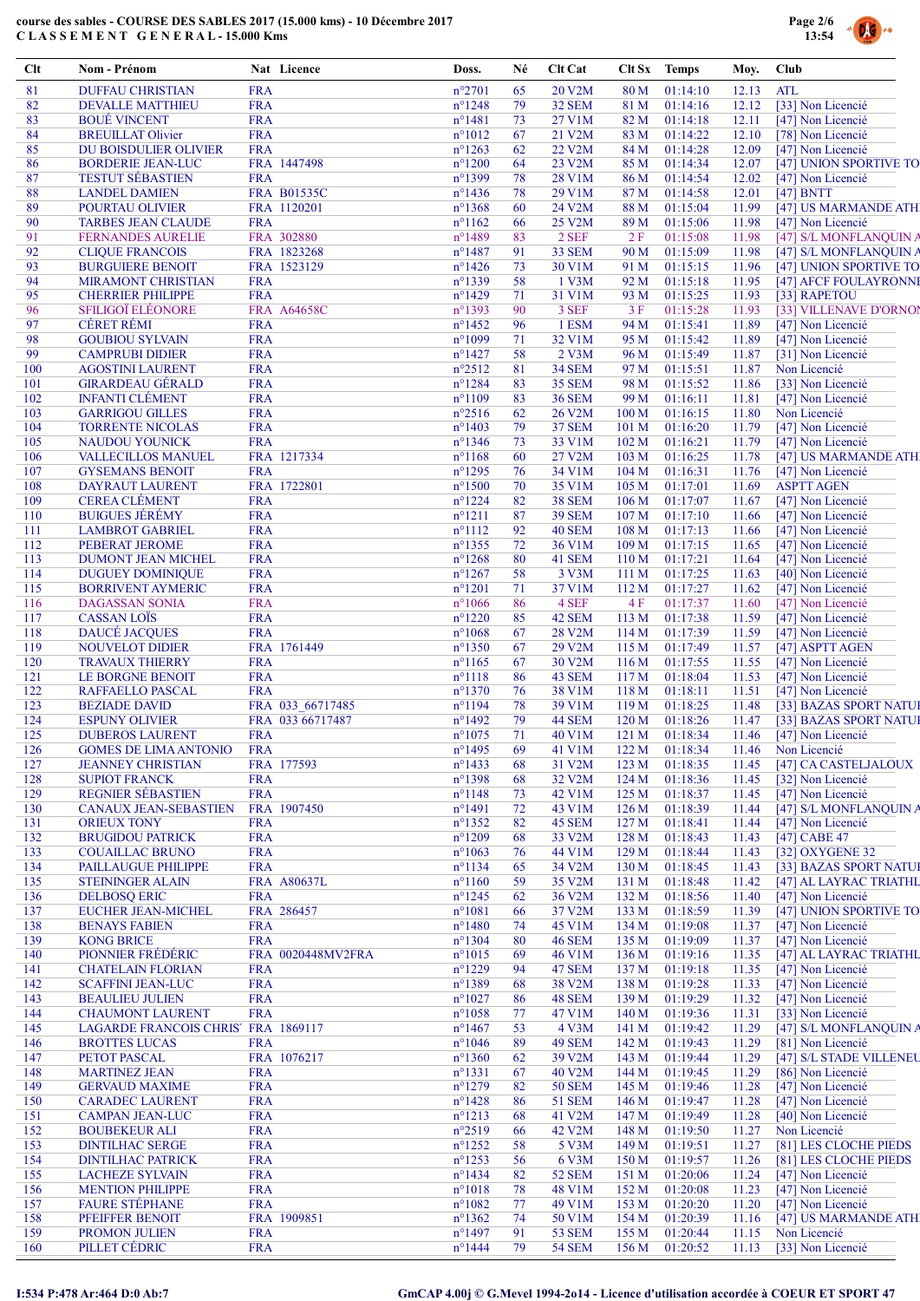

| Clt        | <b>Nom - Prénom</b>                                            |                          | Nat Licence        | Doss.                                | Né       | <b>Clt Cat</b>         | Clt Sx                    | <b>Temps</b>               | Moy.           | Club                                             |
|------------|----------------------------------------------------------------|--------------------------|--------------------|--------------------------------------|----------|------------------------|---------------------------|----------------------------|----------------|--------------------------------------------------|
| 81         | <b>DUFFAU CHRISTIAN</b>                                        | <b>FRA</b>               |                    | $n^{\circ}2701$                      | 65       | 20 V2M                 | 80 M                      | 01:14:10                   | 12.13          | <b>ATL</b>                                       |
| 82         | <b>DEVALLE MATTHIEU</b>                                        | <b>FRA</b>               |                    | $n^{\circ}1248$                      | 79       | 32 SEM                 | 81 M                      | 01:14:16                   | 12.12          | [33] Non Licencié                                |
| 83         | <b>BOUÉ VINCENT</b>                                            | <b>FRA</b>               |                    | $n^{\circ}$ 1481                     | 73       | 27 V1M                 | 82 M                      | 01:14:18                   | 12.11          | [47] Non Licencié                                |
| 84         | <b>BREUILLAT Olivier</b>                                       | <b>FRA</b>               |                    | $n^{\circ}1012$                      | 67       | 21 V2M                 | 83 M                      | 01:14:22                   | 12.10          | [78] Non Licencié                                |
| 85<br>86   | DU BOISDULIER OLIVIER<br><b>BORDERIE JEAN-LUC</b>              | <b>FRA</b>               | FRA 1447498        | $n^{\circ}1263$<br>$n^{\circ}1200$   | 62<br>64 | 22 V2M<br>23 V2M       | 84 M<br>85 M              | 01:14:28<br>01:14:34       | 12.09<br>12.07 | [47] Non Licencié<br>[47] UNION SPORTIVE TO      |
| 87         | <b>TESTUT SÉBASTIEN</b>                                        | <b>FRA</b>               |                    | n°1399                               | 78       | 28 V1M                 | 86 M                      | 01:14:54                   | 12.02          | [47] Non Licencié                                |
| 88         | <b>LANDEL DAMIEN</b>                                           |                          | FRA B01535C        | $n^{\circ}$ 1436                     | 78       | 29 V1M                 | 87 M                      | 01:14:58                   | 12.01          | $[47]$ BNTT                                      |
| 89         | POURTAU OLIVIER                                                |                          | FRA 1120201        | $n^{\circ}1368$                      | 60       | 24 V2M                 | 88 M                      | 01:15:04                   | 11.99          | [47] US MARMANDE ATH                             |
| 90         | <b>TARBES JEAN CLAUDE</b>                                      | <b>FRA</b>               |                    | $n^{\circ}1162$                      | 66       | 25 V2M                 | 89 M                      | 01:15:06                   | 11.98          | [47] Non Licencié                                |
| 91         | <b>FERNANDES AURELIE</b>                                       |                          | FRA 302880         | $n^{\circ}$ 1489                     | 83       | 2 SEF                  | 2F                        | 01:15:08                   | 11.98          | [47] S/L MONFLANQUIN A                           |
| 92         | <b>CLIQUE FRANCOIS</b>                                         |                          | FRA 1823268        | $n^{\circ}$ 1487                     | 91       | 33 SEM                 | 90 M                      | 01:15:09                   | 11.98          | [47] S/L MONFLANQUIN A                           |
| 93         | <b>BURGUIERE BENOIT</b>                                        |                          | FRA 1523129        | $n^{\circ}$ 1426                     | 73       | 30 V1M                 | 91 M                      | 01:15:15                   | 11.96          | [47] UNION SPORTIVE TO                           |
| 94         | <b>MIRAMONT CHRISTIAN</b>                                      | <b>FRA</b>               |                    | n°1339                               | 58       | 1 V3M                  | 92 M                      | 01:15:18                   | 11.95          | [47] AFCF FOULAYRONNI                            |
| 95<br>96   | <b>CHERRIER PHILIPPE</b><br><b>SFILIGOÏ ELÉONORE</b>           | <b>FRA</b>               | FRA A64658C        | $n^{\circ}$ 1429<br>$n^{\circ}1393$  | 71<br>90 | 31 V1M<br>3 SEF        | 93 M<br>3 F               | 01:15:25<br>01:15:28       | 11.93<br>11.93 | [33] RAPETOU<br>[33] VILLENAVE D'ORNOI           |
| 97         | <b>CÉRET RÉMI</b>                                              | <b>FRA</b>               |                    | $n^{\circ}$ 1452                     | 96       | 1 ESM                  | 94 M                      | 01:15:41                   | 11.89          | [47] Non Licencié                                |
| 98         | <b>GOUBIOU SYLVAIN</b>                                         | <b>FRA</b>               |                    | $n^{\circ}1099$                      | 71       | 32 V1M                 | 95 M                      | 01:15:42                   | 11.89          | [47] Non Licencié                                |
| 99         | <b>CAMPRUBI DIDIER</b>                                         | <b>FRA</b>               |                    | $n^{\circ}$ 1427                     | 58       | $2$ V3M                | 96 M                      | 01:15:49                   | 11.87          | [31] Non Licencié                                |
| 100        | <b>AGOSTINI LAURENT</b>                                        | <b>FRA</b>               |                    | $n^{\circ}2512$                      | 81       | <b>34 SEM</b>          | 97 M                      | 01:15:51                   | 11.87          | Non Licencié                                     |
| 101        | <b>GIRARDEAU GÉRALD</b>                                        | <b>FRA</b>               |                    | $n^{\circ}1284$                      | 83       | <b>35 SEM</b>          | 98 M                      | 01:15:52                   | 11.86          | [33] Non Licencié                                |
| 102        | <b>INFANTI CLÉMENT</b>                                         | <b>FRA</b>               |                    | $n^{\circ}1109$                      | 83       | <b>36 SEM</b>          | 99 M                      | 01:16:11                   | 11.81          | [47] Non Licencié                                |
| 103        | <b>GARRIGOU GILLES</b>                                         | <b>FRA</b>               |                    | $n^{\circ}2516$                      | 62       | 26 V2M                 | 100 <sub>M</sub>          | 01:16:15                   | 11.80          | Non Licencié                                     |
| 104        | <b>TORRENTE NICOLAS</b>                                        | <b>FRA</b>               |                    | $n^{\circ}$ 1403                     | 79       | <b>37 SEM</b>          | 101 M                     | 01:16:20                   | 11.79          | [47] Non Licencié                                |
| 105<br>106 | <b>NAUDOU YOUNICK</b>                                          | <b>FRA</b>               | FRA 1217334        | $n^{\circ}$ 1346<br>$n^{\circ}1168$  | 73<br>60 | 33 V1M<br>27 V2M       | 102 <sub>M</sub><br>103 M | 01:16:21<br>01:16:25       | 11.79<br>11.78 | [47] Non Licencié<br>[47] US MARMANDE ATH        |
| 107        | <b>VALLECILLOS MANUEL</b><br><b>GYSEMANS BENOIT</b>            | <b>FRA</b>               |                    | $n^{\circ}1295$                      | 76       | 34 V1M                 | 104 <sub>M</sub>          | 01:16:31                   | 11.76          | [47] Non Licencié                                |
| 108        | <b>DAYRAUT LAURENT</b>                                         |                          | FRA 1722801        | $n^{\circ}1500$                      | 70       | 35 V1M                 | 105 M                     | 01:17:01                   | 11.69          | <b>ASPTT AGEN</b>                                |
| 109        | <b>CEREA CLÉMENT</b>                                           | <b>FRA</b>               |                    | $n^{\circ}1224$                      | 82       | <b>38 SEM</b>          | 106 <sub>M</sub>          | 01:17:07                   | 11.67          | [47] Non Licencié                                |
| 110        | <b>BUIGUES JÉRÉMY</b>                                          | <b>FRA</b>               |                    | $n^{\circ}1211$                      | 87       | <b>39 SEM</b>          | 107 <sub>M</sub>          | 01:17:10                   | 11.66          | [47] Non Licencié                                |
| 111        | <b>LAMBROT GABRIEL</b>                                         | <b>FRA</b>               |                    | $n^{\circ}1112$                      | 92       | 40 SEM                 | 108 M                     | 01:17:13                   | 11.66          | [47] Non Licencié                                |
| 112        | <b>PEBERAT JEROME</b>                                          | <b>FRA</b>               |                    | $n^{\circ}$ 1355                     | 72       | 36 V1M                 | 109 M                     | 01:17:15                   | 11.65          | [47] Non Licencié                                |
| 113        | DUMONT JEAN MICHEL                                             | <b>FRA</b>               |                    | $n^{\circ}1268$                      | 80       | 41 SEM                 | 110 M                     | 01:17:21                   | 11.64          | [47] Non Licencié                                |
| 114        | <b>DUGUEY DOMINIQUE</b>                                        | <b>FRA</b>               |                    | $n^{\circ}1267$                      | 58       | 3 V3M                  | 111 M                     | 01:17:25                   | 11.63          | [40] Non Licencié                                |
| 115<br>116 | <b>BORRIVENT AYMERIC</b><br><b>DAGASSAN SONIA</b>              | <b>FRA</b><br><b>FRA</b> |                    | $n^{\circ}1201$<br>$n^{\circ}1066$   | 71<br>86 | 37 V1M<br>4 SEF        | 112M<br>4F                | 01:17:27<br>01:17:37       | 11.62<br>11.60 | [47] Non Licencié                                |
| 117        | <b>CASSAN LOÏS</b>                                             | <b>FRA</b>               |                    | $n^{\circ}$ 1220                     | 85       | 42 SEM                 | 113 M                     | 01:17:38                   | 11.59          | [47] Non Licencié<br>[47] Non Licencié           |
| 118        | <b>DAUCÉ JACQUES</b>                                           | <b>FRA</b>               |                    | $n^{\circ}1068$                      | 67       | 28 V2M                 | 114M                      | 01:17:39                   | 11.59          | [47] Non Licencié                                |
| 119        | <b>NOUVELOT DIDIER</b>                                         |                          | FRA 1761449        | $n^{\circ}$ 1350                     | 67       | 29 V2M                 | 115M                      | 01:17:49                   | 11.57          | [47] ASPTT AGEN                                  |
| 120        | <b>TRAVAUX THIERRY</b>                                         | <b>FRA</b>               |                    | $n^{\circ}1165$                      | 67       | 30 V2M                 | 116M                      | 01:17:55                   | 11.55          | [47] Non Licencié                                |
| 121        | LE BORGNE BENOIT                                               | <b>FRA</b>               |                    | $n^{\circ}1118$                      | 86       | 43 SEM                 | 117M                      | 01:18:04                   | 11.53          | [47] Non Licencié                                |
| 122        | <b>RAFFAELLO PASCAL</b>                                        | <b>FRA</b>               |                    | $n^{\circ}1370$                      | 76       | 38 V1M                 | 118M                      | 01:18:11                   | 11.51          | [47] Non Licencié                                |
| 123        | <b>BEZIADE DAVID</b>                                           |                          | FRA 033 66717485   | $n^{\circ}$ 1194                     | 78       | 39 V1M                 | 119M                      | 01:18:25                   | 11.48          | [33] BAZAS SPORT NATUI                           |
| 124        | <b>ESPUNY OLIVIER</b>                                          |                          | FRA 033 66717487   | $n^{\circ}$ 1492                     | 79       | 44 SEM                 | 120 <sub>M</sub>          | 01:18:26                   | 11.47          | [33] BAZAS SPORT NATUI                           |
| 125<br>126 | <b>DUBEROS LAURENT</b><br><b>GOMES DE LIMA ANTONIO</b>         | <b>FRA</b><br><b>FRA</b> |                    | $n^{\circ}1075$<br>$n^{\circ}$ 1495  | 71<br>69 | 40 V1M<br>41 V1M       | 121 M                     | 01:18:34<br>122 M 01:18:34 | 11.46          | [47] Non Licencié<br>11.46 Non Licencié          |
| 127        | <b>JEANNEY CHRISTIAN</b>                                       |                          | FRA 177593         | $n^{\circ}$ 1433                     | 68       | 31 V2M                 | 123 M                     | 01:18:35                   | 11.45          | [47] CA CASTELJALOUX                             |
| 128        | <b>SUPIOT FRANCK</b>                                           | <b>FRA</b>               |                    | $n^{\circ}$ 1398                     | 68       | 32 V2M                 | 124M                      | 01:18:36                   | 11.45          | [32] Non Licencié                                |
| 129        | <b>REGNIER SÉBASTIEN</b>                                       | <b>FRA</b>               |                    | $n^{\circ}1148$                      | 73       | 42 V1M                 | 125 M                     | 01:18:37                   | 11.45          | [47] Non Licencié                                |
| 130        | <b>CANAUX JEAN-SEBASTIEN</b>                                   |                          | FRA 1907450        | $n^{\circ}1491$                      | 72       | 43 V1M                 | 126M                      | 01:18:39                   | 11.44          | [47] S/L MONFLANQUIN A                           |
| 131        | <b>ORIEUX TONY</b>                                             | <b>FRA</b>               |                    | $n^{\circ}$ 1352                     | 82       | 45 SEM                 | 127 M                     | 01:18:41                   | 11.44          | [47] Non Licencié                                |
| 132        | <b>BRUGIDOU PATRICK</b>                                        | <b>FRA</b>               |                    | $n^{\circ}1209$                      | 68       | 33 V2M                 | 128 M                     | 01:18:43                   | 11.43          | [47] CABE 47                                     |
| 133        | <b>COUAILLAC BRUNO</b>                                         | <b>FRA</b>               |                    | $n^{\circ}1063$                      | 76       | 44 V1M                 | 129M                      | 01:18:44                   | 11.43          | [32] OXYGENE 32                                  |
| 134<br>135 | PAILLAUGUE PHILIPPE<br><b>STEININGER ALAIN</b>                 | <b>FRA</b>               | <b>FRA A80637L</b> | $n^{\circ}1134$<br>$n^{\circ}1160$   | 65<br>59 | 34 V2M<br>35 V2M       | 130 M<br>131 M            | 01:18:45<br>01:18:48       | 11.43<br>11.42 | [33] BAZAS SPORT NATUI<br>[47] AL LAYRAC TRIATHL |
| 136        | <b>DELBOSQ ERIC</b>                                            | <b>FRA</b>               |                    | $n^{\circ}1245$                      | 62       | 36 V2M                 | 132 M                     | 01:18:56                   | 11.40          | [47] Non Licencié                                |
| 137        | <b>EUCHER JEAN-MICHEL</b>                                      |                          | FRA 286457         | $n^{\circ}1081$                      | 66       | 37 V2M                 | 133 M                     | 01:18:59                   | 11.39          | [47] UNION SPORTIVE TO                           |
| 138        | <b>BENAYS FABIEN</b>                                           | <b>FRA</b>               |                    | $n^{\circ}$ 1480                     | 74       | 45 V1M                 | 134M                      | 01:19:08                   | 11.37          | [47] Non Licencié                                |
| 139        | <b>KONG BRICE</b>                                              | <b>FRA</b>               |                    | $n^{\circ}1304$                      | 80       | 46 SEM                 | 135 M                     | 01:19:09                   | 11.37          | [47] Non Licencié                                |
| 140        | PIONNIER FRÉDÉRIC                                              |                          | FRA 0020448MV2FRA  | $n^{\circ}1015$                      | 69       | 46 V1M                 | 136 M                     | 01:19:16                   | 11.35          | [47] AL LAYRAC TRIATHL                           |
| 141        | <b>CHATELAIN FLORIAN</b>                                       | <b>FRA</b>               |                    | $n^{\circ}1229$                      | 94       | 47 SEM                 | 137 <sub>M</sub>          | 01:19:18                   | 11.35          | [47] Non Licencié                                |
| 142        | <b>SCAFFINI JEAN-LUC</b>                                       | <b>FRA</b>               |                    | n°1389                               | 68       | 38 V2M                 | 138 M                     | 01:19:28                   | 11.33          | [47] Non Licencié                                |
| 143        | <b>BEAULIEU JULIEN</b>                                         | <b>FRA</b>               |                    | $n^{\circ}1027$                      | 86       | 48 SEM                 | 139 M                     | 01:19:29                   | 11.32          | [47] Non Licencié                                |
| 144        | <b>CHAUMONT LAURENT</b><br>LAGARDE FRANCOIS CHRIS' FRA 1869117 | <b>FRA</b>               |                    | $n^{\circ}1058$<br>$n^{\circ}$ 1467  | 77<br>53 | 47 V1M<br>4 V3M        | 140 M                     | 01:19:36                   | 11.31          | [33] Non Licencié<br>[47] S/L MONFLANQUIN A      |
| 145<br>146 | <b>BROTTES LUCAS</b>                                           | <b>FRA</b>               |                    | $n^{\circ}1046$                      | -89      | 49 SEM                 | 141 M<br>142 M            | 01:19:42<br>01:19:43       | 11.29<br>11.29 | [81] Non Licencié                                |
| 147        | PETOT PASCAL                                                   |                          | FRA 1076217        | $n^{\circ}1360$                      | 62       | 39 V2M                 | 143 M                     | 01:19:44                   | 11.29          | [47] S/L STADE VILLENEU                          |
| 148        | <b>MARTINEZ JEAN</b>                                           | <b>FRA</b>               |                    | $n^{\circ}1331$                      | 67       | 40 V2M                 | 144 M                     | 01:19:45                   | 11.29          | [86] Non Licencié                                |
| 149        | <b>GERVAUD MAXIME</b>                                          | <b>FRA</b>               |                    | $n^{\circ}1279$                      | 82       | <b>50 SEM</b>          | 145 M                     | 01:19:46                   | 11.28          | [47] Non Licencié                                |
| 150        | <b>CARADEC LAURENT</b>                                         | <b>FRA</b>               |                    | $n^{\circ}$ 1428                     | 86       | 51 SEM                 | 146 M                     | 01:19:47                   | 11.28          | [47] Non Licencié                                |
| 151        | <b>CAMPAN JEAN-LUC</b>                                         | <b>FRA</b>               |                    | $n^{\circ}1213$                      | 68       | 41 V2M                 | 147 M                     | 01:19:49                   | 11.28          | [40] Non Licencié                                |
| 152        | <b>BOUBEKEUR ALI</b>                                           | <b>FRA</b>               |                    | $n^{\circ}2519$                      | 66       | 42 V2M                 | 148 M                     | 01:19:50                   | 11.27          | Non Licencié                                     |
| 153        | <b>DINTILHAC SERGE</b>                                         | <b>FRA</b>               |                    | $n^{\circ}$ 1252                     | 58       | 5 V3M                  | 149 M                     | 01:19:51                   | 11.27          | [81] LES CLOCHE PIEDS                            |
| 154<br>155 | <b>DINTILHAC PATRICK</b><br><b>LACHEZE SYLVAIN</b>             | <b>FRA</b><br><b>FRA</b> |                    | $n^{\circ}$ 1253<br>$n^{\circ}$ 1434 | 56       | 6 V3M<br><b>52 SEM</b> | 150 M<br>151 M            | 01:19:57<br>01:20:06       | 11.26<br>11.24 | [81] LES CLOCHE PIEDS<br>[47] Non Licencié       |
| 156        | <b>MENTION PHILIPPE</b>                                        | <b>FRA</b>               |                    | $n^{\circ}1018$                      | 82<br>78 | 48 V1M                 | 152M                      | 01:20:08                   | 11.23          | [47] Non Licencié                                |
| 157        | <b>FAURE STÉPHANE</b>                                          | <b>FRA</b>               |                    | $n^{\circ}1082$                      | 77       | 49 V1M                 | 153 M                     | 01:20:20                   | 11.20          | [47] Non Licencié                                |
| 158        | PFEIFFER BENOIT                                                |                          | FRA 1909851        | $n^{\circ}$ 1362                     | 74       | 50 V1M                 | 154 M                     | 01:20:39                   | 11.16          | [47] US MARMANDE ATH                             |
| 159        | PROMON JULIEN                                                  | <b>FRA</b>               |                    | $n^{\circ}$ 1497                     | 91       | <b>53 SEM</b>          | 155 M                     | 01:20:44                   | 11.15          | Non Licencié                                     |
| 160        | PILLET CÉDRIC                                                  | <b>FRA</b>               |                    | $n^{\circ}$ 1444                     | 79       | <b>54 SEM</b>          | 156 M                     | 01:20:52                   | 11.13          | [33] Non Licencié                                |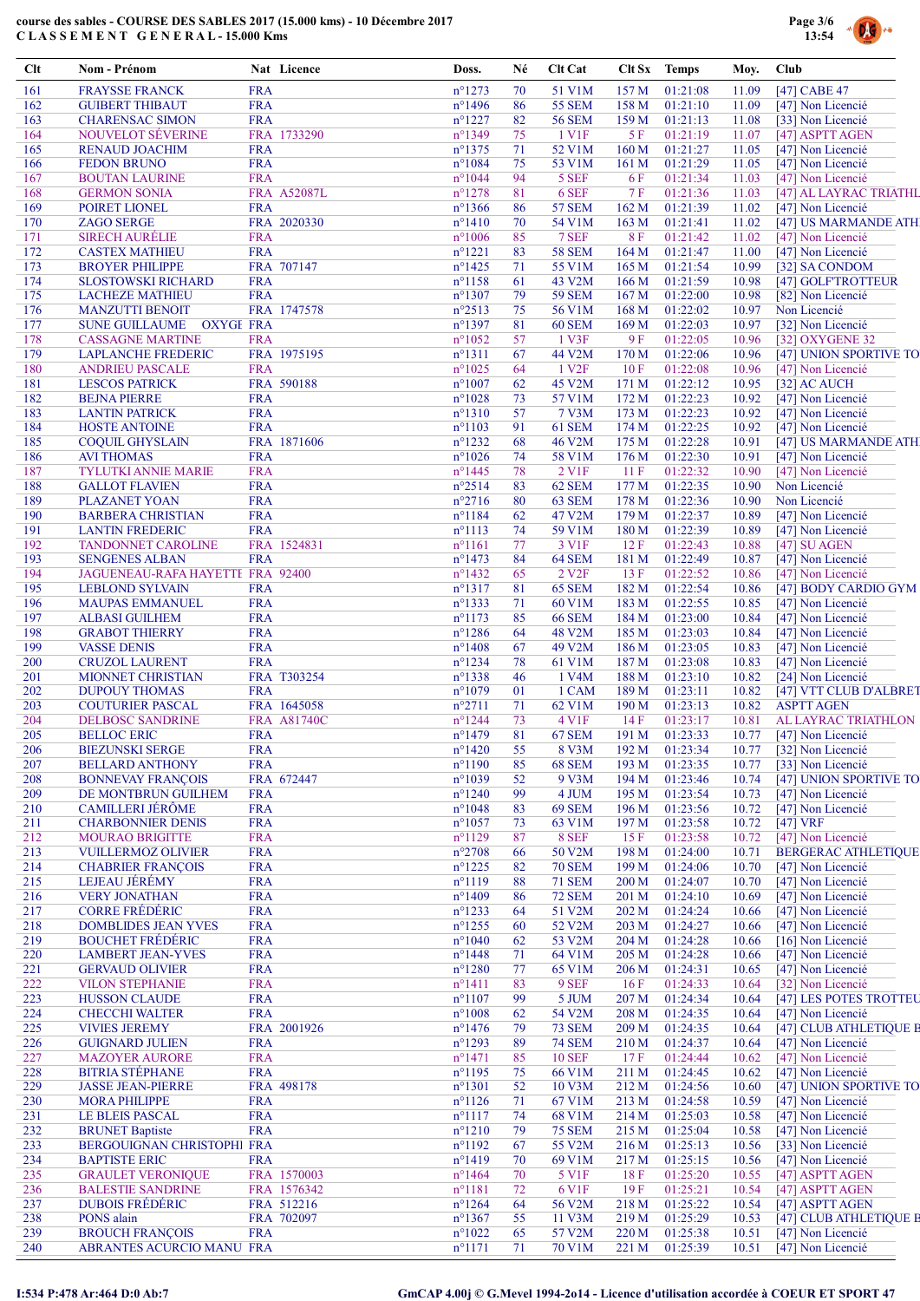

| Clt        | Nom - Prénom                                          |                          | Nat Licence              | Doss.                                | Né       | <b>Clt Cat</b>         | Clt Sx Temps     |                      | Moy.           | <b>Club</b>                                 |
|------------|-------------------------------------------------------|--------------------------|--------------------------|--------------------------------------|----------|------------------------|------------------|----------------------|----------------|---------------------------------------------|
| 161        | <b>FRAYSSE FRANCK</b>                                 | <b>FRA</b>               |                          | $n^{\circ}1273$                      | 70       | 51 V1M                 | 157M             | 01:21:08             | 11.09          | [47] CABE 47                                |
| 162        | <b>GUIBERT THIBAUT</b>                                | <b>FRA</b>               |                          | $n^{\circ}$ 1496                     | 86       | <b>55 SEM</b>          | 158 M            | 01:21:10             | 11.09          | [47] Non Licencié                           |
| 163        | <b>CHARENSAC SIMON</b>                                | <b>FRA</b>               |                          | $n^{\circ}1227$                      | 82       | <b>56 SEM</b>          | 159M             | 01:21:13             | 11.08          | [33] Non Licencié                           |
| 164<br>165 | <b>NOUVELOT SÉVERINE</b><br><b>RENAUD JOACHIM</b>     | <b>FRA</b>               | FRA 1733290              | n°1349<br>$n^{\circ}$ 1375           | 75<br>71 | 1 V1F<br>52 V1M        | 5 F<br>160 M     | 01:21:19<br>01:21:27 | 11.07<br>11.05 | [47] ASPTT AGEN<br>[47] Non Licencié        |
| 166        | <b>FEDON BRUNO</b>                                    | <b>FRA</b>               |                          | $n^{\circ}1084$                      | 75       | 53 V1M                 | 161 <sub>M</sub> | 01:21:29             | 11.05          | [47] Non Licencié                           |
| 167        | <b>BOUTAN LAURINE</b>                                 | <b>FRA</b>               |                          | $n^{\circ}1044$                      | 94       | 5 SEF                  | 6 F              | 01:21:34             | 11.03          | [47] Non Licencié                           |
| 168        | <b>GERMON SONIA</b>                                   |                          | FRA A52087L              | $n^{\circ}1278$                      | 81       | 6 SEF                  | 7 F              | 01:21:36             | 11.03          | [47] AL LAYRAC TRIATHL                      |
| 169        | POIRET LIONEL                                         | <b>FRA</b>               |                          | $n^{\circ}$ 1366                     | 86       | <b>57 SEM</b>          | 162 M            | 01:21:39             | 11.02          | [47] Non Licencié                           |
| 170        | <b>ZAGO SERGE</b>                                     |                          | FRA 2020330              | $n^{\circ}1410$                      | 70       | 54 V1M                 | 163 M            | 01:21:41             | 11.02          | [47] US MARMANDE ATH                        |
| 171        | <b>SIRECH AURÉLIE</b>                                 | <b>FRA</b>               |                          | $n^{\circ}1006$                      | 85       | 7 SEF                  | 8F               | 01:21:42             | 11.02          | [47] Non Licencié                           |
| 172        | <b>CASTEX MATHIEU</b>                                 | <b>FRA</b>               | FRA 707147               | $n^{\circ}1221$                      | 83       | <b>58 SEM</b>          | 164M             | 01:21:47<br>01:21:54 | 11.00          | [47] Non Licencié                           |
| 173<br>174 | <b>BROYER PHILIPPE</b><br><b>SLOSTOWSKI RICHARD</b>   | <b>FRA</b>               |                          | $n^{\circ}$ 1425<br>$n^{\circ}$ 1158 | 71<br>61 | 55 V1M<br>43 V2M       | 165 M<br>166 M   | 01:21:59             | 10.99<br>10.98 | [32] SA CONDOM<br>[47] GOLFTROTTEUR         |
| 175        | <b>LACHEZE MATHIEU</b>                                | <b>FRA</b>               |                          | $n^{\circ}1307$                      | 79       | <b>59 SEM</b>          | 167 <sub>M</sub> | 01:22:00             | 10.98          | [82] Non Licencié                           |
| 176        | <b>MANZUTTI BENOIT</b>                                |                          | FRA 1747578              | $n^{\circ}2513$                      | 75       | 56 V1M                 | 168 M            | 01:22:02             | 10.97          | Non Licencié                                |
| 177        | <b>SUNE GUILLAUME</b><br><b>OXYGE FRA</b>             |                          |                          | $n^{\circ}$ 1397                     | 81       | <b>60 SEM</b>          | 169 <sub>M</sub> | 01:22:03             | 10.97          | [32] Non Licencié                           |
| 178        | <b>CASSAGNE MARTINE</b>                               | <b>FRA</b>               |                          | $n^{\circ}1052$                      | 57       | 1 V3F                  | 9F               | 01:22:05             | 10.96          | [32] OXYGENE 32                             |
| 179        | <b>LAPLANCHE FREDERIC</b>                             |                          | FRA 1975195              | $n^{\circ}1311$                      | 67       | 44 V2M                 | 170 M            | 01:22:06             | 10.96          | [47] UNION SPORTIVE TO                      |
| 180        | <b>ANDRIEU PASCALE</b>                                | <b>FRA</b>               |                          | $n^{\circ}1025$                      | 64       | 1 V <sub>2F</sub>      | 10F              | 01:22:08             | 10.96          | [47] Non Licencié                           |
| 181        | <b>LESCOS PATRICK</b>                                 |                          | FRA 590188               | $n^{\circ}1007$                      | 62       | 45 V2M                 | 171 M            | 01:22:12             | 10.95          | [32] AC AUCH                                |
| 182<br>183 | <b>BEJNA PIERRE</b><br><b>LANTIN PATRICK</b>          | <b>FRA</b><br><b>FRA</b> |                          | $n^{\circ}1028$<br>$n^{\circ}1310$   | 73<br>57 | 57 V1M<br><b>7 V3M</b> | 172 M<br>173 M   | 01:22:23<br>01:22:23 | 10.92<br>10.92 | [47] Non Licencié<br>[47] Non Licencié      |
| 184        | <b>HOSTE ANTOINE</b>                                  | <b>FRA</b>               |                          | $n^{\circ}1103$                      | 91       | 61 SEM                 | 174 M            | 01:22:25             | 10.92          | [47] Non Licencié                           |
| 185        | <b>COQUIL GHYSLAIN</b>                                |                          | FRA 1871606              | $n^{\circ}$ 1232                     | 68       | 46 V2M                 | 175 M            | 01:22:28             | 10.91          | [47] US MARMANDE ATH                        |
| 186        | <b>AVI THOMAS</b>                                     | <b>FRA</b>               |                          | $n^{\circ}1026$                      | 74       | 58 V1M                 | 176 M            | 01:22:30             | 10.91          | [47] Non Licencié                           |
| 187        | <b>TYLUTKI ANNIE MARIE</b>                            | <b>FRA</b>               |                          | $n^{\circ}$ 1445                     | 78       | 2 V1F                  | 11F              | 01:22:32             | 10.90          | [47] Non Licencié                           |
| 188        | <b>GALLOT FLAVIEN</b>                                 | <b>FRA</b>               |                          | $n^{\circ}2514$                      | 83       | 62 SEM                 | 177 M            | 01:22:35             | 10.90          | Non Licencié                                |
| 189        | PLAZANET YOAN                                         | <b>FRA</b>               |                          | $n^{\circ}2716$                      | 80       | 63 SEM                 | 178 M            | 01:22:36             | 10.90          | Non Licencié                                |
| 190        | <b>BARBERA CHRISTIAN</b>                              | <b>FRA</b>               |                          | $n^{\circ}1184$                      | 62       | 47 V2M                 | 179 M            | 01:22:37             | 10.89          | [47] Non Licencié                           |
| 191<br>192 | <b>LANTIN FREDERIC</b><br><b>TANDONNET CAROLINE</b>   | <b>FRA</b>               | FRA 1524831              | $n^{\circ}1113$<br>$n^{\circ}1161$   | 74<br>77 | 59 V1M<br>3 V1F        | 180 M<br>12F     | 01:22:39<br>01:22:43 | 10.89<br>10.88 | [47] Non Licencié<br>[47] SU AGEN           |
| 193        | <b>SENGENES ALBAN</b>                                 | <b>FRA</b>               |                          | $n^{\circ}$ 1473                     | 84       | 64 SEM                 | 181 M            | 01:22:49             | 10.87          | [47] Non Licencié                           |
| 194        | JAGUENEAU-RAFA HAYETTE FRA 92400                      |                          |                          | $n^{\circ}$ 1432                     | 65       | 2 V <sub>2</sub> F     | 13F              | 01:22:52             | 10.86          | [47] Non Licencié                           |
| 195        | <b>LEBLOND SYLVAIN</b>                                | <b>FRA</b>               |                          | $n^{\circ}1317$                      | 81       | <b>65 SEM</b>          | 182 M            | 01:22:54             | 10.86          | [47] BODY CARDIO GYM                        |
| 196        | <b>MAUPAS EMMANUEL</b>                                | <b>FRA</b>               |                          | $n^{\circ}$ 1333                     | 71       | 60 V1M                 | 183 M            | 01:22:55             | 10.85          | [47] Non Licencié                           |
| 197        | <b>ALBASI GUILHEM</b>                                 | <b>FRA</b>               |                          | $n^{\circ}1173$                      | 85       | <b>66 SEM</b>          | 184 M            | 01:23:00             | 10.84          | [47] Non Licencié                           |
| 198        | <b>GRABOT THIERRY</b>                                 | <b>FRA</b>               |                          | $n^{\circ}$ 1286                     | 64       | 48 V2M                 | 185 M            | 01:23:03             | 10.84          | [47] Non Licencié                           |
| 199        | <b>VASSE DENIS</b>                                    | <b>FRA</b>               |                          | $n^{\circ}$ 1408                     | 67       | 49 V2M                 | 186 M            | 01:23:05             | 10.83          | [47] Non Licencié                           |
| 200<br>201 | <b>CRUZOL LAURENT</b><br>MIONNET CHRISTIAN            | <b>FRA</b>               | FRA T303254              | $n^{\circ}1234$<br>$n^{\circ}$ 1338  | 78<br>46 | 61 V1M<br>1 V4M        | 187 M<br>188 M   | 01:23:08<br>01:23:10 | 10.83<br>10.82 | [47] Non Licencié<br>[24] Non Licencié      |
| 202        | <b>DUPOUY THOMAS</b>                                  | <b>FRA</b>               |                          | $n^{\circ}1079$                      | 01       | 1 CAM                  | 189 M            | 01:23:11             | 10.82          | [47] VTT CLUB D'ALBRET                      |
| 203        | <b>COUTURIER PASCAL</b>                               |                          | FRA 1645058              | $n^{\circ}2711$                      | 71       | 62 V1M                 | 190 <sub>M</sub> | 01:23:13             | 10.82          | <b>ASPTT AGEN</b>                           |
| 204        | <b>DELBOSC SANDRINE</b>                               |                          | FRA A81740C              | $n^{\circ}1244$                      | 73       | 4 V1F                  | 14F              | 01:23:17             | 10.81          | AL LAYRAC TRIATHLON                         |
| 205        | <b>BELLOC ERIC</b>                                    | <b>FRA</b>               |                          | $n^{\circ}$ 1479                     | 81       | <b>67 SEM</b>          |                  | 191 M 01:23:33       |                | 10.77 [47] Non Licencié                     |
| 206        | <b>BIEZUNSKI SERGE</b>                                | <b>FRA</b>               |                          | $n^{\circ}1420$                      | 55       | 8 V3M                  |                  | 192 M 01:23:34       |                | 10.77 [32] Non Licencié                     |
| 207        | <b>BELLARD ANTHONY</b>                                | <b>FRA</b>               |                          | $n^{\circ}1190$                      | 85       | <b>68 SEM</b>          | 193 M            | 01:23:35             | 10.77          | [33] Non Licencié                           |
| 208        | <b>BONNEVAY FRANCOIS</b>                              |                          | FRA 672447               | $n^{\circ}1039$                      | 52       | 9 V3M                  | 194 M            | 01:23:46             | 10.74          | [47] UNION SPORTIVE TO                      |
| 209<br>210 | DE MONTBRUN GUILHEM<br><b>CAMILLERI JÉRÔME</b>        | <b>FRA</b><br><b>FRA</b> |                          | $n^{\circ}$ 1240<br>$n^{\circ}1048$  | 99<br>83 | 4 JUM<br><b>69 SEM</b> | 195 M<br>196 M   | 01:23:54<br>01:23:56 | 10.73<br>10.72 | [47] Non Licencié<br>[47] Non Licencié      |
| 211        | <b>CHARBONNIER DENIS</b>                              | <b>FRA</b>               |                          | $n^{\circ}1057$                      | 73       | 63 V1M                 | 197 <sub>M</sub> | 01:23:58             | 10.72          | $[47]$ VRF                                  |
| 212        | <b>MOURAO BRIGITTE</b>                                | <b>FRA</b>               |                          | $n^{\circ}1129$                      | 87       | 8 SEF                  | 15F              | 01:23:58             | 10.72          | [47] Non Licencié                           |
| 213        | <b>VUILLERMOZ OLIVIER</b>                             | <b>FRA</b>               |                          | $n^{\circ}2708$                      | 66       | 50 V2M                 | 198 M            | 01:24:00             | 10.71          | <b>BERGERAC ATHLETIQUE</b>                  |
| 214        | <b>CHABRIER FRANÇOIS</b>                              | <b>FRA</b>               |                          | $n^{\circ}$ 1225                     | 82       | <b>70 SEM</b>          | 199 M            | 01:24:06             | 10.70          | [47] Non Licencié                           |
| 215        | LEJEAU JÉRÉMY                                         | <b>FRA</b>               |                          | $n^{\circ}1119$                      | 88       | <b>71 SEM</b>          | 200 M            | 01:24:07             | 10.70          | [47] Non Licencié                           |
| 216        | <b>VERY JONATHAN</b>                                  | <b>FRA</b>               |                          | $n^{\circ}$ 1409                     | 86       | <b>72 SEM</b>          | 201 M            | 01:24:10             | 10.69          | [47] Non Licencié                           |
| 217        | <b>CORRE FRÉDÉRIC</b>                                 | <b>FRA</b>               |                          | $n^{\circ}1233$                      | 64       | 51 V2M                 | 202 M            | 01:24:24             | 10.66          | [47] Non Licencié                           |
| 218<br>219 | <b>DOMBLIDES JEAN YVES</b><br><b>BOUCHET FRÉDÉRIC</b> | <b>FRA</b><br><b>FRA</b> |                          | $n^{\circ}$ 1255<br>$n^{\circ}1040$  | 60       | 52 V2M<br>53 V2M       | 203 M<br>204 M   | 01:24:27<br>01:24:28 | 10.66          | [47] Non Licencié<br>[16] Non Licencié      |
| 220        | <b>LAMBERT JEAN-YVES</b>                              | <b>FRA</b>               |                          | $n^{\circ}$ 1448                     | 62<br>71 | 64 V1M                 | 205 M            | 01:24:28             | 10.66<br>10.66 | [47] Non Licencié                           |
| 221        | <b>GERVAUD OLIVIER</b>                                | <b>FRA</b>               |                          | $n^{\circ}1280$                      | 77       | 65 V1M                 | 206 M            | 01:24:31             | 10.65          | [47] Non Licencié                           |
| 222        | <b>VILON STEPHANIE</b>                                | <b>FRA</b>               |                          | $n^{\circ}1411$                      | 83       | 9 SEF                  | 16F              | 01:24:33             | 10.64          | [32] Non Licencié                           |
| 223        | <b>HUSSON CLAUDE</b>                                  | <b>FRA</b>               |                          | $n^{\circ}1107$                      | 99       | 5 JUM                  | 207 M            | 01:24:34             | 10.64          | [47] LES POTES TROTTEU                      |
| 224        | <b>CHECCHI WALTER</b>                                 | <b>FRA</b>               |                          | $n^{\circ}1008$                      | 62       | 54 V2M                 | 208 M            | 01:24:35             | 10.64          | [47] Non Licencié                           |
| 225        | <b>VIVIES JEREMY</b>                                  |                          | FRA 2001926              | $n^{\circ}$ 1476                     | 79       | <b>73 SEM</b>          | 209 M            | 01:24:35             | 10.64          | [47] CLUB ATHLETIQUE B                      |
| 226        | <b>GUIGNARD JULIEN</b>                                | <b>FRA</b>               |                          | $n^{\circ}1293$                      | 89       | <b>74 SEM</b>          | 210 M            | 01:24:37             | 10.64          | [47] Non Licencié                           |
| 227        | <b>MAZOYER AURORE</b>                                 | <b>FRA</b>               |                          | $n^{\circ}$ 1471                     | 85       | <b>10 SEF</b>          | 17F              | 01:24:44             | 10.62          | [47] Non Licencié                           |
| 228<br>229 | <b>BITRIA STÉPHANE</b><br><b>JASSE JEAN-PIERRE</b>    | <b>FRA</b>               | FRA 498178               | $n^{\circ}1195$<br>$n^{\circ}1301$   | 75<br>52 | 66 V1M<br>10 V3M       | 211 M<br>212 M   | 01:24:45<br>01:24:56 | 10.62<br>10.60 | [47] Non Licencié<br>[47] UNION SPORTIVE TO |
| 230        | <b>MORA PHILIPPE</b>                                  | <b>FRA</b>               |                          | $n^{\circ}1126$                      | 71       | 67 V1M                 | 213 M            | 01:24:58             | 10.59          | [47] Non Licencié                           |
| 231        | LE BLEIS PASCAL                                       | <b>FRA</b>               |                          | $n^{\circ}1117$                      | 74       | 68 V1M                 | 214 M            | 01:25:03             | 10.58          | [47] Non Licencié                           |
| 232        | <b>BRUNET</b> Baptiste                                | <b>FRA</b>               |                          | $n^{\circ}1210$                      | 79       | <b>75 SEM</b>          | 215 M            | 01:25:04             | 10.58          | [47] Non Licencié                           |
| 233        | <b>BERGOUIGNAN CHRISTOPHI FRA</b>                     |                          |                          | $n^{\circ}1192$                      | 67       | 55 V2M                 | 216 M            | 01:25:13             | 10.56          | [33] Non Licencié                           |
| 234        | <b>BAPTISTE ERIC</b>                                  | <b>FRA</b>               |                          | $n^{\circ}1419$                      | 70       | 69 V1M                 | 217 M            | 01:25:15             | 10.56          | [47] Non Licencié                           |
| 235        | <b>GRAULET VERONIQUE</b>                              |                          | FRA 1570003              | $n^{\circ}$ 1464                     | 70       | 5 V1F                  | 18F              | 01:25:20             | 10.55          | [47] ASPTT AGEN                             |
| 236        | <b>BALESTIE SANDRINE</b>                              |                          | FRA 1576342              | $n^{\circ}1181$                      | 72       | 6 V1F                  | 19F              | 01:25:21             | 10.54          | [47] ASPTT AGEN                             |
| 237<br>238 | <b>DUBOIS FRÉDÉRIC</b><br>PONS alain                  |                          | FRA 512216<br>FRA 702097 | $n^{\circ}$ 1264<br>$n^{\circ}$ 1367 | 64<br>55 | 56 V2M<br>11 V3M       | 218 M<br>219 M   | 01:25:22<br>01:25:29 | 10.54<br>10.53 | [47] ASPTT AGEN<br>[47] CLUB ATHLETIQUE B   |
| 239        | <b>BROUCH FRANCOIS</b>                                | <b>FRA</b>               |                          | $n^{\circ}1022$                      | 65       | 57 V2M                 | 220 M            | 01:25:38             | 10.51          | [47] Non Licencié                           |
| 240        | ABRANTES ACURCIO MANU FRA                             |                          |                          | $n^{\circ}1171$                      | 71       | 70 V1M                 | 221 M            | 01:25:39             | 10.51          | [47] Non Licencié                           |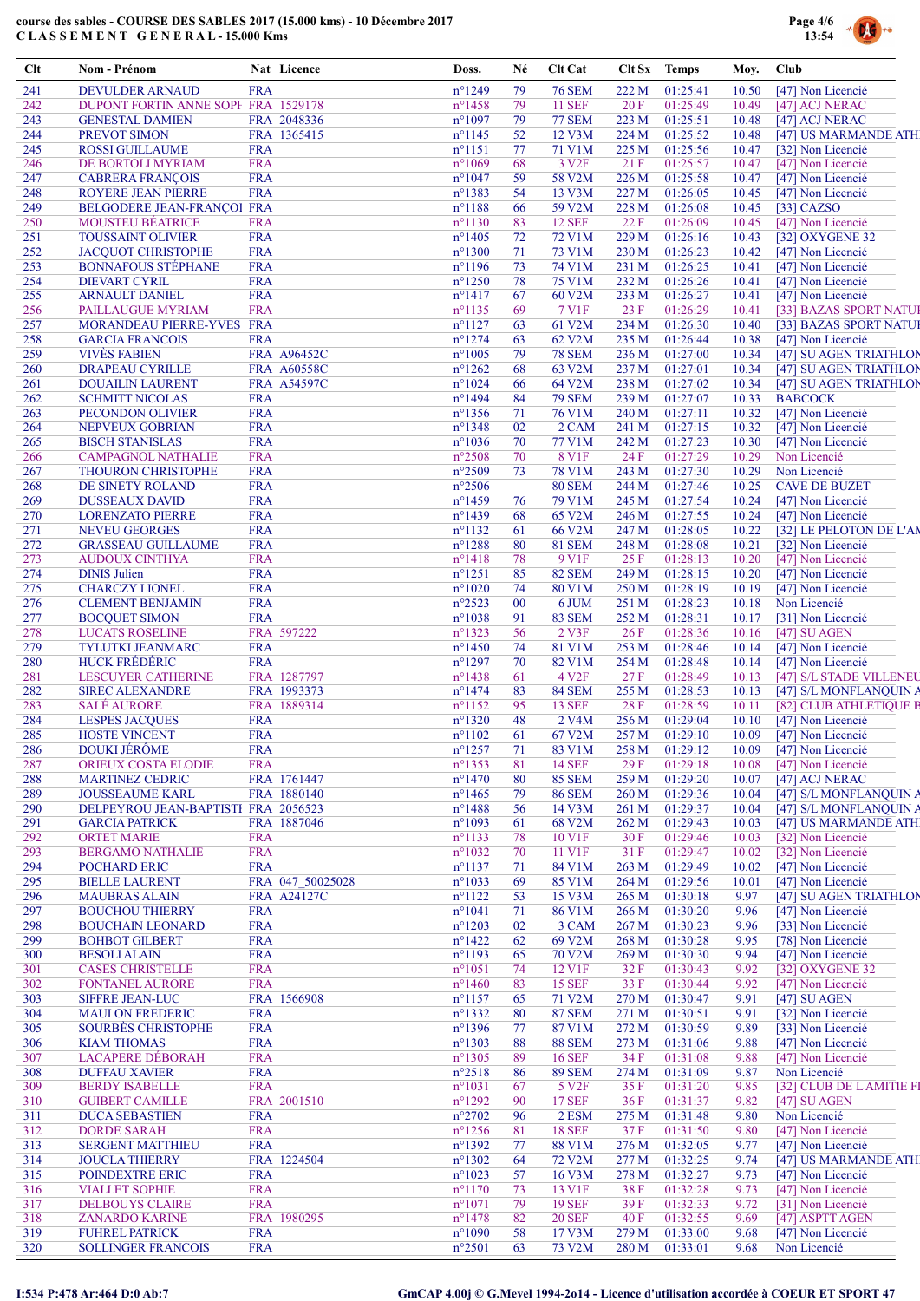

| <b>DEVULDER ARNAUD</b><br><b>FRA</b><br>$n^{\circ}$ 1249<br><b>76 SEM</b><br>222 M<br>01:25:41<br>[47] Non Licencié<br>241<br>79<br>10.50<br>01:25:49<br>242<br>DUPONT FORTIN ANNE SOPI FRA 1529178<br>$n^{\circ}$ 1458<br>79<br><b>11 SEF</b><br>20F<br>10.49<br>[47] ACJ NERAC<br>243<br>FRA 2048336<br>$n^{\circ}1097$<br>79<br><b>77 SEM</b><br>223 M<br>01:25:51<br>10.48<br><b>GENESTAL DAMIEN</b><br>[47] ACJ NERAC<br>244<br>PREVOT SIMON<br>FRA 1365415<br>$n^{\circ}$ 1145<br>52<br>12 V3M<br>224 M<br>01:25:52<br>[47] US MARMANDE ATH<br>10.48<br><b>FRA</b><br>$n^{\circ}1151$<br>77<br>71 V1M<br>225 M<br>01:25:56<br>245<br><b>ROSSI GUILLAUME</b><br>10.47<br>[32] Non Licencié<br><b>FRA</b><br>$n^{\circ}1069$<br>3 V <sub>2F</sub><br>21F<br>01:25:57<br>246<br>DE BORTOLI MYRIAM<br>68<br>10.47<br>[47] Non Licencié<br>01:25:58<br>247<br><b>CABRERA FRANÇOIS</b><br><b>FRA</b><br>$n^{\circ}1047$<br>59<br>58 V2M<br>226 M<br>10.47<br>[47] Non Licencié<br>248<br><b>ROYERE JEAN PIERRE</b><br><b>FRA</b><br>$n^{\circ}$ 1383<br>54<br>13 V3M<br>227 M<br>01:26:05<br>10.45<br>[47] Non Licencié<br>249<br>BELGODERE JEAN-FRANÇOI FRA<br>$n^{\circ}$ 1188<br>59 V2M<br>228 M<br>01:26:08<br>[33] CAZSO<br>66<br>10.45<br><b>MOUSTEU BÉATRICE</b><br>83<br>01:26:09<br>[47] Non Licencié<br>250<br><b>FRA</b><br>$n^{\circ}1130$<br><b>12 SEF</b><br>22F<br>10.45<br>251<br><b>TOUSSAINT OLIVIER</b><br><b>FRA</b><br>$n^{\circ}$ 1405<br>72<br>72 V1M<br>229 M<br>01:26:16<br>[32] OXYGENE 32<br>10.43<br>252<br><b>JACQUOT CHRISTOPHE</b><br><b>FRA</b><br>$n^{\circ}1300$<br>71<br>73 V1M<br>230 M<br>01:26:23<br>[47] Non Licencié<br>10.42<br>$n^{\circ}$ 1196<br>253<br><b>BONNAFOUS STÉPHANE</b><br><b>FRA</b><br>74 V1M<br>231 M<br>01:26:25<br>[47] Non Licencié<br>73<br>10.41<br>254<br><b>DIEVART CYRIL</b><br><b>FRA</b><br>$n^{\circ}$ 1250<br>78<br><b>75 V1M</b><br>232 M<br>01:26:26<br>10.41<br>[47] Non Licencié<br>255<br><b>FRA</b><br>$n^{\circ}1417$<br>67<br>60 V2M<br>233 M<br>01:26:27<br>10.41<br>[47] Non Licencié<br><b>ARNAULT DANIEL</b><br>256<br>7 V1F<br>23 F<br>01:26:29<br>PAILLAUGUE MYRIAM<br><b>FRA</b><br>$n^{\circ}1135$<br>69<br>10.41<br>[33] BAZAS SPORT NATUI<br>257<br>MORANDEAU PIERRE-YVES FRA<br>$n^{\circ}1127$<br>63<br>61 V2M<br>234 M<br>01:26:30<br>10.40<br>[33] BAZAS SPORT NATUI<br>258<br><b>FRA</b><br>$n^{\circ}$ 1274<br>62 V2M<br>235 M<br>01:26:44<br>[47] Non Licencié<br><b>GARCIA FRANCOIS</b><br>63<br>10.38<br>259<br><b>VIVES FABIEN</b><br>FRA A96452C<br>$n^{\circ}1005$<br>79<br><b>78 SEM</b><br>236 M<br>01:27:00<br>10.34<br>[47] SU AGEN TRIATHLON<br>260<br>FRA A60558C<br>$n^{\circ}$ 1262<br>68<br>63 V2M<br>237 M<br>01:27:01<br>10.34<br>[47] SU AGEN TRIATHLON<br><b>DRAPEAU CYRILLE</b><br>261<br><b>FRA A54597C</b><br>$n^{\circ}1024$<br>64 V2M<br>238 M<br>01:27:02<br><b>DOUAILIN LAURENT</b><br>66<br>10.34<br>[47] SU AGEN TRIATHLON<br>84<br>$n^{\circ}$ 1494<br><b>79 SEM</b><br>239 M<br>01:27:07<br><b>BABCOCK</b><br>262<br><b>SCHMITT NICOLAS</b><br><b>FRA</b><br>10.33<br>263<br><b>FRA</b><br>$n^{\circ}$ 1356<br>01:27:11<br>10.32<br>[47] Non Licencié<br>PECONDON OLIVIER<br>71<br>76 V1M<br>240 M<br>02<br>264<br>NEPVEUX GOBRIAN<br><b>FRA</b><br>$n^{\circ}$ 1348<br>2 CAM<br>241 M<br>01:27:15<br>10.32<br>[47] Non Licencié<br>265<br><b>FRA</b><br>$n^{\circ}1036$<br>77 V1M<br>242 M<br>01:27:23<br>10.30<br>[47] Non Licencié<br><b>BISCH STANISLAS</b><br>70<br>$n^{\circ}2508$<br>Non Licencié<br><b>FRA</b><br>70<br>8 V1F<br>24 F<br>01:27:29<br>10.29<br>266<br><b>CAMPAGNOL NATHALIE</b><br>$n^{\circ}2509$<br>Non Licencié<br>267<br><b>FRA</b><br>73<br><b>78 V1M</b><br>243 M<br>01:27:30<br>10.29<br><b>THOURON CHRISTOPHE</b><br>$n^{\circ}2506$<br>268<br><b>FRA</b><br><b>80 SEM</b><br>244 M<br>01:27:46<br>10.25<br><b>CAVE DE BUZET</b><br>DE SINETY ROLAND<br><b>FRA</b><br>$n^{\circ}$ 1459<br>79 V1M<br>245 M<br>01:27:54<br>10.24<br>[47] Non Licencié<br>269<br><b>DUSSEAUX DAVID</b><br>76<br>270<br><b>FRA</b><br>n°1439<br>65 V2M<br>246 M<br>01:27:55<br>10.24<br><b>LORENZATO PIERRE</b><br>68<br>[47] Non Licencié<br>271<br><b>NEVEU GEORGES</b><br><b>FRA</b><br>$n^{\circ}1132$<br>66 V2M<br>247 M<br>01:28:05<br>10.22<br>[32] LE PELOTON DE L'AN<br>61<br>$n^{\circ}$ 1288<br>272<br><b>GRASSEAU GUILLAUME</b><br><b>FRA</b><br><b>81 SEM</b><br>248 M<br>01:28:08<br>10.21<br>[32] Non Licencié<br>80<br>273<br><b>FRA</b><br>$n^{\circ}$ 1418<br>78<br>9 V <sub>1F</sub><br>25 F<br>01:28:13<br>10.20<br>[47] Non Licencié<br><b>AUDOUX CINTHYA</b><br>274<br><b>DINIS Julien</b><br><b>FRA</b><br>$n^{\circ}1251$<br>85<br>249 M<br>01:28:15<br>10.20<br>[47] Non Licencié<br><b>82 SEM</b><br>275<br><b>CHARCZY LIONEL</b><br><b>FRA</b><br>$n^{\circ}1020$<br>80 V1M<br>250 M<br>01:28:19<br>10.19<br>[47] Non Licencié<br>74<br>Non Licencié<br>276<br><b>CLEMENT BENJAMIN</b><br><b>FRA</b><br>$n^{\circ}2523$<br>00<br>251 M<br>01:28:23<br>10.18<br>6 JUM<br>277<br><b>FRA</b><br>$n^{\circ}1038$<br><b>83 SEM</b><br>252 M<br>01:28:31<br>10.17<br>[31] Non Licencié<br><b>BOCQUET SIMON</b><br>91<br>278<br><b>LUCATS ROSELINE</b><br>FRA 597222<br>$n^{\circ}$ 1323<br>56<br>2 V3F<br>26F<br>01:28:36<br>10.16<br>[47] SU AGEN<br>279<br><b>FRA</b><br>$n^{\circ}$ 1450<br>81 V1M<br>253 M<br>01:28:46<br>10.14<br>[47] Non Licencié<br><b>TYLUTKI JEANMARC</b><br>74<br>280<br><b>HUCK FRÉDÉRIC</b><br><b>FRA</b><br>$n^{\circ}$ 1297<br>01:28:48<br>70<br>82 V1M<br>254 M<br>10.14<br>[47] Non Licencié<br>281<br><b>LESCUYER CATHERINE</b><br>FRA 1287797<br>$n^{\circ}$ 1438<br>61<br>4 V <sub>2F</sub><br>27F<br>01:28:49<br>10.13<br>[47] S/L STADE VILLENEU<br>282<br><b>SIREC ALEXANDRE</b><br>FRA 1993373<br>$n^{\circ}$ 1474<br><b>84 SEM</b><br>255 M<br>01:28:53<br>83<br>10.13<br>[47] S/L MONFLANQUIN A<br><b>SALÉ AURORE</b><br>FRA 1889314<br>$n^{\circ}1152$<br>95<br><b>13 SEF</b><br>28 F<br>01:28:59<br>[82] CLUB ATHLETIQUE B<br>283<br>10.11<br>284<br><b>LESPES JACQUES</b><br>$n^{\circ}$ 1320<br>256 M<br>01:29:04<br>[47] Non Licencié<br><b>FRA</b><br>48<br>2 V <sub>4</sub> M<br>10.10<br>$257 M - 01:29:10$<br>285<br><b>HOSTE VINCENT</b><br><b>FRA</b><br>$n^{\circ}1102$<br>67 V2M<br>10.09<br>[47] Non Licencié<br>61<br><b>DOUKI JÉRÔME</b><br><b>FRA</b><br>$n^{\circ}$ 1257<br>258 M 01:29:12<br>10.09 [47] Non Licencié<br>286<br>71<br>83 V1M<br>[47] Non Licencié<br>287<br>ORIEUX COSTA ELODIE<br><b>FRA</b><br>$n^{\circ}$ 1353<br>81<br><b>14 SEF</b><br>29F<br>01:29:18<br>10.08<br>01:29:20<br>[47] ACJ NERAC<br>288<br><b>MARTINEZ CEDRIC</b><br>FRA 1761447<br>$n^{\circ}$ 1470<br>80<br><b>85 SEM</b><br>259 M<br>10.07<br>FRA 1880140<br>$n^{\circ}$ 1465<br><b>86 SEM</b><br>260 M<br>01:29:36<br>[47] S/L MONFLANQUIN A<br>289<br><b>JOUSSEAUME KARL</b><br>79<br>10.04<br>DELPEYROU JEAN-BAPTISTI FRA 2056523<br>$n^{\circ}$ 1488<br>56<br>14 V3M<br>261 M<br>01:29:37<br>[47] S/L MONFLANQUIN A<br>290<br>10.04<br>291<br>FRA 1887046<br>$n^{\circ}1093$<br>68 V2M<br>262 M<br>01:29:43<br>[47] US MARMANDE ATH<br><b>GARCIA PATRICK</b><br>61<br>10.03<br>292<br><b>ORTET MARIE</b><br><b>FRA</b><br>$n^{\circ}1133$<br>10 V1F<br>30 F<br>01:29:46<br>[32] Non Licencié<br>78<br>10.03<br><b>BERGAMO NATHALIE</b><br><b>FRA</b><br>$n^{\circ}1032$<br>70<br>11 V1F<br>01:29:47<br>[32] Non Licencié<br>293<br>31 F<br>10.02<br>294<br><b>POCHARD ERIC</b><br><b>FRA</b><br>$n^{\circ}1137$<br>84 V1M<br>01:29:49<br>[47] Non Licencié<br>71<br>263 M<br>10.02<br><b>BIELLE LAURENT</b><br>FRA 047 50025028<br>$n^{\circ}1033$<br>69<br>85 V1M<br>264 M<br>01:29:56<br>[47] Non Licencié<br>295<br>10.01<br>FRA A24127C<br>$n^{\circ}1122$<br>15 V3M<br>265 M<br>01:30:18<br>[47] SU AGEN TRIATHLON<br>296<br><b>MAUBRAS ALAIN</b><br>53<br>9.97<br>297<br><b>BOUCHOU THIERRY</b><br><b>FRA</b><br>$n^{\circ}1041$<br>86 V1M<br>266 M<br>01:30:20<br>9.96<br>[47] Non Licencié<br>71<br>$n^{\circ}1203$<br>298<br><b>BOUCHAIN LEONARD</b><br><b>FRA</b><br>3 CAM<br>267 M<br>01:30:23<br>[33] Non Licencié<br>02<br>9.96<br>299<br><b>FRA</b><br>$n^{\circ}$ 1422<br>69 V2M<br>268 M<br>01:30:28<br>[78] Non Licencié<br><b>BOHBOT GILBERT</b><br>62<br>9.95<br><b>BESOLI ALAIN</b><br><b>FRA</b><br>$n^{\circ}1193$<br>65<br>70 V2M<br>269 M<br>01:30:30<br>9.94<br>[47] Non Licencié<br>300<br><b>CASES CHRISTELLE</b><br><b>FRA</b><br>$n^{\circ}1051$<br>12 V1F<br>32 F<br>01:30:43<br>9.92<br>[32] OXYGENE 32<br>301<br>74<br><b>FRA</b><br><b>15 SEF</b><br>[47] Non Licencié<br>302<br>FONTANEL AURORE<br>$n^{\circ}$ 1460<br>83<br>33 F<br>01:30:44<br>9.92<br>$n^{\circ}1157$<br>$[47]$ SU AGEN<br>303<br><b>SIFFRE JEAN-LUC</b><br>FRA 1566908<br>71 V2M<br>270 M<br>01:30:47<br>9.91<br>65<br>304<br><b>MAULON FREDERIC</b><br><b>FRA</b><br>$n^{\circ}$ 1332<br><b>87 SEM</b><br>271 M<br>01:30:51<br>9.91<br>[32] Non Licencié<br>80<br><b>SOURBÈS CHRISTOPHE</b><br><b>FRA</b><br>$n^{\circ}$ 1396<br>87 V1M<br>[33] Non Licencié<br>305<br>77<br>272 M<br>01:30:59<br>9.89<br>306<br><b>KIAM THOMAS</b><br><b>FRA</b><br>$n^{\circ}$ 1303<br><b>88 SEM</b><br>273 M<br>01:31:06<br>[47] Non Licencié<br>88<br>9.88<br><b>LACAPERE DÉBORAH</b><br><b>FRA</b><br>$n^{\circ}$ 1305<br>89<br><b>16 SEF</b><br>34 F<br>01:31:08<br>[47] Non Licencié<br>307<br>9.88<br>$n^{\circ}2518$<br>Non Licencié<br>308<br><b>DUFFAU XAVIER</b><br><b>FRA</b><br><b>89 SEM</b><br>86<br>274 M<br>01:31:09<br>9.87<br>309<br><b>BERDY ISABELLE</b><br><b>FRA</b><br>$n^{\circ}1031$<br>5 V <sub>2F</sub><br>35F<br>01:31:20<br>9.85<br>[32] CLUB DE LAMITIE FI<br>67<br>$n^{\circ}$ 1292<br>310<br><b>GUIBERT CAMILLE</b><br>FRA 2001510<br><b>17 SEF</b><br>36 F<br>01:31:37<br>9.82<br>[47] SU AGEN<br>90<br><b>FRA</b><br>$n^{\circ}2702$<br>2 ESM<br>Non Licencié<br>311<br><b>DUCA SEBASTIEN</b><br>96<br>275 M<br>01:31:48<br>9.80<br><b>DORDE SARAH</b><br><b>FRA</b><br>$n^{\circ}$ 1256<br>81<br><b>18 SEF</b><br>37F<br>01:31:50<br>[47] Non Licencié<br>312<br>9.80 |                                                                              |  |  |  |            |                           |     |
|-------------------------------------------------------------------------------------------------------------------------------------------------------------------------------------------------------------------------------------------------------------------------------------------------------------------------------------------------------------------------------------------------------------------------------------------------------------------------------------------------------------------------------------------------------------------------------------------------------------------------------------------------------------------------------------------------------------------------------------------------------------------------------------------------------------------------------------------------------------------------------------------------------------------------------------------------------------------------------------------------------------------------------------------------------------------------------------------------------------------------------------------------------------------------------------------------------------------------------------------------------------------------------------------------------------------------------------------------------------------------------------------------------------------------------------------------------------------------------------------------------------------------------------------------------------------------------------------------------------------------------------------------------------------------------------------------------------------------------------------------------------------------------------------------------------------------------------------------------------------------------------------------------------------------------------------------------------------------------------------------------------------------------------------------------------------------------------------------------------------------------------------------------------------------------------------------------------------------------------------------------------------------------------------------------------------------------------------------------------------------------------------------------------------------------------------------------------------------------------------------------------------------------------------------------------------------------------------------------------------------------------------------------------------------------------------------------------------------------------------------------------------------------------------------------------------------------------------------------------------------------------------------------------------------------------------------------------------------------------------------------------------------------------------------------------------------------------------------------------------------------------------------------------------------------------------------------------------------------------------------------------------------------------------------------------------------------------------------------------------------------------------------------------------------------------------------------------------------------------------------------------------------------------------------------------------------------------------------------------------------------------------------------------------------------------------------------------------------------------------------------------------------------------------------------------------------------------------------------------------------------------------------------------------------------------------------------------------------------------------------------------------------------------------------------------------------------------------------------------------------------------------------------------------------------------------------------------------------------------------------------------------------------------------------------------------------------------------------------------------------------------------------------------------------------------------------------------------------------------------------------------------------------------------------------------------------------------------------------------------------------------------------------------------------------------------------------------------------------------------------------------------------------------------------------------------------------------------------------------------------------------------------------------------------------------------------------------------------------------------------------------------------------------------------------------------------------------------------------------------------------------------------------------------------------------------------------------------------------------------------------------------------------------------------------------------------------------------------------------------------------------------------------------------------------------------------------------------------------------------------------------------------------------------------------------------------------------------------------------------------------------------------------------------------------------------------------------------------------------------------------------------------------------------------------------------------------------------------------------------------------------------------------------------------------------------------------------------------------------------------------------------------------------------------------------------------------------------------------------------------------------------------------------------------------------------------------------------------------------------------------------------------------------------------------------------------------------------------------------------------------------------------------------------------------------------------------------------------------------------------------------------------------------------------------------------------------------------------------------------------------------------------------------------------------------------------------------------------------------------------------------------------------------------------------------------------------------------------------------------------------------------------------------------------------------------------------------------------------------------------------------------------------------------------------------------------------------------------------------------------------------------------------------------------------------------------------------------------------------------------------------------------------------------------------------------------------------------------------------------------------------------------------------------------------------------------------------------------------------------------------------------------------------------------------------------------------------------------------------------------------------------------------------------------------------------------------------------------------------------------------------------------------------------------------------------------------------------------------------------------------------------------------------------------------------------------------------------------------------------------------------------------------------------------------------------------------------------------------------------------------------------------------------------------------------------------------------------------------------------------------------------------------------------------------------------------------------------------------------------------------------------------------------------------------------------------------------------------------------------------------------------------------------------------------------------------------------------------------------------------------------------------------------------------------------------------------------------------------------------------------------------------------------------------------------------------------------------------------------------------------------------------------------------------------------------------------------------------------------------------------------------------------------------------------------------------------------------------------------------------------------------------------------------------------------------------------------------------------------------------------------------------------------------------------------------------------------------------------------------------------------------------------------------------------------------------------------------------------------------------------------------------------------------------------------------------------------------------------------------------------------------------------------------------------------------------------------------------------------------------------------------------------------------------------------------------------------------------------------------------------------------------------------------------------------------------------------------------------------------------------------------------------------------------------------------------------------------------------------------|------------------------------------------------------------------------------|--|--|--|------------|---------------------------|-----|
|                                                                                                                                                                                                                                                                                                                                                                                                                                                                                                                                                                                                                                                                                                                                                                                                                                                                                                                                                                                                                                                                                                                                                                                                                                                                                                                                                                                                                                                                                                                                                                                                                                                                                                                                                                                                                                                                                                                                                                                                                                                                                                                                                                                                                                                                                                                                                                                                                                                                                                                                                                                                                                                                                                                                                                                                                                                                                                                                                                                                                                                                                                                                                                                                                                                                                                                                                                                                                                                                                                                                                                                                                                                                                                                                                                                                                                                                                                                                                                                                                                                                                                                                                                                                                                                                                                                                                                                                                                                                                                                                                                                                                                                                                                                                                                                                                                                                                                                                                                                                                                                                                                                                                                                                                                                                                                                                                                                                                                                                                                                                                                                                                                                                                                                                                                                                                                                                                                                                                                                                                                                                                                                                                                                                                                                                                                                                                                                                                                                                                                                                                                                                                                                                                                                                                                                                                                                                                                                                                                                                                                                                                                                                                                                                                                                                                                                                                                                                                                                                                                                                                                                                                                                                                                                                                                                                                                                                                                                                                                                                                                                                                                                                                                                                                                                                                                                                                                                                                                                                                                                                                                                                                                                                                                                                                                                                                                                                                                                                                                                                                                                                                                                                                                                                                                                                                                                                                                                                                                                                                                                                                                                                                                                                                                                                                                                                                                                                                                                                                                                                                                                                                                                   |                                                                              |  |  |  |            |                           |     |
|                                                                                                                                                                                                                                                                                                                                                                                                                                                                                                                                                                                                                                                                                                                                                                                                                                                                                                                                                                                                                                                                                                                                                                                                                                                                                                                                                                                                                                                                                                                                                                                                                                                                                                                                                                                                                                                                                                                                                                                                                                                                                                                                                                                                                                                                                                                                                                                                                                                                                                                                                                                                                                                                                                                                                                                                                                                                                                                                                                                                                                                                                                                                                                                                                                                                                                                                                                                                                                                                                                                                                                                                                                                                                                                                                                                                                                                                                                                                                                                                                                                                                                                                                                                                                                                                                                                                                                                                                                                                                                                                                                                                                                                                                                                                                                                                                                                                                                                                                                                                                                                                                                                                                                                                                                                                                                                                                                                                                                                                                                                                                                                                                                                                                                                                                                                                                                                                                                                                                                                                                                                                                                                                                                                                                                                                                                                                                                                                                                                                                                                                                                                                                                                                                                                                                                                                                                                                                                                                                                                                                                                                                                                                                                                                                                                                                                                                                                                                                                                                                                                                                                                                                                                                                                                                                                                                                                                                                                                                                                                                                                                                                                                                                                                                                                                                                                                                                                                                                                                                                                                                                                                                                                                                                                                                                                                                                                                                                                                                                                                                                                                                                                                                                                                                                                                                                                                                                                                                                                                                                                                                                                                                                                                                                                                                                                                                                                                                                                                                                                                                                                                                                                                   |                                                                              |  |  |  |            |                           |     |
|                                                                                                                                                                                                                                                                                                                                                                                                                                                                                                                                                                                                                                                                                                                                                                                                                                                                                                                                                                                                                                                                                                                                                                                                                                                                                                                                                                                                                                                                                                                                                                                                                                                                                                                                                                                                                                                                                                                                                                                                                                                                                                                                                                                                                                                                                                                                                                                                                                                                                                                                                                                                                                                                                                                                                                                                                                                                                                                                                                                                                                                                                                                                                                                                                                                                                                                                                                                                                                                                                                                                                                                                                                                                                                                                                                                                                                                                                                                                                                                                                                                                                                                                                                                                                                                                                                                                                                                                                                                                                                                                                                                                                                                                                                                                                                                                                                                                                                                                                                                                                                                                                                                                                                                                                                                                                                                                                                                                                                                                                                                                                                                                                                                                                                                                                                                                                                                                                                                                                                                                                                                                                                                                                                                                                                                                                                                                                                                                                                                                                                                                                                                                                                                                                                                                                                                                                                                                                                                                                                                                                                                                                                                                                                                                                                                                                                                                                                                                                                                                                                                                                                                                                                                                                                                                                                                                                                                                                                                                                                                                                                                                                                                                                                                                                                                                                                                                                                                                                                                                                                                                                                                                                                                                                                                                                                                                                                                                                                                                                                                                                                                                                                                                                                                                                                                                                                                                                                                                                                                                                                                                                                                                                                                                                                                                                                                                                                                                                                                                                                                                                                                                                                                   |                                                                              |  |  |  |            |                           |     |
|                                                                                                                                                                                                                                                                                                                                                                                                                                                                                                                                                                                                                                                                                                                                                                                                                                                                                                                                                                                                                                                                                                                                                                                                                                                                                                                                                                                                                                                                                                                                                                                                                                                                                                                                                                                                                                                                                                                                                                                                                                                                                                                                                                                                                                                                                                                                                                                                                                                                                                                                                                                                                                                                                                                                                                                                                                                                                                                                                                                                                                                                                                                                                                                                                                                                                                                                                                                                                                                                                                                                                                                                                                                                                                                                                                                                                                                                                                                                                                                                                                                                                                                                                                                                                                                                                                                                                                                                                                                                                                                                                                                                                                                                                                                                                                                                                                                                                                                                                                                                                                                                                                                                                                                                                                                                                                                                                                                                                                                                                                                                                                                                                                                                                                                                                                                                                                                                                                                                                                                                                                                                                                                                                                                                                                                                                                                                                                                                                                                                                                                                                                                                                                                                                                                                                                                                                                                                                                                                                                                                                                                                                                                                                                                                                                                                                                                                                                                                                                                                                                                                                                                                                                                                                                                                                                                                                                                                                                                                                                                                                                                                                                                                                                                                                                                                                                                                                                                                                                                                                                                                                                                                                                                                                                                                                                                                                                                                                                                                                                                                                                                                                                                                                                                                                                                                                                                                                                                                                                                                                                                                                                                                                                                                                                                                                                                                                                                                                                                                                                                                                                                                                                                   |                                                                              |  |  |  |            |                           |     |
|                                                                                                                                                                                                                                                                                                                                                                                                                                                                                                                                                                                                                                                                                                                                                                                                                                                                                                                                                                                                                                                                                                                                                                                                                                                                                                                                                                                                                                                                                                                                                                                                                                                                                                                                                                                                                                                                                                                                                                                                                                                                                                                                                                                                                                                                                                                                                                                                                                                                                                                                                                                                                                                                                                                                                                                                                                                                                                                                                                                                                                                                                                                                                                                                                                                                                                                                                                                                                                                                                                                                                                                                                                                                                                                                                                                                                                                                                                                                                                                                                                                                                                                                                                                                                                                                                                                                                                                                                                                                                                                                                                                                                                                                                                                                                                                                                                                                                                                                                                                                                                                                                                                                                                                                                                                                                                                                                                                                                                                                                                                                                                                                                                                                                                                                                                                                                                                                                                                                                                                                                                                                                                                                                                                                                                                                                                                                                                                                                                                                                                                                                                                                                                                                                                                                                                                                                                                                                                                                                                                                                                                                                                                                                                                                                                                                                                                                                                                                                                                                                                                                                                                                                                                                                                                                                                                                                                                                                                                                                                                                                                                                                                                                                                                                                                                                                                                                                                                                                                                                                                                                                                                                                                                                                                                                                                                                                                                                                                                                                                                                                                                                                                                                                                                                                                                                                                                                                                                                                                                                                                                                                                                                                                                                                                                                                                                                                                                                                                                                                                                                                                                                                                                   |                                                                              |  |  |  |            |                           |     |
|                                                                                                                                                                                                                                                                                                                                                                                                                                                                                                                                                                                                                                                                                                                                                                                                                                                                                                                                                                                                                                                                                                                                                                                                                                                                                                                                                                                                                                                                                                                                                                                                                                                                                                                                                                                                                                                                                                                                                                                                                                                                                                                                                                                                                                                                                                                                                                                                                                                                                                                                                                                                                                                                                                                                                                                                                                                                                                                                                                                                                                                                                                                                                                                                                                                                                                                                                                                                                                                                                                                                                                                                                                                                                                                                                                                                                                                                                                                                                                                                                                                                                                                                                                                                                                                                                                                                                                                                                                                                                                                                                                                                                                                                                                                                                                                                                                                                                                                                                                                                                                                                                                                                                                                                                                                                                                                                                                                                                                                                                                                                                                                                                                                                                                                                                                                                                                                                                                                                                                                                                                                                                                                                                                                                                                                                                                                                                                                                                                                                                                                                                                                                                                                                                                                                                                                                                                                                                                                                                                                                                                                                                                                                                                                                                                                                                                                                                                                                                                                                                                                                                                                                                                                                                                                                                                                                                                                                                                                                                                                                                                                                                                                                                                                                                                                                                                                                                                                                                                                                                                                                                                                                                                                                                                                                                                                                                                                                                                                                                                                                                                                                                                                                                                                                                                                                                                                                                                                                                                                                                                                                                                                                                                                                                                                                                                                                                                                                                                                                                                                                                                                                                                                   |                                                                              |  |  |  |            |                           |     |
|                                                                                                                                                                                                                                                                                                                                                                                                                                                                                                                                                                                                                                                                                                                                                                                                                                                                                                                                                                                                                                                                                                                                                                                                                                                                                                                                                                                                                                                                                                                                                                                                                                                                                                                                                                                                                                                                                                                                                                                                                                                                                                                                                                                                                                                                                                                                                                                                                                                                                                                                                                                                                                                                                                                                                                                                                                                                                                                                                                                                                                                                                                                                                                                                                                                                                                                                                                                                                                                                                                                                                                                                                                                                                                                                                                                                                                                                                                                                                                                                                                                                                                                                                                                                                                                                                                                                                                                                                                                                                                                                                                                                                                                                                                                                                                                                                                                                                                                                                                                                                                                                                                                                                                                                                                                                                                                                                                                                                                                                                                                                                                                                                                                                                                                                                                                                                                                                                                                                                                                                                                                                                                                                                                                                                                                                                                                                                                                                                                                                                                                                                                                                                                                                                                                                                                                                                                                                                                                                                                                                                                                                                                                                                                                                                                                                                                                                                                                                                                                                                                                                                                                                                                                                                                                                                                                                                                                                                                                                                                                                                                                                                                                                                                                                                                                                                                                                                                                                                                                                                                                                                                                                                                                                                                                                                                                                                                                                                                                                                                                                                                                                                                                                                                                                                                                                                                                                                                                                                                                                                                                                                                                                                                                                                                                                                                                                                                                                                                                                                                                                                                                                                                                   |                                                                              |  |  |  |            |                           |     |
|                                                                                                                                                                                                                                                                                                                                                                                                                                                                                                                                                                                                                                                                                                                                                                                                                                                                                                                                                                                                                                                                                                                                                                                                                                                                                                                                                                                                                                                                                                                                                                                                                                                                                                                                                                                                                                                                                                                                                                                                                                                                                                                                                                                                                                                                                                                                                                                                                                                                                                                                                                                                                                                                                                                                                                                                                                                                                                                                                                                                                                                                                                                                                                                                                                                                                                                                                                                                                                                                                                                                                                                                                                                                                                                                                                                                                                                                                                                                                                                                                                                                                                                                                                                                                                                                                                                                                                                                                                                                                                                                                                                                                                                                                                                                                                                                                                                                                                                                                                                                                                                                                                                                                                                                                                                                                                                                                                                                                                                                                                                                                                                                                                                                                                                                                                                                                                                                                                                                                                                                                                                                                                                                                                                                                                                                                                                                                                                                                                                                                                                                                                                                                                                                                                                                                                                                                                                                                                                                                                                                                                                                                                                                                                                                                                                                                                                                                                                                                                                                                                                                                                                                                                                                                                                                                                                                                                                                                                                                                                                                                                                                                                                                                                                                                                                                                                                                                                                                                                                                                                                                                                                                                                                                                                                                                                                                                                                                                                                                                                                                                                                                                                                                                                                                                                                                                                                                                                                                                                                                                                                                                                                                                                                                                                                                                                                                                                                                                                                                                                                                                                                                                                                   |                                                                              |  |  |  |            |                           |     |
|                                                                                                                                                                                                                                                                                                                                                                                                                                                                                                                                                                                                                                                                                                                                                                                                                                                                                                                                                                                                                                                                                                                                                                                                                                                                                                                                                                                                                                                                                                                                                                                                                                                                                                                                                                                                                                                                                                                                                                                                                                                                                                                                                                                                                                                                                                                                                                                                                                                                                                                                                                                                                                                                                                                                                                                                                                                                                                                                                                                                                                                                                                                                                                                                                                                                                                                                                                                                                                                                                                                                                                                                                                                                                                                                                                                                                                                                                                                                                                                                                                                                                                                                                                                                                                                                                                                                                                                                                                                                                                                                                                                                                                                                                                                                                                                                                                                                                                                                                                                                                                                                                                                                                                                                                                                                                                                                                                                                                                                                                                                                                                                                                                                                                                                                                                                                                                                                                                                                                                                                                                                                                                                                                                                                                                                                                                                                                                                                                                                                                                                                                                                                                                                                                                                                                                                                                                                                                                                                                                                                                                                                                                                                                                                                                                                                                                                                                                                                                                                                                                                                                                                                                                                                                                                                                                                                                                                                                                                                                                                                                                                                                                                                                                                                                                                                                                                                                                                                                                                                                                                                                                                                                                                                                                                                                                                                                                                                                                                                                                                                                                                                                                                                                                                                                                                                                                                                                                                                                                                                                                                                                                                                                                                                                                                                                                                                                                                                                                                                                                                                                                                                                                                   |                                                                              |  |  |  |            |                           |     |
|                                                                                                                                                                                                                                                                                                                                                                                                                                                                                                                                                                                                                                                                                                                                                                                                                                                                                                                                                                                                                                                                                                                                                                                                                                                                                                                                                                                                                                                                                                                                                                                                                                                                                                                                                                                                                                                                                                                                                                                                                                                                                                                                                                                                                                                                                                                                                                                                                                                                                                                                                                                                                                                                                                                                                                                                                                                                                                                                                                                                                                                                                                                                                                                                                                                                                                                                                                                                                                                                                                                                                                                                                                                                                                                                                                                                                                                                                                                                                                                                                                                                                                                                                                                                                                                                                                                                                                                                                                                                                                                                                                                                                                                                                                                                                                                                                                                                                                                                                                                                                                                                                                                                                                                                                                                                                                                                                                                                                                                                                                                                                                                                                                                                                                                                                                                                                                                                                                                                                                                                                                                                                                                                                                                                                                                                                                                                                                                                                                                                                                                                                                                                                                                                                                                                                                                                                                                                                                                                                                                                                                                                                                                                                                                                                                                                                                                                                                                                                                                                                                                                                                                                                                                                                                                                                                                                                                                                                                                                                                                                                                                                                                                                                                                                                                                                                                                                                                                                                                                                                                                                                                                                                                                                                                                                                                                                                                                                                                                                                                                                                                                                                                                                                                                                                                                                                                                                                                                                                                                                                                                                                                                                                                                                                                                                                                                                                                                                                                                                                                                                                                                                                                                   |                                                                              |  |  |  |            |                           |     |
|                                                                                                                                                                                                                                                                                                                                                                                                                                                                                                                                                                                                                                                                                                                                                                                                                                                                                                                                                                                                                                                                                                                                                                                                                                                                                                                                                                                                                                                                                                                                                                                                                                                                                                                                                                                                                                                                                                                                                                                                                                                                                                                                                                                                                                                                                                                                                                                                                                                                                                                                                                                                                                                                                                                                                                                                                                                                                                                                                                                                                                                                                                                                                                                                                                                                                                                                                                                                                                                                                                                                                                                                                                                                                                                                                                                                                                                                                                                                                                                                                                                                                                                                                                                                                                                                                                                                                                                                                                                                                                                                                                                                                                                                                                                                                                                                                                                                                                                                                                                                                                                                                                                                                                                                                                                                                                                                                                                                                                                                                                                                                                                                                                                                                                                                                                                                                                                                                                                                                                                                                                                                                                                                                                                                                                                                                                                                                                                                                                                                                                                                                                                                                                                                                                                                                                                                                                                                                                                                                                                                                                                                                                                                                                                                                                                                                                                                                                                                                                                                                                                                                                                                                                                                                                                                                                                                                                                                                                                                                                                                                                                                                                                                                                                                                                                                                                                                                                                                                                                                                                                                                                                                                                                                                                                                                                                                                                                                                                                                                                                                                                                                                                                                                                                                                                                                                                                                                                                                                                                                                                                                                                                                                                                                                                                                                                                                                                                                                                                                                                                                                                                                                                                   |                                                                              |  |  |  |            |                           |     |
|                                                                                                                                                                                                                                                                                                                                                                                                                                                                                                                                                                                                                                                                                                                                                                                                                                                                                                                                                                                                                                                                                                                                                                                                                                                                                                                                                                                                                                                                                                                                                                                                                                                                                                                                                                                                                                                                                                                                                                                                                                                                                                                                                                                                                                                                                                                                                                                                                                                                                                                                                                                                                                                                                                                                                                                                                                                                                                                                                                                                                                                                                                                                                                                                                                                                                                                                                                                                                                                                                                                                                                                                                                                                                                                                                                                                                                                                                                                                                                                                                                                                                                                                                                                                                                                                                                                                                                                                                                                                                                                                                                                                                                                                                                                                                                                                                                                                                                                                                                                                                                                                                                                                                                                                                                                                                                                                                                                                                                                                                                                                                                                                                                                                                                                                                                                                                                                                                                                                                                                                                                                                                                                                                                                                                                                                                                                                                                                                                                                                                                                                                                                                                                                                                                                                                                                                                                                                                                                                                                                                                                                                                                                                                                                                                                                                                                                                                                                                                                                                                                                                                                                                                                                                                                                                                                                                                                                                                                                                                                                                                                                                                                                                                                                                                                                                                                                                                                                                                                                                                                                                                                                                                                                                                                                                                                                                                                                                                                                                                                                                                                                                                                                                                                                                                                                                                                                                                                                                                                                                                                                                                                                                                                                                                                                                                                                                                                                                                                                                                                                                                                                                                                                   |                                                                              |  |  |  |            |                           |     |
|                                                                                                                                                                                                                                                                                                                                                                                                                                                                                                                                                                                                                                                                                                                                                                                                                                                                                                                                                                                                                                                                                                                                                                                                                                                                                                                                                                                                                                                                                                                                                                                                                                                                                                                                                                                                                                                                                                                                                                                                                                                                                                                                                                                                                                                                                                                                                                                                                                                                                                                                                                                                                                                                                                                                                                                                                                                                                                                                                                                                                                                                                                                                                                                                                                                                                                                                                                                                                                                                                                                                                                                                                                                                                                                                                                                                                                                                                                                                                                                                                                                                                                                                                                                                                                                                                                                                                                                                                                                                                                                                                                                                                                                                                                                                                                                                                                                                                                                                                                                                                                                                                                                                                                                                                                                                                                                                                                                                                                                                                                                                                                                                                                                                                                                                                                                                                                                                                                                                                                                                                                                                                                                                                                                                                                                                                                                                                                                                                                                                                                                                                                                                                                                                                                                                                                                                                                                                                                                                                                                                                                                                                                                                                                                                                                                                                                                                                                                                                                                                                                                                                                                                                                                                                                                                                                                                                                                                                                                                                                                                                                                                                                                                                                                                                                                                                                                                                                                                                                                                                                                                                                                                                                                                                                                                                                                                                                                                                                                                                                                                                                                                                                                                                                                                                                                                                                                                                                                                                                                                                                                                                                                                                                                                                                                                                                                                                                                                                                                                                                                                                                                                                                                   |                                                                              |  |  |  |            |                           |     |
|                                                                                                                                                                                                                                                                                                                                                                                                                                                                                                                                                                                                                                                                                                                                                                                                                                                                                                                                                                                                                                                                                                                                                                                                                                                                                                                                                                                                                                                                                                                                                                                                                                                                                                                                                                                                                                                                                                                                                                                                                                                                                                                                                                                                                                                                                                                                                                                                                                                                                                                                                                                                                                                                                                                                                                                                                                                                                                                                                                                                                                                                                                                                                                                                                                                                                                                                                                                                                                                                                                                                                                                                                                                                                                                                                                                                                                                                                                                                                                                                                                                                                                                                                                                                                                                                                                                                                                                                                                                                                                                                                                                                                                                                                                                                                                                                                                                                                                                                                                                                                                                                                                                                                                                                                                                                                                                                                                                                                                                                                                                                                                                                                                                                                                                                                                                                                                                                                                                                                                                                                                                                                                                                                                                                                                                                                                                                                                                                                                                                                                                                                                                                                                                                                                                                                                                                                                                                                                                                                                                                                                                                                                                                                                                                                                                                                                                                                                                                                                                                                                                                                                                                                                                                                                                                                                                                                                                                                                                                                                                                                                                                                                                                                                                                                                                                                                                                                                                                                                                                                                                                                                                                                                                                                                                                                                                                                                                                                                                                                                                                                                                                                                                                                                                                                                                                                                                                                                                                                                                                                                                                                                                                                                                                                                                                                                                                                                                                                                                                                                                                                                                                                                                   |                                                                              |  |  |  |            |                           |     |
|                                                                                                                                                                                                                                                                                                                                                                                                                                                                                                                                                                                                                                                                                                                                                                                                                                                                                                                                                                                                                                                                                                                                                                                                                                                                                                                                                                                                                                                                                                                                                                                                                                                                                                                                                                                                                                                                                                                                                                                                                                                                                                                                                                                                                                                                                                                                                                                                                                                                                                                                                                                                                                                                                                                                                                                                                                                                                                                                                                                                                                                                                                                                                                                                                                                                                                                                                                                                                                                                                                                                                                                                                                                                                                                                                                                                                                                                                                                                                                                                                                                                                                                                                                                                                                                                                                                                                                                                                                                                                                                                                                                                                                                                                                                                                                                                                                                                                                                                                                                                                                                                                                                                                                                                                                                                                                                                                                                                                                                                                                                                                                                                                                                                                                                                                                                                                                                                                                                                                                                                                                                                                                                                                                                                                                                                                                                                                                                                                                                                                                                                                                                                                                                                                                                                                                                                                                                                                                                                                                                                                                                                                                                                                                                                                                                                                                                                                                                                                                                                                                                                                                                                                                                                                                                                                                                                                                                                                                                                                                                                                                                                                                                                                                                                                                                                                                                                                                                                                                                                                                                                                                                                                                                                                                                                                                                                                                                                                                                                                                                                                                                                                                                                                                                                                                                                                                                                                                                                                                                                                                                                                                                                                                                                                                                                                                                                                                                                                                                                                                                                                                                                                                                   |                                                                              |  |  |  |            |                           |     |
|                                                                                                                                                                                                                                                                                                                                                                                                                                                                                                                                                                                                                                                                                                                                                                                                                                                                                                                                                                                                                                                                                                                                                                                                                                                                                                                                                                                                                                                                                                                                                                                                                                                                                                                                                                                                                                                                                                                                                                                                                                                                                                                                                                                                                                                                                                                                                                                                                                                                                                                                                                                                                                                                                                                                                                                                                                                                                                                                                                                                                                                                                                                                                                                                                                                                                                                                                                                                                                                                                                                                                                                                                                                                                                                                                                                                                                                                                                                                                                                                                                                                                                                                                                                                                                                                                                                                                                                                                                                                                                                                                                                                                                                                                                                                                                                                                                                                                                                                                                                                                                                                                                                                                                                                                                                                                                                                                                                                                                                                                                                                                                                                                                                                                                                                                                                                                                                                                                                                                                                                                                                                                                                                                                                                                                                                                                                                                                                                                                                                                                                                                                                                                                                                                                                                                                                                                                                                                                                                                                                                                                                                                                                                                                                                                                                                                                                                                                                                                                                                                                                                                                                                                                                                                                                                                                                                                                                                                                                                                                                                                                                                                                                                                                                                                                                                                                                                                                                                                                                                                                                                                                                                                                                                                                                                                                                                                                                                                                                                                                                                                                                                                                                                                                                                                                                                                                                                                                                                                                                                                                                                                                                                                                                                                                                                                                                                                                                                                                                                                                                                                                                                                                                   |                                                                              |  |  |  |            |                           |     |
|                                                                                                                                                                                                                                                                                                                                                                                                                                                                                                                                                                                                                                                                                                                                                                                                                                                                                                                                                                                                                                                                                                                                                                                                                                                                                                                                                                                                                                                                                                                                                                                                                                                                                                                                                                                                                                                                                                                                                                                                                                                                                                                                                                                                                                                                                                                                                                                                                                                                                                                                                                                                                                                                                                                                                                                                                                                                                                                                                                                                                                                                                                                                                                                                                                                                                                                                                                                                                                                                                                                                                                                                                                                                                                                                                                                                                                                                                                                                                                                                                                                                                                                                                                                                                                                                                                                                                                                                                                                                                                                                                                                                                                                                                                                                                                                                                                                                                                                                                                                                                                                                                                                                                                                                                                                                                                                                                                                                                                                                                                                                                                                                                                                                                                                                                                                                                                                                                                                                                                                                                                                                                                                                                                                                                                                                                                                                                                                                                                                                                                                                                                                                                                                                                                                                                                                                                                                                                                                                                                                                                                                                                                                                                                                                                                                                                                                                                                                                                                                                                                                                                                                                                                                                                                                                                                                                                                                                                                                                                                                                                                                                                                                                                                                                                                                                                                                                                                                                                                                                                                                                                                                                                                                                                                                                                                                                                                                                                                                                                                                                                                                                                                                                                                                                                                                                                                                                                                                                                                                                                                                                                                                                                                                                                                                                                                                                                                                                                                                                                                                                                                                                                                                   |                                                                              |  |  |  |            |                           |     |
|                                                                                                                                                                                                                                                                                                                                                                                                                                                                                                                                                                                                                                                                                                                                                                                                                                                                                                                                                                                                                                                                                                                                                                                                                                                                                                                                                                                                                                                                                                                                                                                                                                                                                                                                                                                                                                                                                                                                                                                                                                                                                                                                                                                                                                                                                                                                                                                                                                                                                                                                                                                                                                                                                                                                                                                                                                                                                                                                                                                                                                                                                                                                                                                                                                                                                                                                                                                                                                                                                                                                                                                                                                                                                                                                                                                                                                                                                                                                                                                                                                                                                                                                                                                                                                                                                                                                                                                                                                                                                                                                                                                                                                                                                                                                                                                                                                                                                                                                                                                                                                                                                                                                                                                                                                                                                                                                                                                                                                                                                                                                                                                                                                                                                                                                                                                                                                                                                                                                                                                                                                                                                                                                                                                                                                                                                                                                                                                                                                                                                                                                                                                                                                                                                                                                                                                                                                                                                                                                                                                                                                                                                                                                                                                                                                                                                                                                                                                                                                                                                                                                                                                                                                                                                                                                                                                                                                                                                                                                                                                                                                                                                                                                                                                                                                                                                                                                                                                                                                                                                                                                                                                                                                                                                                                                                                                                                                                                                                                                                                                                                                                                                                                                                                                                                                                                                                                                                                                                                                                                                                                                                                                                                                                                                                                                                                                                                                                                                                                                                                                                                                                                                                                   |                                                                              |  |  |  |            |                           |     |
|                                                                                                                                                                                                                                                                                                                                                                                                                                                                                                                                                                                                                                                                                                                                                                                                                                                                                                                                                                                                                                                                                                                                                                                                                                                                                                                                                                                                                                                                                                                                                                                                                                                                                                                                                                                                                                                                                                                                                                                                                                                                                                                                                                                                                                                                                                                                                                                                                                                                                                                                                                                                                                                                                                                                                                                                                                                                                                                                                                                                                                                                                                                                                                                                                                                                                                                                                                                                                                                                                                                                                                                                                                                                                                                                                                                                                                                                                                                                                                                                                                                                                                                                                                                                                                                                                                                                                                                                                                                                                                                                                                                                                                                                                                                                                                                                                                                                                                                                                                                                                                                                                                                                                                                                                                                                                                                                                                                                                                                                                                                                                                                                                                                                                                                                                                                                                                                                                                                                                                                                                                                                                                                                                                                                                                                                                                                                                                                                                                                                                                                                                                                                                                                                                                                                                                                                                                                                                                                                                                                                                                                                                                                                                                                                                                                                                                                                                                                                                                                                                                                                                                                                                                                                                                                                                                                                                                                                                                                                                                                                                                                                                                                                                                                                                                                                                                                                                                                                                                                                                                                                                                                                                                                                                                                                                                                                                                                                                                                                                                                                                                                                                                                                                                                                                                                                                                                                                                                                                                                                                                                                                                                                                                                                                                                                                                                                                                                                                                                                                                                                                                                                                                                   |                                                                              |  |  |  |            |                           |     |
|                                                                                                                                                                                                                                                                                                                                                                                                                                                                                                                                                                                                                                                                                                                                                                                                                                                                                                                                                                                                                                                                                                                                                                                                                                                                                                                                                                                                                                                                                                                                                                                                                                                                                                                                                                                                                                                                                                                                                                                                                                                                                                                                                                                                                                                                                                                                                                                                                                                                                                                                                                                                                                                                                                                                                                                                                                                                                                                                                                                                                                                                                                                                                                                                                                                                                                                                                                                                                                                                                                                                                                                                                                                                                                                                                                                                                                                                                                                                                                                                                                                                                                                                                                                                                                                                                                                                                                                                                                                                                                                                                                                                                                                                                                                                                                                                                                                                                                                                                                                                                                                                                                                                                                                                                                                                                                                                                                                                                                                                                                                                                                                                                                                                                                                                                                                                                                                                                                                                                                                                                                                                                                                                                                                                                                                                                                                                                                                                                                                                                                                                                                                                                                                                                                                                                                                                                                                                                                                                                                                                                                                                                                                                                                                                                                                                                                                                                                                                                                                                                                                                                                                                                                                                                                                                                                                                                                                                                                                                                                                                                                                                                                                                                                                                                                                                                                                                                                                                                                                                                                                                                                                                                                                                                                                                                                                                                                                                                                                                                                                                                                                                                                                                                                                                                                                                                                                                                                                                                                                                                                                                                                                                                                                                                                                                                                                                                                                                                                                                                                                                                                                                                                                   |                                                                              |  |  |  |            |                           |     |
|                                                                                                                                                                                                                                                                                                                                                                                                                                                                                                                                                                                                                                                                                                                                                                                                                                                                                                                                                                                                                                                                                                                                                                                                                                                                                                                                                                                                                                                                                                                                                                                                                                                                                                                                                                                                                                                                                                                                                                                                                                                                                                                                                                                                                                                                                                                                                                                                                                                                                                                                                                                                                                                                                                                                                                                                                                                                                                                                                                                                                                                                                                                                                                                                                                                                                                                                                                                                                                                                                                                                                                                                                                                                                                                                                                                                                                                                                                                                                                                                                                                                                                                                                                                                                                                                                                                                                                                                                                                                                                                                                                                                                                                                                                                                                                                                                                                                                                                                                                                                                                                                                                                                                                                                                                                                                                                                                                                                                                                                                                                                                                                                                                                                                                                                                                                                                                                                                                                                                                                                                                                                                                                                                                                                                                                                                                                                                                                                                                                                                                                                                                                                                                                                                                                                                                                                                                                                                                                                                                                                                                                                                                                                                                                                                                                                                                                                                                                                                                                                                                                                                                                                                                                                                                                                                                                                                                                                                                                                                                                                                                                                                                                                                                                                                                                                                                                                                                                                                                                                                                                                                                                                                                                                                                                                                                                                                                                                                                                                                                                                                                                                                                                                                                                                                                                                                                                                                                                                                                                                                                                                                                                                                                                                                                                                                                                                                                                                                                                                                                                                                                                                                                                   |                                                                              |  |  |  |            |                           |     |
|                                                                                                                                                                                                                                                                                                                                                                                                                                                                                                                                                                                                                                                                                                                                                                                                                                                                                                                                                                                                                                                                                                                                                                                                                                                                                                                                                                                                                                                                                                                                                                                                                                                                                                                                                                                                                                                                                                                                                                                                                                                                                                                                                                                                                                                                                                                                                                                                                                                                                                                                                                                                                                                                                                                                                                                                                                                                                                                                                                                                                                                                                                                                                                                                                                                                                                                                                                                                                                                                                                                                                                                                                                                                                                                                                                                                                                                                                                                                                                                                                                                                                                                                                                                                                                                                                                                                                                                                                                                                                                                                                                                                                                                                                                                                                                                                                                                                                                                                                                                                                                                                                                                                                                                                                                                                                                                                                                                                                                                                                                                                                                                                                                                                                                                                                                                                                                                                                                                                                                                                                                                                                                                                                                                                                                                                                                                                                                                                                                                                                                                                                                                                                                                                                                                                                                                                                                                                                                                                                                                                                                                                                                                                                                                                                                                                                                                                                                                                                                                                                                                                                                                                                                                                                                                                                                                                                                                                                                                                                                                                                                                                                                                                                                                                                                                                                                                                                                                                                                                                                                                                                                                                                                                                                                                                                                                                                                                                                                                                                                                                                                                                                                                                                                                                                                                                                                                                                                                                                                                                                                                                                                                                                                                                                                                                                                                                                                                                                                                                                                                                                                                                                                                   |                                                                              |  |  |  |            |                           |     |
|                                                                                                                                                                                                                                                                                                                                                                                                                                                                                                                                                                                                                                                                                                                                                                                                                                                                                                                                                                                                                                                                                                                                                                                                                                                                                                                                                                                                                                                                                                                                                                                                                                                                                                                                                                                                                                                                                                                                                                                                                                                                                                                                                                                                                                                                                                                                                                                                                                                                                                                                                                                                                                                                                                                                                                                                                                                                                                                                                                                                                                                                                                                                                                                                                                                                                                                                                                                                                                                                                                                                                                                                                                                                                                                                                                                                                                                                                                                                                                                                                                                                                                                                                                                                                                                                                                                                                                                                                                                                                                                                                                                                                                                                                                                                                                                                                                                                                                                                                                                                                                                                                                                                                                                                                                                                                                                                                                                                                                                                                                                                                                                                                                                                                                                                                                                                                                                                                                                                                                                                                                                                                                                                                                                                                                                                                                                                                                                                                                                                                                                                                                                                                                                                                                                                                                                                                                                                                                                                                                                                                                                                                                                                                                                                                                                                                                                                                                                                                                                                                                                                                                                                                                                                                                                                                                                                                                                                                                                                                                                                                                                                                                                                                                                                                                                                                                                                                                                                                                                                                                                                                                                                                                                                                                                                                                                                                                                                                                                                                                                                                                                                                                                                                                                                                                                                                                                                                                                                                                                                                                                                                                                                                                                                                                                                                                                                                                                                                                                                                                                                                                                                                                                   |                                                                              |  |  |  |            |                           |     |
|                                                                                                                                                                                                                                                                                                                                                                                                                                                                                                                                                                                                                                                                                                                                                                                                                                                                                                                                                                                                                                                                                                                                                                                                                                                                                                                                                                                                                                                                                                                                                                                                                                                                                                                                                                                                                                                                                                                                                                                                                                                                                                                                                                                                                                                                                                                                                                                                                                                                                                                                                                                                                                                                                                                                                                                                                                                                                                                                                                                                                                                                                                                                                                                                                                                                                                                                                                                                                                                                                                                                                                                                                                                                                                                                                                                                                                                                                                                                                                                                                                                                                                                                                                                                                                                                                                                                                                                                                                                                                                                                                                                                                                                                                                                                                                                                                                                                                                                                                                                                                                                                                                                                                                                                                                                                                                                                                                                                                                                                                                                                                                                                                                                                                                                                                                                                                                                                                                                                                                                                                                                                                                                                                                                                                                                                                                                                                                                                                                                                                                                                                                                                                                                                                                                                                                                                                                                                                                                                                                                                                                                                                                                                                                                                                                                                                                                                                                                                                                                                                                                                                                                                                                                                                                                                                                                                                                                                                                                                                                                                                                                                                                                                                                                                                                                                                                                                                                                                                                                                                                                                                                                                                                                                                                                                                                                                                                                                                                                                                                                                                                                                                                                                                                                                                                                                                                                                                                                                                                                                                                                                                                                                                                                                                                                                                                                                                                                                                                                                                                                                                                                                                                                   |                                                                              |  |  |  |            |                           |     |
|                                                                                                                                                                                                                                                                                                                                                                                                                                                                                                                                                                                                                                                                                                                                                                                                                                                                                                                                                                                                                                                                                                                                                                                                                                                                                                                                                                                                                                                                                                                                                                                                                                                                                                                                                                                                                                                                                                                                                                                                                                                                                                                                                                                                                                                                                                                                                                                                                                                                                                                                                                                                                                                                                                                                                                                                                                                                                                                                                                                                                                                                                                                                                                                                                                                                                                                                                                                                                                                                                                                                                                                                                                                                                                                                                                                                                                                                                                                                                                                                                                                                                                                                                                                                                                                                                                                                                                                                                                                                                                                                                                                                                                                                                                                                                                                                                                                                                                                                                                                                                                                                                                                                                                                                                                                                                                                                                                                                                                                                                                                                                                                                                                                                                                                                                                                                                                                                                                                                                                                                                                                                                                                                                                                                                                                                                                                                                                                                                                                                                                                                                                                                                                                                                                                                                                                                                                                                                                                                                                                                                                                                                                                                                                                                                                                                                                                                                                                                                                                                                                                                                                                                                                                                                                                                                                                                                                                                                                                                                                                                                                                                                                                                                                                                                                                                                                                                                                                                                                                                                                                                                                                                                                                                                                                                                                                                                                                                                                                                                                                                                                                                                                                                                                                                                                                                                                                                                                                                                                                                                                                                                                                                                                                                                                                                                                                                                                                                                                                                                                                                                                                                                                                   |                                                                              |  |  |  |            |                           |     |
|                                                                                                                                                                                                                                                                                                                                                                                                                                                                                                                                                                                                                                                                                                                                                                                                                                                                                                                                                                                                                                                                                                                                                                                                                                                                                                                                                                                                                                                                                                                                                                                                                                                                                                                                                                                                                                                                                                                                                                                                                                                                                                                                                                                                                                                                                                                                                                                                                                                                                                                                                                                                                                                                                                                                                                                                                                                                                                                                                                                                                                                                                                                                                                                                                                                                                                                                                                                                                                                                                                                                                                                                                                                                                                                                                                                                                                                                                                                                                                                                                                                                                                                                                                                                                                                                                                                                                                                                                                                                                                                                                                                                                                                                                                                                                                                                                                                                                                                                                                                                                                                                                                                                                                                                                                                                                                                                                                                                                                                                                                                                                                                                                                                                                                                                                                                                                                                                                                                                                                                                                                                                                                                                                                                                                                                                                                                                                                                                                                                                                                                                                                                                                                                                                                                                                                                                                                                                                                                                                                                                                                                                                                                                                                                                                                                                                                                                                                                                                                                                                                                                                                                                                                                                                                                                                                                                                                                                                                                                                                                                                                                                                                                                                                                                                                                                                                                                                                                                                                                                                                                                                                                                                                                                                                                                                                                                                                                                                                                                                                                                                                                                                                                                                                                                                                                                                                                                                                                                                                                                                                                                                                                                                                                                                                                                                                                                                                                                                                                                                                                                                                                                                                                   |                                                                              |  |  |  |            |                           |     |
|                                                                                                                                                                                                                                                                                                                                                                                                                                                                                                                                                                                                                                                                                                                                                                                                                                                                                                                                                                                                                                                                                                                                                                                                                                                                                                                                                                                                                                                                                                                                                                                                                                                                                                                                                                                                                                                                                                                                                                                                                                                                                                                                                                                                                                                                                                                                                                                                                                                                                                                                                                                                                                                                                                                                                                                                                                                                                                                                                                                                                                                                                                                                                                                                                                                                                                                                                                                                                                                                                                                                                                                                                                                                                                                                                                                                                                                                                                                                                                                                                                                                                                                                                                                                                                                                                                                                                                                                                                                                                                                                                                                                                                                                                                                                                                                                                                                                                                                                                                                                                                                                                                                                                                                                                                                                                                                                                                                                                                                                                                                                                                                                                                                                                                                                                                                                                                                                                                                                                                                                                                                                                                                                                                                                                                                                                                                                                                                                                                                                                                                                                                                                                                                                                                                                                                                                                                                                                                                                                                                                                                                                                                                                                                                                                                                                                                                                                                                                                                                                                                                                                                                                                                                                                                                                                                                                                                                                                                                                                                                                                                                                                                                                                                                                                                                                                                                                                                                                                                                                                                                                                                                                                                                                                                                                                                                                                                                                                                                                                                                                                                                                                                                                                                                                                                                                                                                                                                                                                                                                                                                                                                                                                                                                                                                                                                                                                                                                                                                                                                                                                                                                                                                   |                                                                              |  |  |  |            |                           |     |
|                                                                                                                                                                                                                                                                                                                                                                                                                                                                                                                                                                                                                                                                                                                                                                                                                                                                                                                                                                                                                                                                                                                                                                                                                                                                                                                                                                                                                                                                                                                                                                                                                                                                                                                                                                                                                                                                                                                                                                                                                                                                                                                                                                                                                                                                                                                                                                                                                                                                                                                                                                                                                                                                                                                                                                                                                                                                                                                                                                                                                                                                                                                                                                                                                                                                                                                                                                                                                                                                                                                                                                                                                                                                                                                                                                                                                                                                                                                                                                                                                                                                                                                                                                                                                                                                                                                                                                                                                                                                                                                                                                                                                                                                                                                                                                                                                                                                                                                                                                                                                                                                                                                                                                                                                                                                                                                                                                                                                                                                                                                                                                                                                                                                                                                                                                                                                                                                                                                                                                                                                                                                                                                                                                                                                                                                                                                                                                                                                                                                                                                                                                                                                                                                                                                                                                                                                                                                                                                                                                                                                                                                                                                                                                                                                                                                                                                                                                                                                                                                                                                                                                                                                                                                                                                                                                                                                                                                                                                                                                                                                                                                                                                                                                                                                                                                                                                                                                                                                                                                                                                                                                                                                                                                                                                                                                                                                                                                                                                                                                                                                                                                                                                                                                                                                                                                                                                                                                                                                                                                                                                                                                                                                                                                                                                                                                                                                                                                                                                                                                                                                                                                                                                   |                                                                              |  |  |  |            |                           |     |
|                                                                                                                                                                                                                                                                                                                                                                                                                                                                                                                                                                                                                                                                                                                                                                                                                                                                                                                                                                                                                                                                                                                                                                                                                                                                                                                                                                                                                                                                                                                                                                                                                                                                                                                                                                                                                                                                                                                                                                                                                                                                                                                                                                                                                                                                                                                                                                                                                                                                                                                                                                                                                                                                                                                                                                                                                                                                                                                                                                                                                                                                                                                                                                                                                                                                                                                                                                                                                                                                                                                                                                                                                                                                                                                                                                                                                                                                                                                                                                                                                                                                                                                                                                                                                                                                                                                                                                                                                                                                                                                                                                                                                                                                                                                                                                                                                                                                                                                                                                                                                                                                                                                                                                                                                                                                                                                                                                                                                                                                                                                                                                                                                                                                                                                                                                                                                                                                                                                                                                                                                                                                                                                                                                                                                                                                                                                                                                                                                                                                                                                                                                                                                                                                                                                                                                                                                                                                                                                                                                                                                                                                                                                                                                                                                                                                                                                                                                                                                                                                                                                                                                                                                                                                                                                                                                                                                                                                                                                                                                                                                                                                                                                                                                                                                                                                                                                                                                                                                                                                                                                                                                                                                                                                                                                                                                                                                                                                                                                                                                                                                                                                                                                                                                                                                                                                                                                                                                                                                                                                                                                                                                                                                                                                                                                                                                                                                                                                                                                                                                                                                                                                                                                   |                                                                              |  |  |  |            |                           |     |
|                                                                                                                                                                                                                                                                                                                                                                                                                                                                                                                                                                                                                                                                                                                                                                                                                                                                                                                                                                                                                                                                                                                                                                                                                                                                                                                                                                                                                                                                                                                                                                                                                                                                                                                                                                                                                                                                                                                                                                                                                                                                                                                                                                                                                                                                                                                                                                                                                                                                                                                                                                                                                                                                                                                                                                                                                                                                                                                                                                                                                                                                                                                                                                                                                                                                                                                                                                                                                                                                                                                                                                                                                                                                                                                                                                                                                                                                                                                                                                                                                                                                                                                                                                                                                                                                                                                                                                                                                                                                                                                                                                                                                                                                                                                                                                                                                                                                                                                                                                                                                                                                                                                                                                                                                                                                                                                                                                                                                                                                                                                                                                                                                                                                                                                                                                                                                                                                                                                                                                                                                                                                                                                                                                                                                                                                                                                                                                                                                                                                                                                                                                                                                                                                                                                                                                                                                                                                                                                                                                                                                                                                                                                                                                                                                                                                                                                                                                                                                                                                                                                                                                                                                                                                                                                                                                                                                                                                                                                                                                                                                                                                                                                                                                                                                                                                                                                                                                                                                                                                                                                                                                                                                                                                                                                                                                                                                                                                                                                                                                                                                                                                                                                                                                                                                                                                                                                                                                                                                                                                                                                                                                                                                                                                                                                                                                                                                                                                                                                                                                                                                                                                                                                   |                                                                              |  |  |  |            |                           |     |
|                                                                                                                                                                                                                                                                                                                                                                                                                                                                                                                                                                                                                                                                                                                                                                                                                                                                                                                                                                                                                                                                                                                                                                                                                                                                                                                                                                                                                                                                                                                                                                                                                                                                                                                                                                                                                                                                                                                                                                                                                                                                                                                                                                                                                                                                                                                                                                                                                                                                                                                                                                                                                                                                                                                                                                                                                                                                                                                                                                                                                                                                                                                                                                                                                                                                                                                                                                                                                                                                                                                                                                                                                                                                                                                                                                                                                                                                                                                                                                                                                                                                                                                                                                                                                                                                                                                                                                                                                                                                                                                                                                                                                                                                                                                                                                                                                                                                                                                                                                                                                                                                                                                                                                                                                                                                                                                                                                                                                                                                                                                                                                                                                                                                                                                                                                                                                                                                                                                                                                                                                                                                                                                                                                                                                                                                                                                                                                                                                                                                                                                                                                                                                                                                                                                                                                                                                                                                                                                                                                                                                                                                                                                                                                                                                                                                                                                                                                                                                                                                                                                                                                                                                                                                                                                                                                                                                                                                                                                                                                                                                                                                                                                                                                                                                                                                                                                                                                                                                                                                                                                                                                                                                                                                                                                                                                                                                                                                                                                                                                                                                                                                                                                                                                                                                                                                                                                                                                                                                                                                                                                                                                                                                                                                                                                                                                                                                                                                                                                                                                                                                                                                                                                   |                                                                              |  |  |  |            |                           |     |
|                                                                                                                                                                                                                                                                                                                                                                                                                                                                                                                                                                                                                                                                                                                                                                                                                                                                                                                                                                                                                                                                                                                                                                                                                                                                                                                                                                                                                                                                                                                                                                                                                                                                                                                                                                                                                                                                                                                                                                                                                                                                                                                                                                                                                                                                                                                                                                                                                                                                                                                                                                                                                                                                                                                                                                                                                                                                                                                                                                                                                                                                                                                                                                                                                                                                                                                                                                                                                                                                                                                                                                                                                                                                                                                                                                                                                                                                                                                                                                                                                                                                                                                                                                                                                                                                                                                                                                                                                                                                                                                                                                                                                                                                                                                                                                                                                                                                                                                                                                                                                                                                                                                                                                                                                                                                                                                                                                                                                                                                                                                                                                                                                                                                                                                                                                                                                                                                                                                                                                                                                                                                                                                                                                                                                                                                                                                                                                                                                                                                                                                                                                                                                                                                                                                                                                                                                                                                                                                                                                                                                                                                                                                                                                                                                                                                                                                                                                                                                                                                                                                                                                                                                                                                                                                                                                                                                                                                                                                                                                                                                                                                                                                                                                                                                                                                                                                                                                                                                                                                                                                                                                                                                                                                                                                                                                                                                                                                                                                                                                                                                                                                                                                                                                                                                                                                                                                                                                                                                                                                                                                                                                                                                                                                                                                                                                                                                                                                                                                                                                                                                                                                                                                   |                                                                              |  |  |  |            |                           |     |
|                                                                                                                                                                                                                                                                                                                                                                                                                                                                                                                                                                                                                                                                                                                                                                                                                                                                                                                                                                                                                                                                                                                                                                                                                                                                                                                                                                                                                                                                                                                                                                                                                                                                                                                                                                                                                                                                                                                                                                                                                                                                                                                                                                                                                                                                                                                                                                                                                                                                                                                                                                                                                                                                                                                                                                                                                                                                                                                                                                                                                                                                                                                                                                                                                                                                                                                                                                                                                                                                                                                                                                                                                                                                                                                                                                                                                                                                                                                                                                                                                                                                                                                                                                                                                                                                                                                                                                                                                                                                                                                                                                                                                                                                                                                                                                                                                                                                                                                                                                                                                                                                                                                                                                                                                                                                                                                                                                                                                                                                                                                                                                                                                                                                                                                                                                                                                                                                                                                                                                                                                                                                                                                                                                                                                                                                                                                                                                                                                                                                                                                                                                                                                                                                                                                                                                                                                                                                                                                                                                                                                                                                                                                                                                                                                                                                                                                                                                                                                                                                                                                                                                                                                                                                                                                                                                                                                                                                                                                                                                                                                                                                                                                                                                                                                                                                                                                                                                                                                                                                                                                                                                                                                                                                                                                                                                                                                                                                                                                                                                                                                                                                                                                                                                                                                                                                                                                                                                                                                                                                                                                                                                                                                                                                                                                                                                                                                                                                                                                                                                                                                                                                                                                   |                                                                              |  |  |  |            |                           |     |
|                                                                                                                                                                                                                                                                                                                                                                                                                                                                                                                                                                                                                                                                                                                                                                                                                                                                                                                                                                                                                                                                                                                                                                                                                                                                                                                                                                                                                                                                                                                                                                                                                                                                                                                                                                                                                                                                                                                                                                                                                                                                                                                                                                                                                                                                                                                                                                                                                                                                                                                                                                                                                                                                                                                                                                                                                                                                                                                                                                                                                                                                                                                                                                                                                                                                                                                                                                                                                                                                                                                                                                                                                                                                                                                                                                                                                                                                                                                                                                                                                                                                                                                                                                                                                                                                                                                                                                                                                                                                                                                                                                                                                                                                                                                                                                                                                                                                                                                                                                                                                                                                                                                                                                                                                                                                                                                                                                                                                                                                                                                                                                                                                                                                                                                                                                                                                                                                                                                                                                                                                                                                                                                                                                                                                                                                                                                                                                                                                                                                                                                                                                                                                                                                                                                                                                                                                                                                                                                                                                                                                                                                                                                                                                                                                                                                                                                                                                                                                                                                                                                                                                                                                                                                                                                                                                                                                                                                                                                                                                                                                                                                                                                                                                                                                                                                                                                                                                                                                                                                                                                                                                                                                                                                                                                                                                                                                                                                                                                                                                                                                                                                                                                                                                                                                                                                                                                                                                                                                                                                                                                                                                                                                                                                                                                                                                                                                                                                                                                                                                                                                                                                                                                   |                                                                              |  |  |  |            |                           |     |
|                                                                                                                                                                                                                                                                                                                                                                                                                                                                                                                                                                                                                                                                                                                                                                                                                                                                                                                                                                                                                                                                                                                                                                                                                                                                                                                                                                                                                                                                                                                                                                                                                                                                                                                                                                                                                                                                                                                                                                                                                                                                                                                                                                                                                                                                                                                                                                                                                                                                                                                                                                                                                                                                                                                                                                                                                                                                                                                                                                                                                                                                                                                                                                                                                                                                                                                                                                                                                                                                                                                                                                                                                                                                                                                                                                                                                                                                                                                                                                                                                                                                                                                                                                                                                                                                                                                                                                                                                                                                                                                                                                                                                                                                                                                                                                                                                                                                                                                                                                                                                                                                                                                                                                                                                                                                                                                                                                                                                                                                                                                                                                                                                                                                                                                                                                                                                                                                                                                                                                                                                                                                                                                                                                                                                                                                                                                                                                                                                                                                                                                                                                                                                                                                                                                                                                                                                                                                                                                                                                                                                                                                                                                                                                                                                                                                                                                                                                                                                                                                                                                                                                                                                                                                                                                                                                                                                                                                                                                                                                                                                                                                                                                                                                                                                                                                                                                                                                                                                                                                                                                                                                                                                                                                                                                                                                                                                                                                                                                                                                                                                                                                                                                                                                                                                                                                                                                                                                                                                                                                                                                                                                                                                                                                                                                                                                                                                                                                                                                                                                                                                                                                                                                   |                                                                              |  |  |  |            |                           |     |
|                                                                                                                                                                                                                                                                                                                                                                                                                                                                                                                                                                                                                                                                                                                                                                                                                                                                                                                                                                                                                                                                                                                                                                                                                                                                                                                                                                                                                                                                                                                                                                                                                                                                                                                                                                                                                                                                                                                                                                                                                                                                                                                                                                                                                                                                                                                                                                                                                                                                                                                                                                                                                                                                                                                                                                                                                                                                                                                                                                                                                                                                                                                                                                                                                                                                                                                                                                                                                                                                                                                                                                                                                                                                                                                                                                                                                                                                                                                                                                                                                                                                                                                                                                                                                                                                                                                                                                                                                                                                                                                                                                                                                                                                                                                                                                                                                                                                                                                                                                                                                                                                                                                                                                                                                                                                                                                                                                                                                                                                                                                                                                                                                                                                                                                                                                                                                                                                                                                                                                                                                                                                                                                                                                                                                                                                                                                                                                                                                                                                                                                                                                                                                                                                                                                                                                                                                                                                                                                                                                                                                                                                                                                                                                                                                                                                                                                                                                                                                                                                                                                                                                                                                                                                                                                                                                                                                                                                                                                                                                                                                                                                                                                                                                                                                                                                                                                                                                                                                                                                                                                                                                                                                                                                                                                                                                                                                                                                                                                                                                                                                                                                                                                                                                                                                                                                                                                                                                                                                                                                                                                                                                                                                                                                                                                                                                                                                                                                                                                                                                                                                                                                                                                   |                                                                              |  |  |  |            |                           |     |
|                                                                                                                                                                                                                                                                                                                                                                                                                                                                                                                                                                                                                                                                                                                                                                                                                                                                                                                                                                                                                                                                                                                                                                                                                                                                                                                                                                                                                                                                                                                                                                                                                                                                                                                                                                                                                                                                                                                                                                                                                                                                                                                                                                                                                                                                                                                                                                                                                                                                                                                                                                                                                                                                                                                                                                                                                                                                                                                                                                                                                                                                                                                                                                                                                                                                                                                                                                                                                                                                                                                                                                                                                                                                                                                                                                                                                                                                                                                                                                                                                                                                                                                                                                                                                                                                                                                                                                                                                                                                                                                                                                                                                                                                                                                                                                                                                                                                                                                                                                                                                                                                                                                                                                                                                                                                                                                                                                                                                                                                                                                                                                                                                                                                                                                                                                                                                                                                                                                                                                                                                                                                                                                                                                                                                                                                                                                                                                                                                                                                                                                                                                                                                                                                                                                                                                                                                                                                                                                                                                                                                                                                                                                                                                                                                                                                                                                                                                                                                                                                                                                                                                                                                                                                                                                                                                                                                                                                                                                                                                                                                                                                                                                                                                                                                                                                                                                                                                                                                                                                                                                                                                                                                                                                                                                                                                                                                                                                                                                                                                                                                                                                                                                                                                                                                                                                                                                                                                                                                                                                                                                                                                                                                                                                                                                                                                                                                                                                                                                                                                                                                                                                                                                   |                                                                              |  |  |  |            |                           |     |
|                                                                                                                                                                                                                                                                                                                                                                                                                                                                                                                                                                                                                                                                                                                                                                                                                                                                                                                                                                                                                                                                                                                                                                                                                                                                                                                                                                                                                                                                                                                                                                                                                                                                                                                                                                                                                                                                                                                                                                                                                                                                                                                                                                                                                                                                                                                                                                                                                                                                                                                                                                                                                                                                                                                                                                                                                                                                                                                                                                                                                                                                                                                                                                                                                                                                                                                                                                                                                                                                                                                                                                                                                                                                                                                                                                                                                                                                                                                                                                                                                                                                                                                                                                                                                                                                                                                                                                                                                                                                                                                                                                                                                                                                                                                                                                                                                                                                                                                                                                                                                                                                                                                                                                                                                                                                                                                                                                                                                                                                                                                                                                                                                                                                                                                                                                                                                                                                                                                                                                                                                                                                                                                                                                                                                                                                                                                                                                                                                                                                                                                                                                                                                                                                                                                                                                                                                                                                                                                                                                                                                                                                                                                                                                                                                                                                                                                                                                                                                                                                                                                                                                                                                                                                                                                                                                                                                                                                                                                                                                                                                                                                                                                                                                                                                                                                                                                                                                                                                                                                                                                                                                                                                                                                                                                                                                                                                                                                                                                                                                                                                                                                                                                                                                                                                                                                                                                                                                                                                                                                                                                                                                                                                                                                                                                                                                                                                                                                                                                                                                                                                                                                                                                   |                                                                              |  |  |  |            |                           |     |
|                                                                                                                                                                                                                                                                                                                                                                                                                                                                                                                                                                                                                                                                                                                                                                                                                                                                                                                                                                                                                                                                                                                                                                                                                                                                                                                                                                                                                                                                                                                                                                                                                                                                                                                                                                                                                                                                                                                                                                                                                                                                                                                                                                                                                                                                                                                                                                                                                                                                                                                                                                                                                                                                                                                                                                                                                                                                                                                                                                                                                                                                                                                                                                                                                                                                                                                                                                                                                                                                                                                                                                                                                                                                                                                                                                                                                                                                                                                                                                                                                                                                                                                                                                                                                                                                                                                                                                                                                                                                                                                                                                                                                                                                                                                                                                                                                                                                                                                                                                                                                                                                                                                                                                                                                                                                                                                                                                                                                                                                                                                                                                                                                                                                                                                                                                                                                                                                                                                                                                                                                                                                                                                                                                                                                                                                                                                                                                                                                                                                                                                                                                                                                                                                                                                                                                                                                                                                                                                                                                                                                                                                                                                                                                                                                                                                                                                                                                                                                                                                                                                                                                                                                                                                                                                                                                                                                                                                                                                                                                                                                                                                                                                                                                                                                                                                                                                                                                                                                                                                                                                                                                                                                                                                                                                                                                                                                                                                                                                                                                                                                                                                                                                                                                                                                                                                                                                                                                                                                                                                                                                                                                                                                                                                                                                                                                                                                                                                                                                                                                                                                                                                                                                   |                                                                              |  |  |  |            |                           |     |
|                                                                                                                                                                                                                                                                                                                                                                                                                                                                                                                                                                                                                                                                                                                                                                                                                                                                                                                                                                                                                                                                                                                                                                                                                                                                                                                                                                                                                                                                                                                                                                                                                                                                                                                                                                                                                                                                                                                                                                                                                                                                                                                                                                                                                                                                                                                                                                                                                                                                                                                                                                                                                                                                                                                                                                                                                                                                                                                                                                                                                                                                                                                                                                                                                                                                                                                                                                                                                                                                                                                                                                                                                                                                                                                                                                                                                                                                                                                                                                                                                                                                                                                                                                                                                                                                                                                                                                                                                                                                                                                                                                                                                                                                                                                                                                                                                                                                                                                                                                                                                                                                                                                                                                                                                                                                                                                                                                                                                                                                                                                                                                                                                                                                                                                                                                                                                                                                                                                                                                                                                                                                                                                                                                                                                                                                                                                                                                                                                                                                                                                                                                                                                                                                                                                                                                                                                                                                                                                                                                                                                                                                                                                                                                                                                                                                                                                                                                                                                                                                                                                                                                                                                                                                                                                                                                                                                                                                                                                                                                                                                                                                                                                                                                                                                                                                                                                                                                                                                                                                                                                                                                                                                                                                                                                                                                                                                                                                                                                                                                                                                                                                                                                                                                                                                                                                                                                                                                                                                                                                                                                                                                                                                                                                                                                                                                                                                                                                                                                                                                                                                                                                                                                   |                                                                              |  |  |  |            |                           |     |
|                                                                                                                                                                                                                                                                                                                                                                                                                                                                                                                                                                                                                                                                                                                                                                                                                                                                                                                                                                                                                                                                                                                                                                                                                                                                                                                                                                                                                                                                                                                                                                                                                                                                                                                                                                                                                                                                                                                                                                                                                                                                                                                                                                                                                                                                                                                                                                                                                                                                                                                                                                                                                                                                                                                                                                                                                                                                                                                                                                                                                                                                                                                                                                                                                                                                                                                                                                                                                                                                                                                                                                                                                                                                                                                                                                                                                                                                                                                                                                                                                                                                                                                                                                                                                                                                                                                                                                                                                                                                                                                                                                                                                                                                                                                                                                                                                                                                                                                                                                                                                                                                                                                                                                                                                                                                                                                                                                                                                                                                                                                                                                                                                                                                                                                                                                                                                                                                                                                                                                                                                                                                                                                                                                                                                                                                                                                                                                                                                                                                                                                                                                                                                                                                                                                                                                                                                                                                                                                                                                                                                                                                                                                                                                                                                                                                                                                                                                                                                                                                                                                                                                                                                                                                                                                                                                                                                                                                                                                                                                                                                                                                                                                                                                                                                                                                                                                                                                                                                                                                                                                                                                                                                                                                                                                                                                                                                                                                                                                                                                                                                                                                                                                                                                                                                                                                                                                                                                                                                                                                                                                                                                                                                                                                                                                                                                                                                                                                                                                                                                                                                                                                                                                   |                                                                              |  |  |  |            |                           |     |
|                                                                                                                                                                                                                                                                                                                                                                                                                                                                                                                                                                                                                                                                                                                                                                                                                                                                                                                                                                                                                                                                                                                                                                                                                                                                                                                                                                                                                                                                                                                                                                                                                                                                                                                                                                                                                                                                                                                                                                                                                                                                                                                                                                                                                                                                                                                                                                                                                                                                                                                                                                                                                                                                                                                                                                                                                                                                                                                                                                                                                                                                                                                                                                                                                                                                                                                                                                                                                                                                                                                                                                                                                                                                                                                                                                                                                                                                                                                                                                                                                                                                                                                                                                                                                                                                                                                                                                                                                                                                                                                                                                                                                                                                                                                                                                                                                                                                                                                                                                                                                                                                                                                                                                                                                                                                                                                                                                                                                                                                                                                                                                                                                                                                                                                                                                                                                                                                                                                                                                                                                                                                                                                                                                                                                                                                                                                                                                                                                                                                                                                                                                                                                                                                                                                                                                                                                                                                                                                                                                                                                                                                                                                                                                                                                                                                                                                                                                                                                                                                                                                                                                                                                                                                                                                                                                                                                                                                                                                                                                                                                                                                                                                                                                                                                                                                                                                                                                                                                                                                                                                                                                                                                                                                                                                                                                                                                                                                                                                                                                                                                                                                                                                                                                                                                                                                                                                                                                                                                                                                                                                                                                                                                                                                                                                                                                                                                                                                                                                                                                                                                                                                                                                   |                                                                              |  |  |  |            |                           |     |
|                                                                                                                                                                                                                                                                                                                                                                                                                                                                                                                                                                                                                                                                                                                                                                                                                                                                                                                                                                                                                                                                                                                                                                                                                                                                                                                                                                                                                                                                                                                                                                                                                                                                                                                                                                                                                                                                                                                                                                                                                                                                                                                                                                                                                                                                                                                                                                                                                                                                                                                                                                                                                                                                                                                                                                                                                                                                                                                                                                                                                                                                                                                                                                                                                                                                                                                                                                                                                                                                                                                                                                                                                                                                                                                                                                                                                                                                                                                                                                                                                                                                                                                                                                                                                                                                                                                                                                                                                                                                                                                                                                                                                                                                                                                                                                                                                                                                                                                                                                                                                                                                                                                                                                                                                                                                                                                                                                                                                                                                                                                                                                                                                                                                                                                                                                                                                                                                                                                                                                                                                                                                                                                                                                                                                                                                                                                                                                                                                                                                                                                                                                                                                                                                                                                                                                                                                                                                                                                                                                                                                                                                                                                                                                                                                                                                                                                                                                                                                                                                                                                                                                                                                                                                                                                                                                                                                                                                                                                                                                                                                                                                                                                                                                                                                                                                                                                                                                                                                                                                                                                                                                                                                                                                                                                                                                                                                                                                                                                                                                                                                                                                                                                                                                                                                                                                                                                                                                                                                                                                                                                                                                                                                                                                                                                                                                                                                                                                                                                                                                                                                                                                                                                   |                                                                              |  |  |  |            |                           |     |
|                                                                                                                                                                                                                                                                                                                                                                                                                                                                                                                                                                                                                                                                                                                                                                                                                                                                                                                                                                                                                                                                                                                                                                                                                                                                                                                                                                                                                                                                                                                                                                                                                                                                                                                                                                                                                                                                                                                                                                                                                                                                                                                                                                                                                                                                                                                                                                                                                                                                                                                                                                                                                                                                                                                                                                                                                                                                                                                                                                                                                                                                                                                                                                                                                                                                                                                                                                                                                                                                                                                                                                                                                                                                                                                                                                                                                                                                                                                                                                                                                                                                                                                                                                                                                                                                                                                                                                                                                                                                                                                                                                                                                                                                                                                                                                                                                                                                                                                                                                                                                                                                                                                                                                                                                                                                                                                                                                                                                                                                                                                                                                                                                                                                                                                                                                                                                                                                                                                                                                                                                                                                                                                                                                                                                                                                                                                                                                                                                                                                                                                                                                                                                                                                                                                                                                                                                                                                                                                                                                                                                                                                                                                                                                                                                                                                                                                                                                                                                                                                                                                                                                                                                                                                                                                                                                                                                                                                                                                                                                                                                                                                                                                                                                                                                                                                                                                                                                                                                                                                                                                                                                                                                                                                                                                                                                                                                                                                                                                                                                                                                                                                                                                                                                                                                                                                                                                                                                                                                                                                                                                                                                                                                                                                                                                                                                                                                                                                                                                                                                                                                                                                                                                   |                                                                              |  |  |  |            |                           |     |
|                                                                                                                                                                                                                                                                                                                                                                                                                                                                                                                                                                                                                                                                                                                                                                                                                                                                                                                                                                                                                                                                                                                                                                                                                                                                                                                                                                                                                                                                                                                                                                                                                                                                                                                                                                                                                                                                                                                                                                                                                                                                                                                                                                                                                                                                                                                                                                                                                                                                                                                                                                                                                                                                                                                                                                                                                                                                                                                                                                                                                                                                                                                                                                                                                                                                                                                                                                                                                                                                                                                                                                                                                                                                                                                                                                                                                                                                                                                                                                                                                                                                                                                                                                                                                                                                                                                                                                                                                                                                                                                                                                                                                                                                                                                                                                                                                                                                                                                                                                                                                                                                                                                                                                                                                                                                                                                                                                                                                                                                                                                                                                                                                                                                                                                                                                                                                                                                                                                                                                                                                                                                                                                                                                                                                                                                                                                                                                                                                                                                                                                                                                                                                                                                                                                                                                                                                                                                                                                                                                                                                                                                                                                                                                                                                                                                                                                                                                                                                                                                                                                                                                                                                                                                                                                                                                                                                                                                                                                                                                                                                                                                                                                                                                                                                                                                                                                                                                                                                                                                                                                                                                                                                                                                                                                                                                                                                                                                                                                                                                                                                                                                                                                                                                                                                                                                                                                                                                                                                                                                                                                                                                                                                                                                                                                                                                                                                                                                                                                                                                                                                                                                                                                   |                                                                              |  |  |  |            |                           |     |
|                                                                                                                                                                                                                                                                                                                                                                                                                                                                                                                                                                                                                                                                                                                                                                                                                                                                                                                                                                                                                                                                                                                                                                                                                                                                                                                                                                                                                                                                                                                                                                                                                                                                                                                                                                                                                                                                                                                                                                                                                                                                                                                                                                                                                                                                                                                                                                                                                                                                                                                                                                                                                                                                                                                                                                                                                                                                                                                                                                                                                                                                                                                                                                                                                                                                                                                                                                                                                                                                                                                                                                                                                                                                                                                                                                                                                                                                                                                                                                                                                                                                                                                                                                                                                                                                                                                                                                                                                                                                                                                                                                                                                                                                                                                                                                                                                                                                                                                                                                                                                                                                                                                                                                                                                                                                                                                                                                                                                                                                                                                                                                                                                                                                                                                                                                                                                                                                                                                                                                                                                                                                                                                                                                                                                                                                                                                                                                                                                                                                                                                                                                                                                                                                                                                                                                                                                                                                                                                                                                                                                                                                                                                                                                                                                                                                                                                                                                                                                                                                                                                                                                                                                                                                                                                                                                                                                                                                                                                                                                                                                                                                                                                                                                                                                                                                                                                                                                                                                                                                                                                                                                                                                                                                                                                                                                                                                                                                                                                                                                                                                                                                                                                                                                                                                                                                                                                                                                                                                                                                                                                                                                                                                                                                                                                                                                                                                                                                                                                                                                                                                                                                                                                   |                                                                              |  |  |  |            |                           |     |
|                                                                                                                                                                                                                                                                                                                                                                                                                                                                                                                                                                                                                                                                                                                                                                                                                                                                                                                                                                                                                                                                                                                                                                                                                                                                                                                                                                                                                                                                                                                                                                                                                                                                                                                                                                                                                                                                                                                                                                                                                                                                                                                                                                                                                                                                                                                                                                                                                                                                                                                                                                                                                                                                                                                                                                                                                                                                                                                                                                                                                                                                                                                                                                                                                                                                                                                                                                                                                                                                                                                                                                                                                                                                                                                                                                                                                                                                                                                                                                                                                                                                                                                                                                                                                                                                                                                                                                                                                                                                                                                                                                                                                                                                                                                                                                                                                                                                                                                                                                                                                                                                                                                                                                                                                                                                                                                                                                                                                                                                                                                                                                                                                                                                                                                                                                                                                                                                                                                                                                                                                                                                                                                                                                                                                                                                                                                                                                                                                                                                                                                                                                                                                                                                                                                                                                                                                                                                                                                                                                                                                                                                                                                                                                                                                                                                                                                                                                                                                                                                                                                                                                                                                                                                                                                                                                                                                                                                                                                                                                                                                                                                                                                                                                                                                                                                                                                                                                                                                                                                                                                                                                                                                                                                                                                                                                                                                                                                                                                                                                                                                                                                                                                                                                                                                                                                                                                                                                                                                                                                                                                                                                                                                                                                                                                                                                                                                                                                                                                                                                                                                                                                                                                   |                                                                              |  |  |  |            |                           |     |
|                                                                                                                                                                                                                                                                                                                                                                                                                                                                                                                                                                                                                                                                                                                                                                                                                                                                                                                                                                                                                                                                                                                                                                                                                                                                                                                                                                                                                                                                                                                                                                                                                                                                                                                                                                                                                                                                                                                                                                                                                                                                                                                                                                                                                                                                                                                                                                                                                                                                                                                                                                                                                                                                                                                                                                                                                                                                                                                                                                                                                                                                                                                                                                                                                                                                                                                                                                                                                                                                                                                                                                                                                                                                                                                                                                                                                                                                                                                                                                                                                                                                                                                                                                                                                                                                                                                                                                                                                                                                                                                                                                                                                                                                                                                                                                                                                                                                                                                                                                                                                                                                                                                                                                                                                                                                                                                                                                                                                                                                                                                                                                                                                                                                                                                                                                                                                                                                                                                                                                                                                                                                                                                                                                                                                                                                                                                                                                                                                                                                                                                                                                                                                                                                                                                                                                                                                                                                                                                                                                                                                                                                                                                                                                                                                                                                                                                                                                                                                                                                                                                                                                                                                                                                                                                                                                                                                                                                                                                                                                                                                                                                                                                                                                                                                                                                                                                                                                                                                                                                                                                                                                                                                                                                                                                                                                                                                                                                                                                                                                                                                                                                                                                                                                                                                                                                                                                                                                                                                                                                                                                                                                                                                                                                                                                                                                                                                                                                                                                                                                                                                                                                                                                   |                                                                              |  |  |  |            |                           |     |
|                                                                                                                                                                                                                                                                                                                                                                                                                                                                                                                                                                                                                                                                                                                                                                                                                                                                                                                                                                                                                                                                                                                                                                                                                                                                                                                                                                                                                                                                                                                                                                                                                                                                                                                                                                                                                                                                                                                                                                                                                                                                                                                                                                                                                                                                                                                                                                                                                                                                                                                                                                                                                                                                                                                                                                                                                                                                                                                                                                                                                                                                                                                                                                                                                                                                                                                                                                                                                                                                                                                                                                                                                                                                                                                                                                                                                                                                                                                                                                                                                                                                                                                                                                                                                                                                                                                                                                                                                                                                                                                                                                                                                                                                                                                                                                                                                                                                                                                                                                                                                                                                                                                                                                                                                                                                                                                                                                                                                                                                                                                                                                                                                                                                                                                                                                                                                                                                                                                                                                                                                                                                                                                                                                                                                                                                                                                                                                                                                                                                                                                                                                                                                                                                                                                                                                                                                                                                                                                                                                                                                                                                                                                                                                                                                                                                                                                                                                                                                                                                                                                                                                                                                                                                                                                                                                                                                                                                                                                                                                                                                                                                                                                                                                                                                                                                                                                                                                                                                                                                                                                                                                                                                                                                                                                                                                                                                                                                                                                                                                                                                                                                                                                                                                                                                                                                                                                                                                                                                                                                                                                                                                                                                                                                                                                                                                                                                                                                                                                                                                                                                                                                                                                   |                                                                              |  |  |  |            |                           |     |
|                                                                                                                                                                                                                                                                                                                                                                                                                                                                                                                                                                                                                                                                                                                                                                                                                                                                                                                                                                                                                                                                                                                                                                                                                                                                                                                                                                                                                                                                                                                                                                                                                                                                                                                                                                                                                                                                                                                                                                                                                                                                                                                                                                                                                                                                                                                                                                                                                                                                                                                                                                                                                                                                                                                                                                                                                                                                                                                                                                                                                                                                                                                                                                                                                                                                                                                                                                                                                                                                                                                                                                                                                                                                                                                                                                                                                                                                                                                                                                                                                                                                                                                                                                                                                                                                                                                                                                                                                                                                                                                                                                                                                                                                                                                                                                                                                                                                                                                                                                                                                                                                                                                                                                                                                                                                                                                                                                                                                                                                                                                                                                                                                                                                                                                                                                                                                                                                                                                                                                                                                                                                                                                                                                                                                                                                                                                                                                                                                                                                                                                                                                                                                                                                                                                                                                                                                                                                                                                                                                                                                                                                                                                                                                                                                                                                                                                                                                                                                                                                                                                                                                                                                                                                                                                                                                                                                                                                                                                                                                                                                                                                                                                                                                                                                                                                                                                                                                                                                                                                                                                                                                                                                                                                                                                                                                                                                                                                                                                                                                                                                                                                                                                                                                                                                                                                                                                                                                                                                                                                                                                                                                                                                                                                                                                                                                                                                                                                                                                                                                                                                                                                                                                   |                                                                              |  |  |  |            |                           |     |
|                                                                                                                                                                                                                                                                                                                                                                                                                                                                                                                                                                                                                                                                                                                                                                                                                                                                                                                                                                                                                                                                                                                                                                                                                                                                                                                                                                                                                                                                                                                                                                                                                                                                                                                                                                                                                                                                                                                                                                                                                                                                                                                                                                                                                                                                                                                                                                                                                                                                                                                                                                                                                                                                                                                                                                                                                                                                                                                                                                                                                                                                                                                                                                                                                                                                                                                                                                                                                                                                                                                                                                                                                                                                                                                                                                                                                                                                                                                                                                                                                                                                                                                                                                                                                                                                                                                                                                                                                                                                                                                                                                                                                                                                                                                                                                                                                                                                                                                                                                                                                                                                                                                                                                                                                                                                                                                                                                                                                                                                                                                                                                                                                                                                                                                                                                                                                                                                                                                                                                                                                                                                                                                                                                                                                                                                                                                                                                                                                                                                                                                                                                                                                                                                                                                                                                                                                                                                                                                                                                                                                                                                                                                                                                                                                                                                                                                                                                                                                                                                                                                                                                                                                                                                                                                                                                                                                                                                                                                                                                                                                                                                                                                                                                                                                                                                                                                                                                                                                                                                                                                                                                                                                                                                                                                                                                                                                                                                                                                                                                                                                                                                                                                                                                                                                                                                                                                                                                                                                                                                                                                                                                                                                                                                                                                                                                                                                                                                                                                                                                                                                                                                                                                   |                                                                              |  |  |  |            |                           |     |
|                                                                                                                                                                                                                                                                                                                                                                                                                                                                                                                                                                                                                                                                                                                                                                                                                                                                                                                                                                                                                                                                                                                                                                                                                                                                                                                                                                                                                                                                                                                                                                                                                                                                                                                                                                                                                                                                                                                                                                                                                                                                                                                                                                                                                                                                                                                                                                                                                                                                                                                                                                                                                                                                                                                                                                                                                                                                                                                                                                                                                                                                                                                                                                                                                                                                                                                                                                                                                                                                                                                                                                                                                                                                                                                                                                                                                                                                                                                                                                                                                                                                                                                                                                                                                                                                                                                                                                                                                                                                                                                                                                                                                                                                                                                                                                                                                                                                                                                                                                                                                                                                                                                                                                                                                                                                                                                                                                                                                                                                                                                                                                                                                                                                                                                                                                                                                                                                                                                                                                                                                                                                                                                                                                                                                                                                                                                                                                                                                                                                                                                                                                                                                                                                                                                                                                                                                                                                                                                                                                                                                                                                                                                                                                                                                                                                                                                                                                                                                                                                                                                                                                                                                                                                                                                                                                                                                                                                                                                                                                                                                                                                                                                                                                                                                                                                                                                                                                                                                                                                                                                                                                                                                                                                                                                                                                                                                                                                                                                                                                                                                                                                                                                                                                                                                                                                                                                                                                                                                                                                                                                                                                                                                                                                                                                                                                                                                                                                                                                                                                                                                                                                                                                   |                                                                              |  |  |  |            |                           |     |
|                                                                                                                                                                                                                                                                                                                                                                                                                                                                                                                                                                                                                                                                                                                                                                                                                                                                                                                                                                                                                                                                                                                                                                                                                                                                                                                                                                                                                                                                                                                                                                                                                                                                                                                                                                                                                                                                                                                                                                                                                                                                                                                                                                                                                                                                                                                                                                                                                                                                                                                                                                                                                                                                                                                                                                                                                                                                                                                                                                                                                                                                                                                                                                                                                                                                                                                                                                                                                                                                                                                                                                                                                                                                                                                                                                                                                                                                                                                                                                                                                                                                                                                                                                                                                                                                                                                                                                                                                                                                                                                                                                                                                                                                                                                                                                                                                                                                                                                                                                                                                                                                                                                                                                                                                                                                                                                                                                                                                                                                                                                                                                                                                                                                                                                                                                                                                                                                                                                                                                                                                                                                                                                                                                                                                                                                                                                                                                                                                                                                                                                                                                                                                                                                                                                                                                                                                                                                                                                                                                                                                                                                                                                                                                                                                                                                                                                                                                                                                                                                                                                                                                                                                                                                                                                                                                                                                                                                                                                                                                                                                                                                                                                                                                                                                                                                                                                                                                                                                                                                                                                                                                                                                                                                                                                                                                                                                                                                                                                                                                                                                                                                                                                                                                                                                                                                                                                                                                                                                                                                                                                                                                                                                                                                                                                                                                                                                                                                                                                                                                                                                                                                                                                   |                                                                              |  |  |  |            |                           |     |
|                                                                                                                                                                                                                                                                                                                                                                                                                                                                                                                                                                                                                                                                                                                                                                                                                                                                                                                                                                                                                                                                                                                                                                                                                                                                                                                                                                                                                                                                                                                                                                                                                                                                                                                                                                                                                                                                                                                                                                                                                                                                                                                                                                                                                                                                                                                                                                                                                                                                                                                                                                                                                                                                                                                                                                                                                                                                                                                                                                                                                                                                                                                                                                                                                                                                                                                                                                                                                                                                                                                                                                                                                                                                                                                                                                                                                                                                                                                                                                                                                                                                                                                                                                                                                                                                                                                                                                                                                                                                                                                                                                                                                                                                                                                                                                                                                                                                                                                                                                                                                                                                                                                                                                                                                                                                                                                                                                                                                                                                                                                                                                                                                                                                                                                                                                                                                                                                                                                                                                                                                                                                                                                                                                                                                                                                                                                                                                                                                                                                                                                                                                                                                                                                                                                                                                                                                                                                                                                                                                                                                                                                                                                                                                                                                                                                                                                                                                                                                                                                                                                                                                                                                                                                                                                                                                                                                                                                                                                                                                                                                                                                                                                                                                                                                                                                                                                                                                                                                                                                                                                                                                                                                                                                                                                                                                                                                                                                                                                                                                                                                                                                                                                                                                                                                                                                                                                                                                                                                                                                                                                                                                                                                                                                                                                                                                                                                                                                                                                                                                                                                                                                                                                   |                                                                              |  |  |  |            |                           |     |
|                                                                                                                                                                                                                                                                                                                                                                                                                                                                                                                                                                                                                                                                                                                                                                                                                                                                                                                                                                                                                                                                                                                                                                                                                                                                                                                                                                                                                                                                                                                                                                                                                                                                                                                                                                                                                                                                                                                                                                                                                                                                                                                                                                                                                                                                                                                                                                                                                                                                                                                                                                                                                                                                                                                                                                                                                                                                                                                                                                                                                                                                                                                                                                                                                                                                                                                                                                                                                                                                                                                                                                                                                                                                                                                                                                                                                                                                                                                                                                                                                                                                                                                                                                                                                                                                                                                                                                                                                                                                                                                                                                                                                                                                                                                                                                                                                                                                                                                                                                                                                                                                                                                                                                                                                                                                                                                                                                                                                                                                                                                                                                                                                                                                                                                                                                                                                                                                                                                                                                                                                                                                                                                                                                                                                                                                                                                                                                                                                                                                                                                                                                                                                                                                                                                                                                                                                                                                                                                                                                                                                                                                                                                                                                                                                                                                                                                                                                                                                                                                                                                                                                                                                                                                                                                                                                                                                                                                                                                                                                                                                                                                                                                                                                                                                                                                                                                                                                                                                                                                                                                                                                                                                                                                                                                                                                                                                                                                                                                                                                                                                                                                                                                                                                                                                                                                                                                                                                                                                                                                                                                                                                                                                                                                                                                                                                                                                                                                                                                                                                                                                                                                                                                   |                                                                              |  |  |  |            |                           |     |
|                                                                                                                                                                                                                                                                                                                                                                                                                                                                                                                                                                                                                                                                                                                                                                                                                                                                                                                                                                                                                                                                                                                                                                                                                                                                                                                                                                                                                                                                                                                                                                                                                                                                                                                                                                                                                                                                                                                                                                                                                                                                                                                                                                                                                                                                                                                                                                                                                                                                                                                                                                                                                                                                                                                                                                                                                                                                                                                                                                                                                                                                                                                                                                                                                                                                                                                                                                                                                                                                                                                                                                                                                                                                                                                                                                                                                                                                                                                                                                                                                                                                                                                                                                                                                                                                                                                                                                                                                                                                                                                                                                                                                                                                                                                                                                                                                                                                                                                                                                                                                                                                                                                                                                                                                                                                                                                                                                                                                                                                                                                                                                                                                                                                                                                                                                                                                                                                                                                                                                                                                                                                                                                                                                                                                                                                                                                                                                                                                                                                                                                                                                                                                                                                                                                                                                                                                                                                                                                                                                                                                                                                                                                                                                                                                                                                                                                                                                                                                                                                                                                                                                                                                                                                                                                                                                                                                                                                                                                                                                                                                                                                                                                                                                                                                                                                                                                                                                                                                                                                                                                                                                                                                                                                                                                                                                                                                                                                                                                                                                                                                                                                                                                                                                                                                                                                                                                                                                                                                                                                                                                                                                                                                                                                                                                                                                                                                                                                                                                                                                                                                                                                                                                   |                                                                              |  |  |  |            |                           |     |
|                                                                                                                                                                                                                                                                                                                                                                                                                                                                                                                                                                                                                                                                                                                                                                                                                                                                                                                                                                                                                                                                                                                                                                                                                                                                                                                                                                                                                                                                                                                                                                                                                                                                                                                                                                                                                                                                                                                                                                                                                                                                                                                                                                                                                                                                                                                                                                                                                                                                                                                                                                                                                                                                                                                                                                                                                                                                                                                                                                                                                                                                                                                                                                                                                                                                                                                                                                                                                                                                                                                                                                                                                                                                                                                                                                                                                                                                                                                                                                                                                                                                                                                                                                                                                                                                                                                                                                                                                                                                                                                                                                                                                                                                                                                                                                                                                                                                                                                                                                                                                                                                                                                                                                                                                                                                                                                                                                                                                                                                                                                                                                                                                                                                                                                                                                                                                                                                                                                                                                                                                                                                                                                                                                                                                                                                                                                                                                                                                                                                                                                                                                                                                                                                                                                                                                                                                                                                                                                                                                                                                                                                                                                                                                                                                                                                                                                                                                                                                                                                                                                                                                                                                                                                                                                                                                                                                                                                                                                                                                                                                                                                                                                                                                                                                                                                                                                                                                                                                                                                                                                                                                                                                                                                                                                                                                                                                                                                                                                                                                                                                                                                                                                                                                                                                                                                                                                                                                                                                                                                                                                                                                                                                                                                                                                                                                                                                                                                                                                                                                                                                                                                                                                   |                                                                              |  |  |  |            |                           |     |
|                                                                                                                                                                                                                                                                                                                                                                                                                                                                                                                                                                                                                                                                                                                                                                                                                                                                                                                                                                                                                                                                                                                                                                                                                                                                                                                                                                                                                                                                                                                                                                                                                                                                                                                                                                                                                                                                                                                                                                                                                                                                                                                                                                                                                                                                                                                                                                                                                                                                                                                                                                                                                                                                                                                                                                                                                                                                                                                                                                                                                                                                                                                                                                                                                                                                                                                                                                                                                                                                                                                                                                                                                                                                                                                                                                                                                                                                                                                                                                                                                                                                                                                                                                                                                                                                                                                                                                                                                                                                                                                                                                                                                                                                                                                                                                                                                                                                                                                                                                                                                                                                                                                                                                                                                                                                                                                                                                                                                                                                                                                                                                                                                                                                                                                                                                                                                                                                                                                                                                                                                                                                                                                                                                                                                                                                                                                                                                                                                                                                                                                                                                                                                                                                                                                                                                                                                                                                                                                                                                                                                                                                                                                                                                                                                                                                                                                                                                                                                                                                                                                                                                                                                                                                                                                                                                                                                                                                                                                                                                                                                                                                                                                                                                                                                                                                                                                                                                                                                                                                                                                                                                                                                                                                                                                                                                                                                                                                                                                                                                                                                                                                                                                                                                                                                                                                                                                                                                                                                                                                                                                                                                                                                                                                                                                                                                                                                                                                                                                                                                                                                                                                                                                   |                                                                              |  |  |  |            |                           |     |
|                                                                                                                                                                                                                                                                                                                                                                                                                                                                                                                                                                                                                                                                                                                                                                                                                                                                                                                                                                                                                                                                                                                                                                                                                                                                                                                                                                                                                                                                                                                                                                                                                                                                                                                                                                                                                                                                                                                                                                                                                                                                                                                                                                                                                                                                                                                                                                                                                                                                                                                                                                                                                                                                                                                                                                                                                                                                                                                                                                                                                                                                                                                                                                                                                                                                                                                                                                                                                                                                                                                                                                                                                                                                                                                                                                                                                                                                                                                                                                                                                                                                                                                                                                                                                                                                                                                                                                                                                                                                                                                                                                                                                                                                                                                                                                                                                                                                                                                                                                                                                                                                                                                                                                                                                                                                                                                                                                                                                                                                                                                                                                                                                                                                                                                                                                                                                                                                                                                                                                                                                                                                                                                                                                                                                                                                                                                                                                                                                                                                                                                                                                                                                                                                                                                                                                                                                                                                                                                                                                                                                                                                                                                                                                                                                                                                                                                                                                                                                                                                                                                                                                                                                                                                                                                                                                                                                                                                                                                                                                                                                                                                                                                                                                                                                                                                                                                                                                                                                                                                                                                                                                                                                                                                                                                                                                                                                                                                                                                                                                                                                                                                                                                                                                                                                                                                                                                                                                                                                                                                                                                                                                                                                                                                                                                                                                                                                                                                                                                                                                                                                                                                                                                   |                                                                              |  |  |  |            |                           |     |
|                                                                                                                                                                                                                                                                                                                                                                                                                                                                                                                                                                                                                                                                                                                                                                                                                                                                                                                                                                                                                                                                                                                                                                                                                                                                                                                                                                                                                                                                                                                                                                                                                                                                                                                                                                                                                                                                                                                                                                                                                                                                                                                                                                                                                                                                                                                                                                                                                                                                                                                                                                                                                                                                                                                                                                                                                                                                                                                                                                                                                                                                                                                                                                                                                                                                                                                                                                                                                                                                                                                                                                                                                                                                                                                                                                                                                                                                                                                                                                                                                                                                                                                                                                                                                                                                                                                                                                                                                                                                                                                                                                                                                                                                                                                                                                                                                                                                                                                                                                                                                                                                                                                                                                                                                                                                                                                                                                                                                                                                                                                                                                                                                                                                                                                                                                                                                                                                                                                                                                                                                                                                                                                                                                                                                                                                                                                                                                                                                                                                                                                                                                                                                                                                                                                                                                                                                                                                                                                                                                                                                                                                                                                                                                                                                                                                                                                                                                                                                                                                                                                                                                                                                                                                                                                                                                                                                                                                                                                                                                                                                                                                                                                                                                                                                                                                                                                                                                                                                                                                                                                                                                                                                                                                                                                                                                                                                                                                                                                                                                                                                                                                                                                                                                                                                                                                                                                                                                                                                                                                                                                                                                                                                                                                                                                                                                                                                                                                                                                                                                                                                                                                                                                   |                                                                              |  |  |  |            |                           |     |
|                                                                                                                                                                                                                                                                                                                                                                                                                                                                                                                                                                                                                                                                                                                                                                                                                                                                                                                                                                                                                                                                                                                                                                                                                                                                                                                                                                                                                                                                                                                                                                                                                                                                                                                                                                                                                                                                                                                                                                                                                                                                                                                                                                                                                                                                                                                                                                                                                                                                                                                                                                                                                                                                                                                                                                                                                                                                                                                                                                                                                                                                                                                                                                                                                                                                                                                                                                                                                                                                                                                                                                                                                                                                                                                                                                                                                                                                                                                                                                                                                                                                                                                                                                                                                                                                                                                                                                                                                                                                                                                                                                                                                                                                                                                                                                                                                                                                                                                                                                                                                                                                                                                                                                                                                                                                                                                                                                                                                                                                                                                                                                                                                                                                                                                                                                                                                                                                                                                                                                                                                                                                                                                                                                                                                                                                                                                                                                                                                                                                                                                                                                                                                                                                                                                                                                                                                                                                                                                                                                                                                                                                                                                                                                                                                                                                                                                                                                                                                                                                                                                                                                                                                                                                                                                                                                                                                                                                                                                                                                                                                                                                                                                                                                                                                                                                                                                                                                                                                                                                                                                                                                                                                                                                                                                                                                                                                                                                                                                                                                                                                                                                                                                                                                                                                                                                                                                                                                                                                                                                                                                                                                                                                                                                                                                                                                                                                                                                                                                                                                                                                                                                                                                   |                                                                              |  |  |  |            |                           |     |
|                                                                                                                                                                                                                                                                                                                                                                                                                                                                                                                                                                                                                                                                                                                                                                                                                                                                                                                                                                                                                                                                                                                                                                                                                                                                                                                                                                                                                                                                                                                                                                                                                                                                                                                                                                                                                                                                                                                                                                                                                                                                                                                                                                                                                                                                                                                                                                                                                                                                                                                                                                                                                                                                                                                                                                                                                                                                                                                                                                                                                                                                                                                                                                                                                                                                                                                                                                                                                                                                                                                                                                                                                                                                                                                                                                                                                                                                                                                                                                                                                                                                                                                                                                                                                                                                                                                                                                                                                                                                                                                                                                                                                                                                                                                                                                                                                                                                                                                                                                                                                                                                                                                                                                                                                                                                                                                                                                                                                                                                                                                                                                                                                                                                                                                                                                                                                                                                                                                                                                                                                                                                                                                                                                                                                                                                                                                                                                                                                                                                                                                                                                                                                                                                                                                                                                                                                                                                                                                                                                                                                                                                                                                                                                                                                                                                                                                                                                                                                                                                                                                                                                                                                                                                                                                                                                                                                                                                                                                                                                                                                                                                                                                                                                                                                                                                                                                                                                                                                                                                                                                                                                                                                                                                                                                                                                                                                                                                                                                                                                                                                                                                                                                                                                                                                                                                                                                                                                                                                                                                                                                                                                                                                                                                                                                                                                                                                                                                                                                                                                                                                                                                                                                   |                                                                              |  |  |  |            |                           |     |
|                                                                                                                                                                                                                                                                                                                                                                                                                                                                                                                                                                                                                                                                                                                                                                                                                                                                                                                                                                                                                                                                                                                                                                                                                                                                                                                                                                                                                                                                                                                                                                                                                                                                                                                                                                                                                                                                                                                                                                                                                                                                                                                                                                                                                                                                                                                                                                                                                                                                                                                                                                                                                                                                                                                                                                                                                                                                                                                                                                                                                                                                                                                                                                                                                                                                                                                                                                                                                                                                                                                                                                                                                                                                                                                                                                                                                                                                                                                                                                                                                                                                                                                                                                                                                                                                                                                                                                                                                                                                                                                                                                                                                                                                                                                                                                                                                                                                                                                                                                                                                                                                                                                                                                                                                                                                                                                                                                                                                                                                                                                                                                                                                                                                                                                                                                                                                                                                                                                                                                                                                                                                                                                                                                                                                                                                                                                                                                                                                                                                                                                                                                                                                                                                                                                                                                                                                                                                                                                                                                                                                                                                                                                                                                                                                                                                                                                                                                                                                                                                                                                                                                                                                                                                                                                                                                                                                                                                                                                                                                                                                                                                                                                                                                                                                                                                                                                                                                                                                                                                                                                                                                                                                                                                                                                                                                                                                                                                                                                                                                                                                                                                                                                                                                                                                                                                                                                                                                                                                                                                                                                                                                                                                                                                                                                                                                                                                                                                                                                                                                                                                                                                                                                   |                                                                              |  |  |  |            |                           |     |
|                                                                                                                                                                                                                                                                                                                                                                                                                                                                                                                                                                                                                                                                                                                                                                                                                                                                                                                                                                                                                                                                                                                                                                                                                                                                                                                                                                                                                                                                                                                                                                                                                                                                                                                                                                                                                                                                                                                                                                                                                                                                                                                                                                                                                                                                                                                                                                                                                                                                                                                                                                                                                                                                                                                                                                                                                                                                                                                                                                                                                                                                                                                                                                                                                                                                                                                                                                                                                                                                                                                                                                                                                                                                                                                                                                                                                                                                                                                                                                                                                                                                                                                                                                                                                                                                                                                                                                                                                                                                                                                                                                                                                                                                                                                                                                                                                                                                                                                                                                                                                                                                                                                                                                                                                                                                                                                                                                                                                                                                                                                                                                                                                                                                                                                                                                                                                                                                                                                                                                                                                                                                                                                                                                                                                                                                                                                                                                                                                                                                                                                                                                                                                                                                                                                                                                                                                                                                                                                                                                                                                                                                                                                                                                                                                                                                                                                                                                                                                                                                                                                                                                                                                                                                                                                                                                                                                                                                                                                                                                                                                                                                                                                                                                                                                                                                                                                                                                                                                                                                                                                                                                                                                                                                                                                                                                                                                                                                                                                                                                                                                                                                                                                                                                                                                                                                                                                                                                                                                                                                                                                                                                                                                                                                                                                                                                                                                                                                                                                                                                                                                                                                                                                   |                                                                              |  |  |  |            |                           |     |
|                                                                                                                                                                                                                                                                                                                                                                                                                                                                                                                                                                                                                                                                                                                                                                                                                                                                                                                                                                                                                                                                                                                                                                                                                                                                                                                                                                                                                                                                                                                                                                                                                                                                                                                                                                                                                                                                                                                                                                                                                                                                                                                                                                                                                                                                                                                                                                                                                                                                                                                                                                                                                                                                                                                                                                                                                                                                                                                                                                                                                                                                                                                                                                                                                                                                                                                                                                                                                                                                                                                                                                                                                                                                                                                                                                                                                                                                                                                                                                                                                                                                                                                                                                                                                                                                                                                                                                                                                                                                                                                                                                                                                                                                                                                                                                                                                                                                                                                                                                                                                                                                                                                                                                                                                                                                                                                                                                                                                                                                                                                                                                                                                                                                                                                                                                                                                                                                                                                                                                                                                                                                                                                                                                                                                                                                                                                                                                                                                                                                                                                                                                                                                                                                                                                                                                                                                                                                                                                                                                                                                                                                                                                                                                                                                                                                                                                                                                                                                                                                                                                                                                                                                                                                                                                                                                                                                                                                                                                                                                                                                                                                                                                                                                                                                                                                                                                                                                                                                                                                                                                                                                                                                                                                                                                                                                                                                                                                                                                                                                                                                                                                                                                                                                                                                                                                                                                                                                                                                                                                                                                                                                                                                                                                                                                                                                                                                                                                                                                                                                                                                                                                                                                   |                                                                              |  |  |  |            |                           |     |
|                                                                                                                                                                                                                                                                                                                                                                                                                                                                                                                                                                                                                                                                                                                                                                                                                                                                                                                                                                                                                                                                                                                                                                                                                                                                                                                                                                                                                                                                                                                                                                                                                                                                                                                                                                                                                                                                                                                                                                                                                                                                                                                                                                                                                                                                                                                                                                                                                                                                                                                                                                                                                                                                                                                                                                                                                                                                                                                                                                                                                                                                                                                                                                                                                                                                                                                                                                                                                                                                                                                                                                                                                                                                                                                                                                                                                                                                                                                                                                                                                                                                                                                                                                                                                                                                                                                                                                                                                                                                                                                                                                                                                                                                                                                                                                                                                                                                                                                                                                                                                                                                                                                                                                                                                                                                                                                                                                                                                                                                                                                                                                                                                                                                                                                                                                                                                                                                                                                                                                                                                                                                                                                                                                                                                                                                                                                                                                                                                                                                                                                                                                                                                                                                                                                                                                                                                                                                                                                                                                                                                                                                                                                                                                                                                                                                                                                                                                                                                                                                                                                                                                                                                                                                                                                                                                                                                                                                                                                                                                                                                                                                                                                                                                                                                                                                                                                                                                                                                                                                                                                                                                                                                                                                                                                                                                                                                                                                                                                                                                                                                                                                                                                                                                                                                                                                                                                                                                                                                                                                                                                                                                                                                                                                                                                                                                                                                                                                                                                                                                                                                                                                                                                   |                                                                              |  |  |  |            |                           |     |
|                                                                                                                                                                                                                                                                                                                                                                                                                                                                                                                                                                                                                                                                                                                                                                                                                                                                                                                                                                                                                                                                                                                                                                                                                                                                                                                                                                                                                                                                                                                                                                                                                                                                                                                                                                                                                                                                                                                                                                                                                                                                                                                                                                                                                                                                                                                                                                                                                                                                                                                                                                                                                                                                                                                                                                                                                                                                                                                                                                                                                                                                                                                                                                                                                                                                                                                                                                                                                                                                                                                                                                                                                                                                                                                                                                                                                                                                                                                                                                                                                                                                                                                                                                                                                                                                                                                                                                                                                                                                                                                                                                                                                                                                                                                                                                                                                                                                                                                                                                                                                                                                                                                                                                                                                                                                                                                                                                                                                                                                                                                                                                                                                                                                                                                                                                                                                                                                                                                                                                                                                                                                                                                                                                                                                                                                                                                                                                                                                                                                                                                                                                                                                                                                                                                                                                                                                                                                                                                                                                                                                                                                                                                                                                                                                                                                                                                                                                                                                                                                                                                                                                                                                                                                                                                                                                                                                                                                                                                                                                                                                                                                                                                                                                                                                                                                                                                                                                                                                                                                                                                                                                                                                                                                                                                                                                                                                                                                                                                                                                                                                                                                                                                                                                                                                                                                                                                                                                                                                                                                                                                                                                                                                                                                                                                                                                                                                                                                                                                                                                                                                                                                                                                   |                                                                              |  |  |  |            |                           |     |
|                                                                                                                                                                                                                                                                                                                                                                                                                                                                                                                                                                                                                                                                                                                                                                                                                                                                                                                                                                                                                                                                                                                                                                                                                                                                                                                                                                                                                                                                                                                                                                                                                                                                                                                                                                                                                                                                                                                                                                                                                                                                                                                                                                                                                                                                                                                                                                                                                                                                                                                                                                                                                                                                                                                                                                                                                                                                                                                                                                                                                                                                                                                                                                                                                                                                                                                                                                                                                                                                                                                                                                                                                                                                                                                                                                                                                                                                                                                                                                                                                                                                                                                                                                                                                                                                                                                                                                                                                                                                                                                                                                                                                                                                                                                                                                                                                                                                                                                                                                                                                                                                                                                                                                                                                                                                                                                                                                                                                                                                                                                                                                                                                                                                                                                                                                                                                                                                                                                                                                                                                                                                                                                                                                                                                                                                                                                                                                                                                                                                                                                                                                                                                                                                                                                                                                                                                                                                                                                                                                                                                                                                                                                                                                                                                                                                                                                                                                                                                                                                                                                                                                                                                                                                                                                                                                                                                                                                                                                                                                                                                                                                                                                                                                                                                                                                                                                                                                                                                                                                                                                                                                                                                                                                                                                                                                                                                                                                                                                                                                                                                                                                                                                                                                                                                                                                                                                                                                                                                                                                                                                                                                                                                                                                                                                                                                                                                                                                                                                                                                                                                                                                                                                   |                                                                              |  |  |  |            |                           |     |
|                                                                                                                                                                                                                                                                                                                                                                                                                                                                                                                                                                                                                                                                                                                                                                                                                                                                                                                                                                                                                                                                                                                                                                                                                                                                                                                                                                                                                                                                                                                                                                                                                                                                                                                                                                                                                                                                                                                                                                                                                                                                                                                                                                                                                                                                                                                                                                                                                                                                                                                                                                                                                                                                                                                                                                                                                                                                                                                                                                                                                                                                                                                                                                                                                                                                                                                                                                                                                                                                                                                                                                                                                                                                                                                                                                                                                                                                                                                                                                                                                                                                                                                                                                                                                                                                                                                                                                                                                                                                                                                                                                                                                                                                                                                                                                                                                                                                                                                                                                                                                                                                                                                                                                                                                                                                                                                                                                                                                                                                                                                                                                                                                                                                                                                                                                                                                                                                                                                                                                                                                                                                                                                                                                                                                                                                                                                                                                                                                                                                                                                                                                                                                                                                                                                                                                                                                                                                                                                                                                                                                                                                                                                                                                                                                                                                                                                                                                                                                                                                                                                                                                                                                                                                                                                                                                                                                                                                                                                                                                                                                                                                                                                                                                                                                                                                                                                                                                                                                                                                                                                                                                                                                                                                                                                                                                                                                                                                                                                                                                                                                                                                                                                                                                                                                                                                                                                                                                                                                                                                                                                                                                                                                                                                                                                                                                                                                                                                                                                                                                                                                                                                                                                   |                                                                              |  |  |  |            |                           |     |
| [47] Non Licencié<br>313<br><b>SERGENT MATTHIEU</b><br><b>FRA</b><br>$n^{\circ}$ 1392<br><b>88 V1M</b><br>276 M<br>01:32:05<br>77<br>9.77                                                                                                                                                                                                                                                                                                                                                                                                                                                                                                                                                                                                                                                                                                                                                                                                                                                                                                                                                                                                                                                                                                                                                                                                                                                                                                                                                                                                                                                                                                                                                                                                                                                                                                                                                                                                                                                                                                                                                                                                                                                                                                                                                                                                                                                                                                                                                                                                                                                                                                                                                                                                                                                                                                                                                                                                                                                                                                                                                                                                                                                                                                                                                                                                                                                                                                                                                                                                                                                                                                                                                                                                                                                                                                                                                                                                                                                                                                                                                                                                                                                                                                                                                                                                                                                                                                                                                                                                                                                                                                                                                                                                                                                                                                                                                                                                                                                                                                                                                                                                                                                                                                                                                                                                                                                                                                                                                                                                                                                                                                                                                                                                                                                                                                                                                                                                                                                                                                                                                                                                                                                                                                                                                                                                                                                                                                                                                                                                                                                                                                                                                                                                                                                                                                                                                                                                                                                                                                                                                                                                                                                                                                                                                                                                                                                                                                                                                                                                                                                                                                                                                                                                                                                                                                                                                                                                                                                                                                                                                                                                                                                                                                                                                                                                                                                                                                                                                                                                                                                                                                                                                                                                                                                                                                                                                                                                                                                                                                                                                                                                                                                                                                                                                                                                                                                                                                                                                                                                                                                                                                                                                                                                                                                                                                                                                                                                                                                                                                                                                                         |                                                                              |  |  |  |            |                           |     |
| 314<br>FRA 1224504<br>$n^{\circ}$ 1302<br>72 V2M<br>277 M<br>01:32:25<br>[47] US MARMANDE ATH<br><b>JOUCLA THIERRY</b><br>64<br>9.74                                                                                                                                                                                                                                                                                                                                                                                                                                                                                                                                                                                                                                                                                                                                                                                                                                                                                                                                                                                                                                                                                                                                                                                                                                                                                                                                                                                                                                                                                                                                                                                                                                                                                                                                                                                                                                                                                                                                                                                                                                                                                                                                                                                                                                                                                                                                                                                                                                                                                                                                                                                                                                                                                                                                                                                                                                                                                                                                                                                                                                                                                                                                                                                                                                                                                                                                                                                                                                                                                                                                                                                                                                                                                                                                                                                                                                                                                                                                                                                                                                                                                                                                                                                                                                                                                                                                                                                                                                                                                                                                                                                                                                                                                                                                                                                                                                                                                                                                                                                                                                                                                                                                                                                                                                                                                                                                                                                                                                                                                                                                                                                                                                                                                                                                                                                                                                                                                                                                                                                                                                                                                                                                                                                                                                                                                                                                                                                                                                                                                                                                                                                                                                                                                                                                                                                                                                                                                                                                                                                                                                                                                                                                                                                                                                                                                                                                                                                                                                                                                                                                                                                                                                                                                                                                                                                                                                                                                                                                                                                                                                                                                                                                                                                                                                                                                                                                                                                                                                                                                                                                                                                                                                                                                                                                                                                                                                                                                                                                                                                                                                                                                                                                                                                                                                                                                                                                                                                                                                                                                                                                                                                                                                                                                                                                                                                                                                                                                                                                                                              |                                                                              |  |  |  |            |                           |     |
| $n^{\circ}1023$<br>315<br>16 V3M<br>01:32:27<br>[47] Non Licencié<br>POINDEXTRE ERIC<br><b>FRA</b><br>57<br>278 M<br>9.73                                                                                                                                                                                                                                                                                                                                                                                                                                                                                                                                                                                                                                                                                                                                                                                                                                                                                                                                                                                                                                                                                                                                                                                                                                                                                                                                                                                                                                                                                                                                                                                                                                                                                                                                                                                                                                                                                                                                                                                                                                                                                                                                                                                                                                                                                                                                                                                                                                                                                                                                                                                                                                                                                                                                                                                                                                                                                                                                                                                                                                                                                                                                                                                                                                                                                                                                                                                                                                                                                                                                                                                                                                                                                                                                                                                                                                                                                                                                                                                                                                                                                                                                                                                                                                                                                                                                                                                                                                                                                                                                                                                                                                                                                                                                                                                                                                                                                                                                                                                                                                                                                                                                                                                                                                                                                                                                                                                                                                                                                                                                                                                                                                                                                                                                                                                                                                                                                                                                                                                                                                                                                                                                                                                                                                                                                                                                                                                                                                                                                                                                                                                                                                                                                                                                                                                                                                                                                                                                                                                                                                                                                                                                                                                                                                                                                                                                                                                                                                                                                                                                                                                                                                                                                                                                                                                                                                                                                                                                                                                                                                                                                                                                                                                                                                                                                                                                                                                                                                                                                                                                                                                                                                                                                                                                                                                                                                                                                                                                                                                                                                                                                                                                                                                                                                                                                                                                                                                                                                                                                                                                                                                                                                                                                                                                                                                                                                                                                                                                                                                         |                                                                              |  |  |  |            |                           |     |
| [47] Non Licencié<br>316<br><b>VIALLET SOPHIE</b><br><b>FRA</b><br>$n^{\circ}1170$<br>13 V1F<br>38F<br>01:32:28<br>9.73<br>73                                                                                                                                                                                                                                                                                                                                                                                                                                                                                                                                                                                                                                                                                                                                                                                                                                                                                                                                                                                                                                                                                                                                                                                                                                                                                                                                                                                                                                                                                                                                                                                                                                                                                                                                                                                                                                                                                                                                                                                                                                                                                                                                                                                                                                                                                                                                                                                                                                                                                                                                                                                                                                                                                                                                                                                                                                                                                                                                                                                                                                                                                                                                                                                                                                                                                                                                                                                                                                                                                                                                                                                                                                                                                                                                                                                                                                                                                                                                                                                                                                                                                                                                                                                                                                                                                                                                                                                                                                                                                                                                                                                                                                                                                                                                                                                                                                                                                                                                                                                                                                                                                                                                                                                                                                                                                                                                                                                                                                                                                                                                                                                                                                                                                                                                                                                                                                                                                                                                                                                                                                                                                                                                                                                                                                                                                                                                                                                                                                                                                                                                                                                                                                                                                                                                                                                                                                                                                                                                                                                                                                                                                                                                                                                                                                                                                                                                                                                                                                                                                                                                                                                                                                                                                                                                                                                                                                                                                                                                                                                                                                                                                                                                                                                                                                                                                                                                                                                                                                                                                                                                                                                                                                                                                                                                                                                                                                                                                                                                                                                                                                                                                                                                                                                                                                                                                                                                                                                                                                                                                                                                                                                                                                                                                                                                                                                                                                                                                                                                                                                     |                                                                              |  |  |  |            |                           |     |
| <b>DELBOUYS CLAIRE</b><br><b>FRA</b><br>$n^{\circ}1071$<br>79<br><b>19 SEF</b><br>01:32:33<br>[31] Non Licencié<br>317<br>39 F<br>9.72                                                                                                                                                                                                                                                                                                                                                                                                                                                                                                                                                                                                                                                                                                                                                                                                                                                                                                                                                                                                                                                                                                                                                                                                                                                                                                                                                                                                                                                                                                                                                                                                                                                                                                                                                                                                                                                                                                                                                                                                                                                                                                                                                                                                                                                                                                                                                                                                                                                                                                                                                                                                                                                                                                                                                                                                                                                                                                                                                                                                                                                                                                                                                                                                                                                                                                                                                                                                                                                                                                                                                                                                                                                                                                                                                                                                                                                                                                                                                                                                                                                                                                                                                                                                                                                                                                                                                                                                                                                                                                                                                                                                                                                                                                                                                                                                                                                                                                                                                                                                                                                                                                                                                                                                                                                                                                                                                                                                                                                                                                                                                                                                                                                                                                                                                                                                                                                                                                                                                                                                                                                                                                                                                                                                                                                                                                                                                                                                                                                                                                                                                                                                                                                                                                                                                                                                                                                                                                                                                                                                                                                                                                                                                                                                                                                                                                                                                                                                                                                                                                                                                                                                                                                                                                                                                                                                                                                                                                                                                                                                                                                                                                                                                                                                                                                                                                                                                                                                                                                                                                                                                                                                                                                                                                                                                                                                                                                                                                                                                                                                                                                                                                                                                                                                                                                                                                                                                                                                                                                                                                                                                                                                                                                                                                                                                                                                                                                                                                                                                                            |                                                                              |  |  |  |            |                           |     |
| FRA 1980295<br>$n^{\circ}$ 1478<br><b>20 SEF</b><br>01:32:55<br>[47] ASPTT AGEN<br>318<br><b>ZANARDO KARINE</b><br>82<br>40 F<br>9.69                                                                                                                                                                                                                                                                                                                                                                                                                                                                                                                                                                                                                                                                                                                                                                                                                                                                                                                                                                                                                                                                                                                                                                                                                                                                                                                                                                                                                                                                                                                                                                                                                                                                                                                                                                                                                                                                                                                                                                                                                                                                                                                                                                                                                                                                                                                                                                                                                                                                                                                                                                                                                                                                                                                                                                                                                                                                                                                                                                                                                                                                                                                                                                                                                                                                                                                                                                                                                                                                                                                                                                                                                                                                                                                                                                                                                                                                                                                                                                                                                                                                                                                                                                                                                                                                                                                                                                                                                                                                                                                                                                                                                                                                                                                                                                                                                                                                                                                                                                                                                                                                                                                                                                                                                                                                                                                                                                                                                                                                                                                                                                                                                                                                                                                                                                                                                                                                                                                                                                                                                                                                                                                                                                                                                                                                                                                                                                                                                                                                                                                                                                                                                                                                                                                                                                                                                                                                                                                                                                                                                                                                                                                                                                                                                                                                                                                                                                                                                                                                                                                                                                                                                                                                                                                                                                                                                                                                                                                                                                                                                                                                                                                                                                                                                                                                                                                                                                                                                                                                                                                                                                                                                                                                                                                                                                                                                                                                                                                                                                                                                                                                                                                                                                                                                                                                                                                                                                                                                                                                                                                                                                                                                                                                                                                                                                                                                                                                                                                                                                             |                                                                              |  |  |  |            |                           |     |
| 01:33:00<br>319<br><b>FUHREL PATRICK</b><br><b>FRA</b><br>$n^{\circ}1090$<br>58<br>17 V3M<br>279 M<br>9.68<br>[47] Non Licencié                                                                                                                                                                                                                                                                                                                                                                                                                                                                                                                                                                                                                                                                                                                                                                                                                                                                                                                                                                                                                                                                                                                                                                                                                                                                                                                                                                                                                                                                                                                                                                                                                                                                                                                                                                                                                                                                                                                                                                                                                                                                                                                                                                                                                                                                                                                                                                                                                                                                                                                                                                                                                                                                                                                                                                                                                                                                                                                                                                                                                                                                                                                                                                                                                                                                                                                                                                                                                                                                                                                                                                                                                                                                                                                                                                                                                                                                                                                                                                                                                                                                                                                                                                                                                                                                                                                                                                                                                                                                                                                                                                                                                                                                                                                                                                                                                                                                                                                                                                                                                                                                                                                                                                                                                                                                                                                                                                                                                                                                                                                                                                                                                                                                                                                                                                                                                                                                                                                                                                                                                                                                                                                                                                                                                                                                                                                                                                                                                                                                                                                                                                                                                                                                                                                                                                                                                                                                                                                                                                                                                                                                                                                                                                                                                                                                                                                                                                                                                                                                                                                                                                                                                                                                                                                                                                                                                                                                                                                                                                                                                                                                                                                                                                                                                                                                                                                                                                                                                                                                                                                                                                                                                                                                                                                                                                                                                                                                                                                                                                                                                                                                                                                                                                                                                                                                                                                                                                                                                                                                                                                                                                                                                                                                                                                                                                                                                                                                                                                                                                                   |                                                                              |  |  |  |            |                           |     |
|                                                                                                                                                                                                                                                                                                                                                                                                                                                                                                                                                                                                                                                                                                                                                                                                                                                                                                                                                                                                                                                                                                                                                                                                                                                                                                                                                                                                                                                                                                                                                                                                                                                                                                                                                                                                                                                                                                                                                                                                                                                                                                                                                                                                                                                                                                                                                                                                                                                                                                                                                                                                                                                                                                                                                                                                                                                                                                                                                                                                                                                                                                                                                                                                                                                                                                                                                                                                                                                                                                                                                                                                                                                                                                                                                                                                                                                                                                                                                                                                                                                                                                                                                                                                                                                                                                                                                                                                                                                                                                                                                                                                                                                                                                                                                                                                                                                                                                                                                                                                                                                                                                                                                                                                                                                                                                                                                                                                                                                                                                                                                                                                                                                                                                                                                                                                                                                                                                                                                                                                                                                                                                                                                                                                                                                                                                                                                                                                                                                                                                                                                                                                                                                                                                                                                                                                                                                                                                                                                                                                                                                                                                                                                                                                                                                                                                                                                                                                                                                                                                                                                                                                                                                                                                                                                                                                                                                                                                                                                                                                                                                                                                                                                                                                                                                                                                                                                                                                                                                                                                                                                                                                                                                                                                                                                                                                                                                                                                                                                                                                                                                                                                                                                                                                                                                                                                                                                                                                                                                                                                                                                                                                                                                                                                                                                                                                                                                                                                                                                                                                                                                                                                                   | Non Licencié<br>$n^{\circ}2501$<br>73 V2M<br>280 M<br>01:33:01<br>63<br>9.68 |  |  |  | <b>FRA</b> | <b>SOLLINGER FRANCOIS</b> | 320 |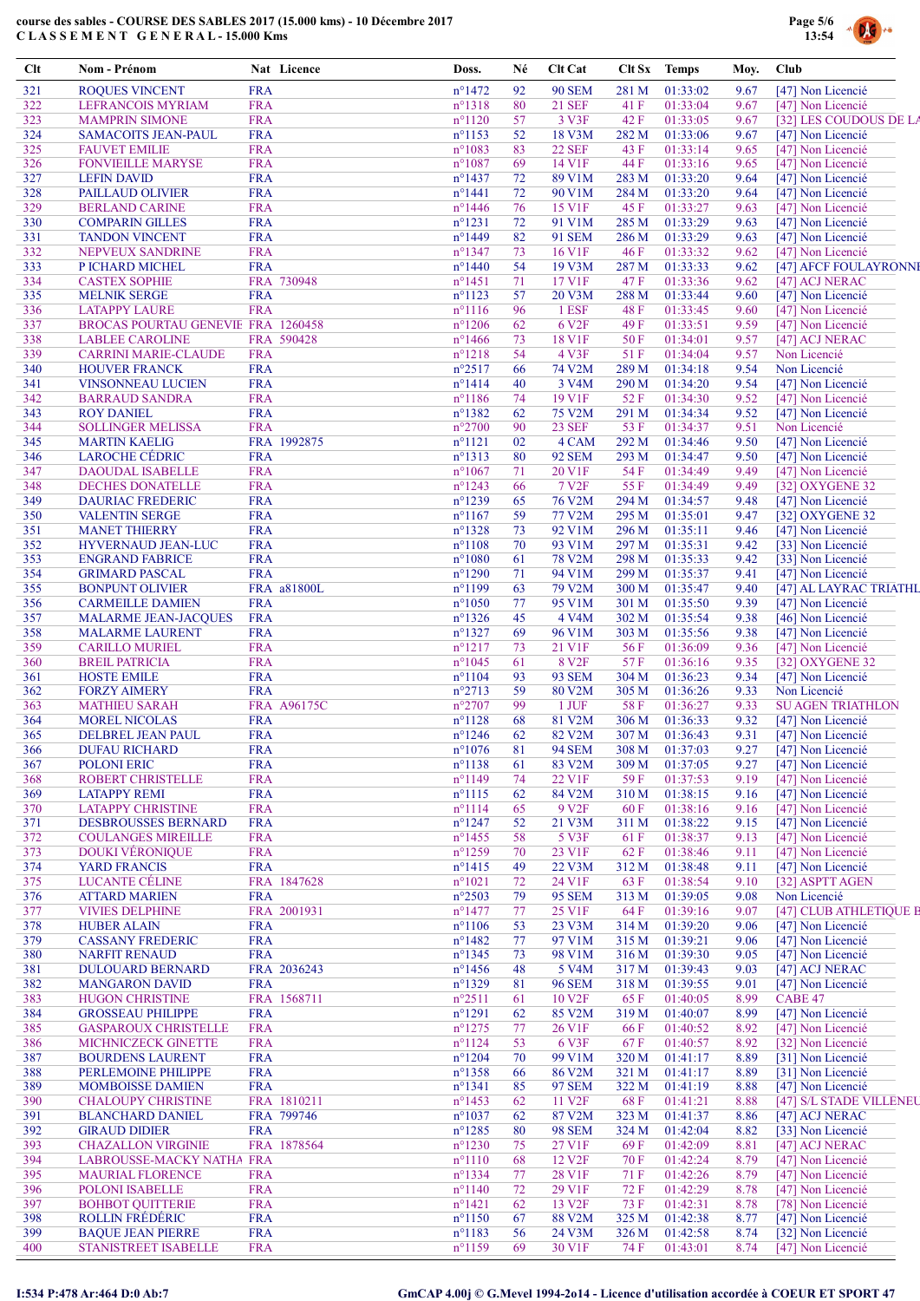

| Clt        | Nom - Prénom                                           |                          | Nat Licence | Doss.                                | Né       | Clt Cat                             | Clt Sx         | <b>Temps</b>               | Moy.         | Club                                   |
|------------|--------------------------------------------------------|--------------------------|-------------|--------------------------------------|----------|-------------------------------------|----------------|----------------------------|--------------|----------------------------------------|
| 321        | <b>ROQUES VINCENT</b>                                  | <b>FRA</b>               |             | $n^{\circ}$ 1472                     | 92       | <b>90 SEM</b>                       | 281 M          | 01:33:02                   | 9.67         | [47] Non Licencié                      |
| 322        | <b>LEFRANCOIS MYRIAM</b>                               | <b>FRA</b>               |             | $n^{\circ}1318$                      | 80       | <b>21 SEF</b>                       | 41 F           | 01:33:04                   | 9.67         | [47] Non Licencié                      |
| 323        | <b>MAMPRIN SIMONE</b>                                  | <b>FRA</b>               |             | $n^{\circ}1120$                      | 57       | 3 V3F                               | 42 F           | 01:33:05                   | 9.67         | [32] LES COUDOUS DE LA                 |
| 324<br>325 | <b>SAMACOITS JEAN-PAUL</b><br><b>FAUVET EMILIE</b>     | <b>FRA</b><br><b>FRA</b> |             | $n^{\circ}$ 1153<br>$n^{\circ}1083$  | 52<br>83 | 18 V3M<br><b>22 SEF</b>             | 282 M<br>43 F  | 01:33:06<br>01:33:14       | 9.67<br>9.65 | [47] Non Licencié<br>[47] Non Licencié |
| 326        | <b>FONVIEILLE MARYSE</b>                               | <b>FRA</b>               |             | $n^{\circ}1087$                      | 69       | 14 V1F                              | 44 F           | 01:33:16                   | 9.65         | [47] Non Licencié                      |
| 327        | <b>LEFIN DAVID</b>                                     | <b>FRA</b>               |             | $n^{\circ}$ 1437                     | 72       | 89 V1M                              | 283 M          | 01:33:20                   | 9.64         | [47] Non Licencié                      |
| 328        | PAILLAUD OLIVIER                                       | <b>FRA</b>               |             | $n^{\circ}1441$                      | 72       | 90 V1M                              | 284 M          | 01:33:20                   | 9.64         | [47] Non Licencié                      |
| 329        | <b>BERLAND CARINE</b>                                  | <b>FRA</b>               |             | $n^{\circ}$ 1446                     | 76       | 15 V1F                              | 45 F           | 01:33:27                   | 9.63         | [47] Non Licencié                      |
| 330        | <b>COMPARIN GILLES</b>                                 | <b>FRA</b>               |             | $n^{\circ}1231$                      | 72       | 91 V1M                              | 285 M          | 01:33:29                   | 9.63         | [47] Non Licencié                      |
| 331<br>332 | <b>TANDON VINCENT</b><br>NEPVEUX SANDRINE              | <b>FRA</b><br><b>FRA</b> |             | $n^{\circ}$ 1449<br>$n^{\circ}$ 1347 | 82<br>73 | 91 SEM<br>16 V1F                    | 286 M<br>46 F  | 01:33:29<br>01:33:32       | 9.63<br>9.62 | [47] Non Licencié<br>[47] Non Licencié |
| 333        | P ICHARD MICHEL                                        | <b>FRA</b>               |             | $n^{\circ}$ 1440                     | 54       | 19 V3M                              | 287 M          | 01:33:33                   | 9.62         | [47] AFCF FOULAYRONNI                  |
| 334        | <b>CASTEX SOPHIE</b>                                   |                          | FRA 730948  | $n^{\circ}$ 1451                     | 71       | 17 V1F                              | 47 F           | 01:33:36                   | 9.62         | [47] ACJ NERAC                         |
| 335        | <b>MELNIK SERGE</b>                                    | <b>FRA</b>               |             | $n^{\circ}1123$                      | 57       | 20 V3M                              | 288 M          | 01:33:44                   | 9.60         | [47] Non Licencié                      |
| 336        | <b>LATAPPY LAURE</b>                                   | <b>FRA</b>               |             | $n^{\circ}1116$                      | 96       | 1 ESF                               | 48 F           | 01:33:45                   | 9.60         | [47] Non Licencié                      |
| 337        | <b>BROCAS POURTAU GENEVIE FRA 1260458</b>              |                          |             | $n^{\circ}$ 1206                     | 62       | 6 V <sub>2F</sub>                   | 49 F           | 01:33:51                   | 9.59         | [47] Non Licencié                      |
| 338<br>339 | <b>LABLEE CAROLINE</b><br><b>CARRINI MARIE-CLAUDE</b>  | <b>FRA</b>               | FRA 590428  | $n^{\circ}$ 1466<br>$n^{\circ}1218$  | 73<br>54 | 18 V1F<br>4 V3F                     | 50 F<br>51F    | 01:34:01<br>01:34:04       | 9.57<br>9.57 | [47] ACJ NERAC<br>Non Licencié         |
| 340        | <b>HOUVER FRANCK</b>                                   | <b>FRA</b>               |             | $n^{\circ}2517$                      | 66       | 74 V2M                              | 289 M          | 01:34:18                   | 9.54         | Non Licencié                           |
| 341        | <b>VINSONNEAU LUCIEN</b>                               | <b>FRA</b>               |             | $n^{\circ}1414$                      | 40       | 3 V4M                               | 290 M          | 01:34:20                   | 9.54         | [47] Non Licencié                      |
| 342        | <b>BARRAUD SANDRA</b>                                  | <b>FRA</b>               |             | $n^{\circ}$ 1186                     | 74       | 19 V1F                              | 52 F           | 01:34:30                   | 9.52         | [47] Non Licencié                      |
| 343        | <b>ROY DANIEL</b>                                      | <b>FRA</b>               |             | $n^{\circ}$ 1382                     | 62       | 75 V2M                              | 291 M          | 01:34:34                   | 9.52         | [47] Non Licencié                      |
| 344        | <b>SOLLINGER MELISSA</b>                               | <b>FRA</b>               |             | $n^{\circ}2700$                      | 90       | <b>23 SEF</b>                       | 53 F           | 01:34:37                   | 9.51         | Non Licencié                           |
| 345        | <b>MARTIN KAELIG</b>                                   |                          | FRA 1992875 | $n^{\circ}1121$                      | 02       | 4 CAM                               | 292 M          | 01:34:46                   | 9.50         | [47] Non Licencié                      |
| 346        | <b>LAROCHE CÉDRIC</b>                                  | <b>FRA</b>               |             | $n^{\circ}1313$                      | 80       | <b>92 SEM</b>                       | 293 M          | 01:34:47                   | 9.50         | [47] Non Licencié                      |
| 347<br>348 | <b>DAOUDAL ISABELLE</b><br><b>DECHES DONATELLE</b>     | <b>FRA</b><br><b>FRA</b> |             | $n^{\circ}1067$<br>$n^{\circ}$ 1243  | 71<br>66 | 20 V1F<br>7 V <sub>2F</sub>         | 54 F<br>55 F   | 01:34:49<br>01:34:49       | 9.49<br>9.49 | [47] Non Licencié<br>[32] OXYGENE 32   |
| 349        | <b>DAURIAC FREDERIC</b>                                | <b>FRA</b>               |             | $n^{\circ}$ 1239                     | 65       | 76 V2M                              | 294 M          | 01:34:57                   | 9.48         | [47] Non Licencié                      |
| 350        | <b>VALENTIN SERGE</b>                                  | <b>FRA</b>               |             | $n^{\circ}1167$                      | 59       | 77 V2M                              | 295 M          | 01:35:01                   | 9.47         | [32] OXYGENE 32                        |
| 351        | <b>MANET THIERRY</b>                                   | <b>FRA</b>               |             | $n^{\circ}$ 1328                     | 73       | 92 V1M                              | 296 M          | 01:35:11                   | 9.46         | [47] Non Licencié                      |
| 352        | <b>HYVERNAUD JEAN-LUC</b>                              | <b>FRA</b>               |             | $n^{\circ}1108$                      | 70       | 93 V1M                              | 297 M          | 01:35:31                   | 9.42         | [33] Non Licencié                      |
| 353        | <b>ENGRAND FABRICE</b>                                 | <b>FRA</b>               |             | $n^{\circ}1080$                      | 61       | 78 V2M                              | 298 M          | 01:35:33                   | 9.42         | [33] Non Licencié                      |
| 354        | <b>GRIMARD PASCAL</b>                                  | <b>FRA</b>               |             | $n^{\circ}$ 1290                     | 71       | 94 V1M                              | 299 M          | 01:35:37                   | 9.41         | [47] Non Licencié                      |
| 355<br>356 | <b>BONPUNT OLIVIER</b>                                 | <b>FRA</b>               | FRA a81800L | n°1199<br>$n^{\circ}1050$            | 63<br>77 | 79 V2M<br>95 V1M                    | 300 M<br>301 M | 01:35:47<br>01:35:50       | 9.40<br>9.39 | [47] AL LAYRAC TRIATHL                 |
| 357        | <b>CARMEILLE DAMIEN</b><br><b>MALARME JEAN-JACQUES</b> | <b>FRA</b>               |             | $n^{\circ}$ 1326                     | 45       | 4 V4M                               | 302 M          | 01:35:54                   | 9.38         | [47] Non Licencié<br>[46] Non Licencié |
| 358        | <b>MALARME LAURENT</b>                                 | <b>FRA</b>               |             | $n^{\circ}$ 1327                     | 69       | 96 V1M                              | 303 M          | 01:35:56                   | 9.38         | [47] Non Licencié                      |
| 359        | <b>CARILLO MURIEL</b>                                  | <b>FRA</b>               |             | $n^{\circ}1217$                      | 73       | 21 V1F                              | 56 F           | 01:36:09                   | 9.36         | [47] Non Licencié                      |
| 360        | <b>BREIL PATRICIA</b>                                  | <b>FRA</b>               |             | $n^{\circ}1045$                      | 61       | 8 V <sub>2F</sub>                   | 57 F           | 01:36:16                   | 9.35         | [32] OXYGENE 32                        |
| 361        | <b>HOSTE EMILE</b>                                     | <b>FRA</b>               |             | $n^{\circ}1104$                      | 93       | <b>93 SEM</b>                       | 304 M          | 01:36:23                   | 9.34         | [47] Non Licencié                      |
| 362        | <b>FORZY AIMERY</b>                                    | <b>FRA</b>               |             | $n^{\circ}2713$                      | 59       | 80 V2M                              | 305 M          | 01:36:26                   | 9.33         | Non Licencié                           |
| 363        | <b>MATHIEU SARAH</b>                                   |                          | FRA A96175C | $n^{\circ}2707$                      | 99       | 1 JUF                               | 58 F           | 01:36:27                   | 9.33         | <b>SU AGEN TRIATHLON</b>               |
| 364        | <b>MOREL NICOLAS</b>                                   | <b>FRA</b>               |             | $n^{\circ}1128$                      | 68       | 81 V2M                              | 306 M          | 01:36:33                   | 9.32         | [47] Non Licencié<br>[47] Non Licencié |
| 365<br>366 | DELBREL JEAN PAUL<br><b>DUFAU RICHARD</b>              | <b>FRA</b><br><b>FRA</b> |             | $n^{\circ}$ 1246<br>$n^{\circ}1076$  | 62<br>81 | 82 V2M<br><b>94 SEM</b>             | 307 M          | 01:36:43<br>308 M 01:37:03 | 9.31         | 9.27 [47] Non Licencié                 |
| 367        | <b>POLONI ERIC</b>                                     | <b>FRA</b>               |             | $n^{\circ}1138$                      | 61       | 83 V2M                              | 309 M          | 01:37:05                   | 9.27         | [47] Non Licencié                      |
| 368        | ROBERT CHRISTELLE                                      | <b>FRA</b>               |             | $n^{\circ}$ 1149                     | 74       | 22 V1F                              | 59F            | 01:37:53                   | 9.19         | [47] Non Licencié                      |
| 369        | <b>LATAPPY REMI</b>                                    | <b>FRA</b>               |             | $n^{\circ}1115$                      | 62       | 84 V2M                              | 310 M          | 01:38:15                   | 9.16         | [47] Non Licencié                      |
| 370        | <b>LATAPPY CHRISTINE</b>                               | <b>FRA</b>               |             | $n^{\circ}1114$                      | 65       | 9 V <sub>2F</sub>                   | 60 F           | 01:38:16                   | 9.16         | [47] Non Licencié                      |
| 371        | <b>DESBROUSSES BERNARD</b>                             | <b>FRA</b>               |             | $n^{\circ}$ 1247                     | 52       | 21 V3M                              | 311 M          | 01:38:22                   | 9.15         | [47] Non Licencié                      |
| 372        | <b>COULANGES MIREILLE</b>                              | <b>FRA</b>               |             | $n^{\circ}$ 1455                     | 58       | 5 V3F                               | 61 F           | 01:38:37                   | 9.13         | [47] Non Licencié                      |
| 373        | <b>DOUKI VÉRONIQUE</b>                                 | <b>FRA</b>               |             | $n^{\circ}$ 1259                     | 70       | 23 V1F                              | 62 F           | 01:38:46                   | 9.11         | [47] Non Licencié                      |
| 374<br>375 | YARD FRANCIS<br>LUCANTE CÉLINE                         | <b>FRA</b>               | FRA 1847628 | $n^{\circ}$ 1415<br>$n^{\circ}1021$  | 49<br>72 | 22 V3M<br>24 V1F                    | 312 M<br>63 F  | 01:38:48<br>01:38:54       | 9.11<br>9.10 | [47] Non Licencié<br>[32] ASPTT AGEN   |
| 376        | <b>ATTARD MARIEN</b>                                   | <b>FRA</b>               |             | $n^{\circ}2503$                      | 79       | <b>95 SEM</b>                       | 313 M          | 01:39:05                   | 9.08         | Non Licencié                           |
| 377        | <b>VIVIES DELPHINE</b>                                 |                          | FRA 2001931 | $n^{\circ}$ 1477                     | 77       | 25 V1F                              | 64 F           | 01:39:16                   | 9.07         | [47] CLUB ATHLETIQUE B                 |
| 378        | <b>HUBER ALAIN</b>                                     | <b>FRA</b>               |             | $n^{\circ}1106$                      | 53       | 23 V3M                              | 314 M          | 01:39:20                   | 9.06         | [47] Non Licencié                      |
| 379        | <b>CASSANY FREDERIC</b>                                | <b>FRA</b>               |             | $n^{\circ}$ 1482                     | 77       | 97 V1M                              | 315 M          | 01:39:21                   | 9.06         | [47] Non Licencié                      |
| 380        | <b>NARFIT RENAUD</b>                                   | <b>FRA</b>               |             | $n^{\circ}$ 1345                     | 73       | 98 V1M                              | 316 M          | 01:39:30                   | 9.05         | [47] Non Licencié                      |
| 381        | <b>DULOUARD BERNARD</b>                                |                          | FRA 2036243 | $n^{\circ}$ 1456                     | 48       | 5 V4M                               | 317 M          | 01:39:43                   | 9.03         | [47] ACJ NERAC                         |
| 382<br>383 | <b>MANGARON DAVID</b><br><b>HUGON CHRISTINE</b>        | <b>FRA</b>               | FRA 1568711 | $n^{\circ}1329$<br>$n^{\circ}2511$   | 81<br>61 | <b>96 SEM</b><br>10 V <sub>2F</sub> | 318 M<br>65 F  | 01:39:55<br>01:40:05       | 9.01<br>8.99 | [47] Non Licencié<br>CABE 47           |
| 384        | <b>GROSSEAU PHILIPPE</b>                               | <b>FRA</b>               |             | $n^{\circ}1291$                      | 62       | 85 V2M                              | 319 M          | 01:40:07                   | 8.99         | [47] Non Licencié                      |
| 385        | <b>GASPAROUX CHRISTELLE</b>                            | <b>FRA</b>               |             | $n^{\circ}$ 1275                     | 77       | 26 V1F                              | 66 F           | 01:40:52                   | 8.92         | [47] Non Licencié                      |
| 386        | <b>MICHNICZECK GINETTE</b>                             | <b>FRA</b>               |             | $n^{\circ}1124$                      | 53       | 6 V3F                               | 67 F           | 01:40:57                   | 8.92         | [32] Non Licencié                      |
| 387        | <b>BOURDENS LAURENT</b>                                | <b>FRA</b>               |             | $n^{\circ}$ 1204                     | 70       | 99 V1M                              | 320 M          | 01:41:17                   | 8.89         | [31] Non Licencié                      |
| 388        | PERLEMOINE PHILIPPE                                    | <b>FRA</b>               |             | $n^{\circ}$ 1358                     | 66       | 86 V2M                              | 321 M          | 01:41:17                   | 8.89         | [31] Non Licencié                      |
| 389        | <b>MOMBOISSE DAMIEN</b>                                | <b>FRA</b>               |             | $n^{\circ}1341$                      | 85       | <b>97 SEM</b>                       | 322 M          | 01:41:19                   | 8.88         | [47] Non Licencié                      |
| 390        | <b>CHALOUPY CHRISTINE</b>                              |                          | FRA 1810211 | $n^{\circ}$ 1453                     | 62       | 11 V <sub>2F</sub>                  | 68 F           | 01:41:21                   | 8.88         | [47] S/L STADE VILLENEU                |
| 391        | <b>BLANCHARD DANIEL</b>                                |                          | FRA 799746  | $n^{\circ}1037$<br>$n^{\circ}$ 1285  | 62       | 87 V2M                              | 323 M          | 01:41:37                   | 8.86         | [47] ACJ NERAC                         |
| 392<br>393 | <b>GIRAUD DIDIER</b><br><b>CHAZALLON VIRGINIE</b>      | <b>FRA</b>               | FRA 1878564 | $n^{\circ}$ 1230                     | 80<br>75 | <b>98 SEM</b><br>27 V1F             | 324 M<br>69 F  | 01:42:04<br>01:42:09       | 8.82<br>8.81 | [33] Non Licencié<br>[47] ACJ NERAC    |
| 394        | LABROUSSE-MACKY NATHA FRA                              |                          |             | $n^{\circ}1110$                      | 68       | 12 V <sub>2F</sub>                  | 70 F           | 01:42:24                   | 8.79         | [47] Non Licencié                      |
| 395        | <b>MAURIAL FLORENCE</b>                                | <b>FRA</b>               |             | n°1334                               | 77       | 28 V1F                              | 71 F           | 01:42:26                   | 8.79         | [47] Non Licencié                      |
| 396        | POLONI ISABELLE                                        | <b>FRA</b>               |             | $n^{\circ}1140$                      | 72       | 29 V1F                              | 72 F           | 01:42:29                   | 8.78         | [47] Non Licencié                      |
| 397        | <b>BOHBOT QUITTERIE</b>                                | <b>FRA</b>               |             | $n^{\circ}1421$                      | 62       | 13 V <sub>2F</sub>                  | 73 F           | 01:42:31                   | 8.78         | [78] Non Licencié                      |
| 398        | <b>ROLLIN FRÉDÉRIC</b>                                 | <b>FRA</b>               |             | $n^{\circ}1150$                      | 67       | 88 V2M                              | 325 M          | 01:42:38                   | 8.77         | [47] Non Licencié                      |
| 399        | <b>BAQUE JEAN PIERRE</b>                               | <b>FRA</b>               |             | $n^{\circ}1183$                      | 56       | 24 V3M                              | 326 M          | 01:42:58                   | 8.74         | [32] Non Licencié                      |
| 400        | STANISTREET ISABELLE                                   | <b>FRA</b>               |             | $n^{\circ}1159$                      | 69       | 30 V1F                              | 74 F           | 01:43:01                   | 8.74         | [47] Non Licencié                      |